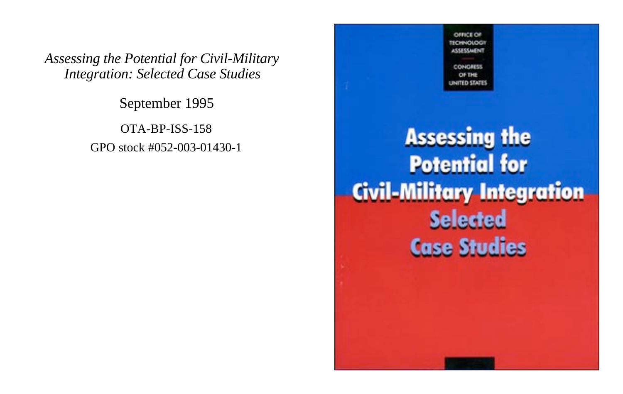*Assessing the Potential for Civil-Military Integration: Selected Case Studies*

September 1995

OTA-BP-ISS-158 GPO stock #052-003-01430-1

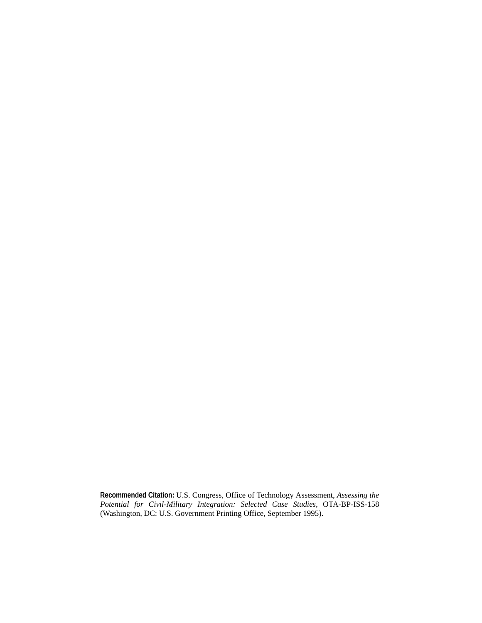**Recommended Citation:** U.S. Congress, Office of Technology Assessment, *Assessing the Potential for Civil-Military Integration: Selected Case Studies,* OTA-BP-ISS-158 (Washington, DC: U.S. Government Printing Office, September 1995).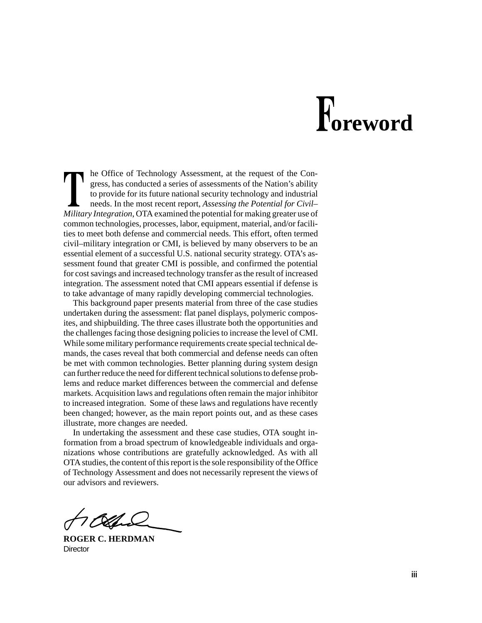# **oreword**

he Office of Technology Assessment, at the request of the Congress, has conducted a series of assessments of the Nation's ability to provide for its future national security technology and industrial needs. In the most recent report, *Assessing the Potential for Civil– Military Integration*, OTA examined the potential for making greater use of common technologies, processes, labor, equipment, material, and/or facilities to meet both defense and commercial needs. This effort, often termed civil–military integration or CMI, is believed by many observers to be an essential element of a successful U.S. national security strategy. OTA's assessment found that greater CMI is possible, and confirmed the potential for cost savings and increased technology transfer as the result of increased integration. The assessment noted that CMI appears essential if defense is to take advantage of many rapidly developing commercial technologies.

This background paper presents material from three of the case studies undertaken during the assessment: flat panel displays, polymeric composites, and shipbuilding. The three cases illustrate both the opportunities and the challenges facing those designing policies to increase the level of CMI. While some military performance requirements create special technical demands, the cases reveal that both commercial and defense needs can often be met with common technologies. Better planning during system design can further reduce the need for different technical solutions to defense problems and reduce market differences between the commercial and defense markets. Acquisition laws and regulations often remain the major inhibitor to increased integration. Some of these laws and regulations have recently been changed; however, as the main report points out, and as these cases illustrate, more changes are needed.

In undertaking the assessment and these case studies, OTA sought information from a broad spectrum of knowledgeable individuals and organizations whose contributions are gratefully acknowledged. As with all OTA studies, the content of this report is the sole responsibility of the Office of Technology Assessment and does not necessarily represent the views of our advisors and reviewers.

**ROGER C. HERDMAN Director**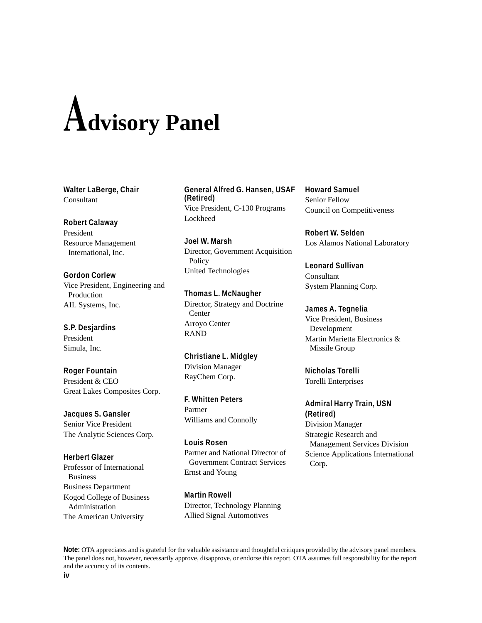# $A$ dvisory Panel

**Walter LaBerge, Chair** Consultant

# **Robert Calaway**

President Resource Management International, Inc.

**Gordon Corlew** Vice President, Engineering and Production AIL Systems, Inc.

**S.P. Desjardins** President Simula, Inc.

**Roger Fountain** President & CEO Great Lakes Composites Corp.

**Jacques S. Gansler** Senior Vice President The Analytic Sciences Corp.

#### **Herbert Glazer**

Professor of International Business Business Department Kogod College of Business Administration The American University

**General Alfred G. Hansen, USAF (Retired)** Vice President, C-130 Programs Lockheed

**Joel W. Marsh** Director, Government Acquisition **Policy** United Technologies

**Thomas L. McNaugher** Director, Strategy and Doctrine Center Arroyo Center RAND

**Christiane L. Midgley** Division Manager RayChem Corp.

**F. Whitten Peters** Partner Williams and Connolly

**Louis Rosen** Partner and National Director of Government Contract Services Ernst and Young

**Martin Rowell** Director, Technology Planning Allied Signal Automotives

**Howard Samuel** Senior Fellow Council on Competitiveness

**Robert W. Selden** Los Alamos National Laboratory

**Leonard Sullivan** Consultant System Planning Corp.

**James A. Tegnelia** Vice President, Business Development Martin Marietta Electronics &

**Nicholas Torelli** Torelli Enterprises

Missile Group

# **Admiral Harry Train, USN (Retired)**

Division Manager Strategic Research and Management Services Division Science Applications International Corp.

**Note:** OTA appreciates and is grateful for the valuable assistance and thoughtful critiques provided by the advisory panel members. The panel does not, however, necessarily approve, disapprove, or endorse this report. OTA assumes full responsibility for the report and the accuracy of its contents.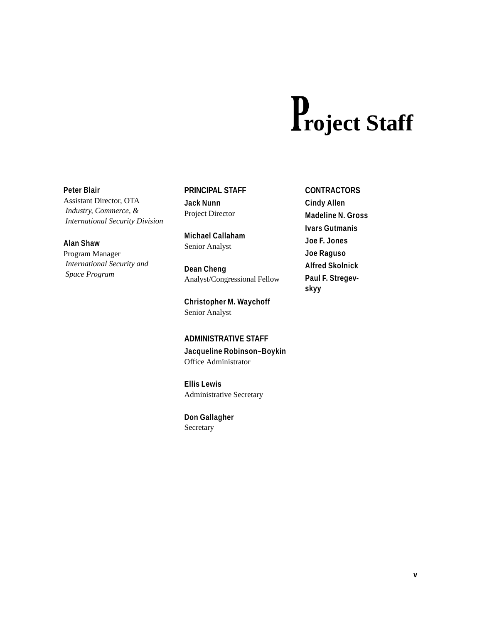# **roject Staff**

### **Peter Blair**

Assistant Director, OTA *Industry, Commerce, & International Security Division*

# **Alan Shaw**

Program Manager *International Security and Space Program*

# **PRINCIPAL STAFF**

**Jack Nunn** Project Director

**Michael Callaham** Senior Analyst

**Dean Cheng** Analyst/Congressional Fellow

**Christopher M. Waychoff** Senior Analyst

# **ADMINISTRATIVE STAFF**

**Jacqueline Robinson–Boykin** Office Administrator

**Ellis Lewis** Administrative Secretary

**Don Gallagher** Secretary

# **CONTRACTORS**

**Cindy Allen Madeline N. Gross Ivars Gutmanis Joe F. Jones Joe Raguso Alfred Skolnick Paul F. Stregevskyy**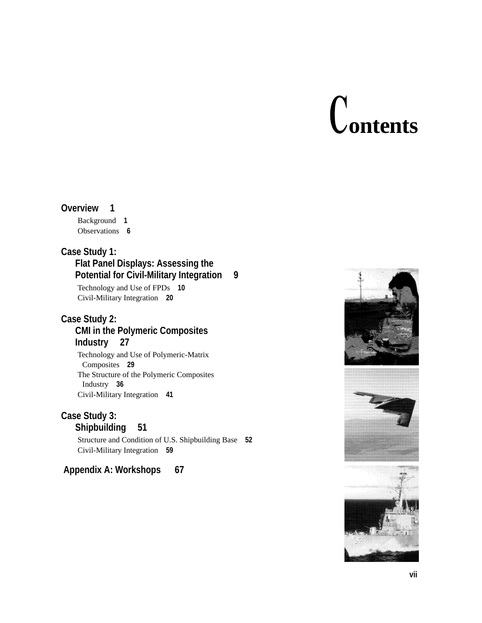# **ontents**

# **Overview 1**

Background **1** Observations **6**

# **Case Study 1:**

# **Flat Panel Displays: Assessing the Potential for Civil-Military Integration 9**

Technology and Use of FPDs **10** Civil-Military Integration **20**

# **Case Study 2:**

# **CMI in the Polymeric Composites Industry 27**

Technology and Use of Polymeric-Matrix Composites **29** The Structure of the Polymeric Composites Industry **36** Civil-Military Integration **41**

# **Case Study 3:**

**Shipbuilding 51**

Structure and Condition of U.S. Shipbuilding Base **52** Civil-Military Integration **59**

# **Appendix A: Workshops 67**





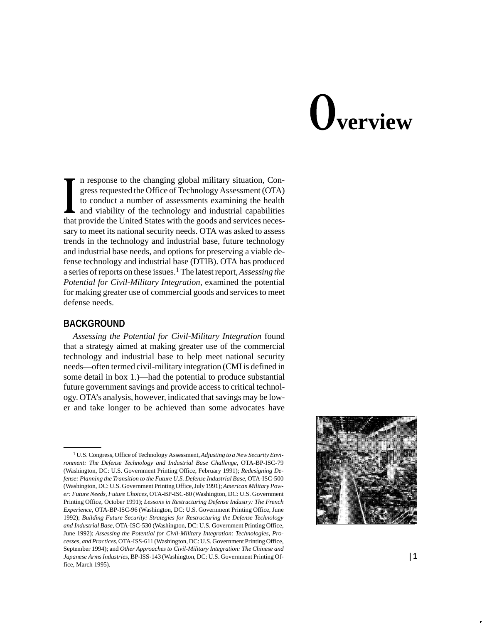# **verview**

n response to the changing global military situation, Congress requested the Office of Technology Assessment (OTA) to conduct a number of assessments examining the health and viability of the technology and industrial capabilities that provide the United States with the goods and services necessary to meet its national security needs. OTA was asked to assess trends in the technology and industrial base, future technology and industrial base needs, and options for preserving a viable defense technology and industrial base (DTIB). OTA has produced a series of reports on these issues.1 The latest report, *Assessing the Potential for Civil-Military Integration*, examined the potential for making greater use of commercial goods and services to meet defense needs.

# **BACKGROUND**

*Assessing the Potential for Civil-Military Integration* found that a strategy aimed at making greater use of the commercial technology and industrial base to help meet national security needs—often termed civil-military integration (CMI is defined in some detail in box 1.)—had the potential to produce substantial future government savings and provide access to critical technology. OTA's analysis, however, indicated that savings may be lower and take longer to be achieved than some advocates have

<sup>1</sup> U.S. Congress, Office of Technology Assessment, *Adjusting to a New Security Environment: The Defense Technology and Industrial Base Challenge*, OTA-BP-ISC-79 (Washington, DC: U.S. Government Printing Office, February 1991); *Redesigning Defense: Planning the Transition to the Future U.S. Defense Industrial Base*, OTA-ISC-500 (Washington, DC: U.S. Government Printing Office, July 1991); *American Military Power: Future Needs, Future Choices*, OTA-BP-ISC-80 (Washington, DC: U.S. Government Printing Office, October 1991); *Lessons in Restructuring Defense Industry: The French Experience*, OTA-BP-ISC-96 (Washington, DC: U.S. Government Printing Office, June 1992); *Building Future Security: Strategies for Restructuring the Defense Technology and Industrial Base*, OTA-ISC-530 (Washington, DC: U.S. Government Printing Office, June 1992); *Assessing the Potential for Civil-Military Integration: Technologies, Processes, and Practices*, OTA-ISS-611 (Washington, DC: U.S. Government Printing Office, September 1994); and *Other Approaches to Civil-Military Integration: The Chinese and Japanese Arms Industries*, BP-ISS-143 (Washington, DC: U.S. Government Printing Office, March 1995).

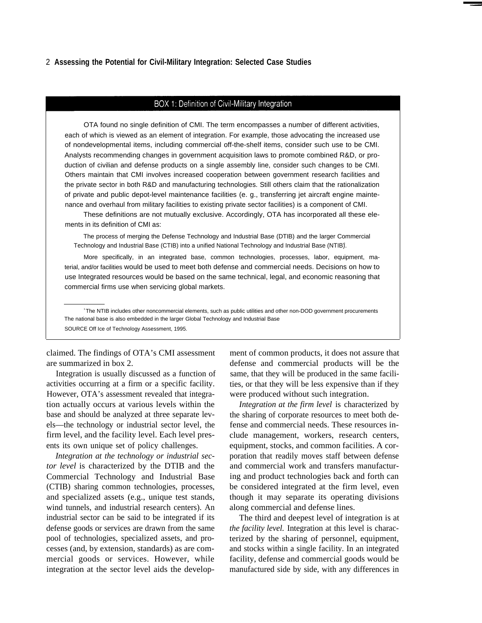#### 2 **Assessing the Potential for Civil-Military Integration: Selected Case Studies**

# BOX 1: Definition of Civil-Military Integration

OTA found no single definition of CMI. The term encompasses a number of different activities, each of which is viewed as an element of integration. For example, those advocating the increased use of nondevelopmental items, including commercial off-the-shelf items, consider such use to be CMI. Analysts recommending changes in government acquisition laws to promote combined R&D, or production of civilian and defense products on a single assembly line, consider such changes to be CMI. Others maintain that CMI involves increased cooperation between government research facilities and the private sector in both R&D and manufacturing technologies. Still others claim that the rationalization of private and public depot-level maintenance facilities (e. g., transferring jet aircraft engine maintenance and overhaul from military facilities to existing private sector facilities) is a component of CMI.

These definitions are not mutually exclusive. Accordingly, OTA has incorporated all these elements in its definition of CMI as:

The process of merging the Defense Technology and Industrial Base (DTIB) and the larger Commercial Technology and Industrial Base (CTIB) into a unified National Technology and Industrial Base (NTIB). <sup>1</sup>

More specifically, in an integrated base, common technologies, processes, labor, equipment, material, and/or facilities would be used to meet both defense and commercial needs. Decisions on how to use Integrated resources would be based on the same technical, legal, and economic reasoning that commercial firms use when servicing global markets.

<sup>1</sup>The NTIB includes other noncommercial elements, such as public utilities and other non-DOD government procurements The national base is also embedded in the larger Global Technology and Industrial Base SOURCE Off Ice of Technology Assessment, 1995.

claimed. The findings of OTA's CMI assessment ment of common products, it does not assure that are summarized in box 2.

Integration is usually discussed as a function of activities occurring at a firm or a specific facility. However, OTA's assessment revealed that integration actually occurs at various levels within the base and should be analyzed at three separate levels—the technology or industrial sector level, the firm level, and the facility level. Each level presents its own unique set of policy challenges.

*Integration at the technology or industrial sector level* is characterized by the DTIB and the Commercial Technology and Industrial Base (CTIB) sharing common technologies, processes, and specialized assets (e.g., unique test stands, wind tunnels, and industrial research centers). An industrial sector can be said to be integrated if its defense goods or services are drawn from the same pool of technologies, specialized assets, and processes (and, by extension, standards) as are commercial goods or services. However, while integration at the sector level aids the developdefense and commercial products will be the same, that they will be produced in the same facilities, or that they will be less expensive than if they were produced without such integration.

*Integration at the firm level* is characterized by the sharing of corporate resources to meet both defense and commercial needs. These resources include management, workers, research centers, equipment, stocks, and common facilities. A corporation that readily moves staff between defense and commercial work and transfers manufacturing and product technologies back and forth can be considered integrated at the firm level, even though it may separate its operating divisions along commercial and defense lines.

The third and deepest level of integration is at *the facility level.* Integration at this level is characterized by the sharing of personnel, equipment, and stocks within a single facility. In an integrated facility, defense and commercial goods would be manufactured side by side, with any differences in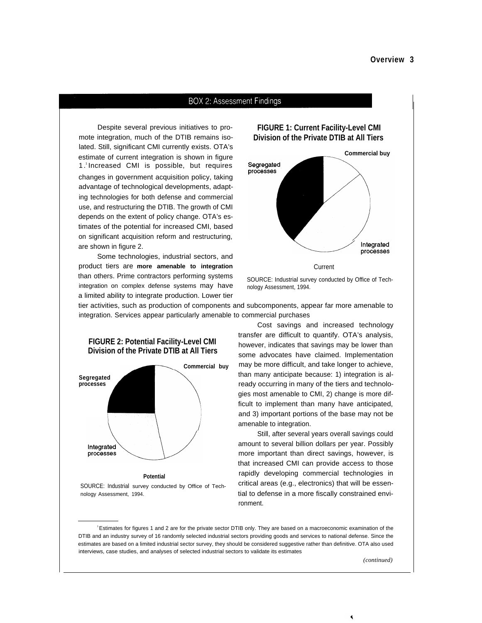#### **BOX 2: Assessment Findings**

Despite several previous initiatives to promote integration, much of the DTIB remains isolated. Still, significant CMI currently exists. OTA's estimate of current integration is shown in figure 1 . <sup>1</sup>Increased CMI is possible, but requires changes in government acquisition policy, taking advantage of technological developments, adapting technologies for both defense and commercial use, and restructuring the DTIB. The growth of CMI depends on the extent of policy change. OTA's estimates of the potential for increased CMI, based on significant acquisition reform and restructuring, are shown in figure 2.

Some technologies, industrial sectors, and product tiers are **more amenable to integration** than others. Prime contractors performing systems SOURCE: Industrial survey conducted by Office of Techintegration on complex defense systems may have nology Assessment, 1994. a limited ability to integrate production. Lower tier

**FIGURE 1: Current Facility-Level CMI Division of the Private DTIB at All Tiers**



tier activities, such as production of components and subcomponents, appear far more amenable to integration. Services appear particularly amenable to commercial purchases



**FIGURE 2: Potential Facility-Level CMI**

SOURCE: Industrial survey conducted by Office of Technology Assessment, 1994.

Cost savings and increased technology transfer are difficult to quantify. OTA's analysis, however, indicates that savings may be lower than some advocates have claimed. Implementation may be more difficult, and take longer to achieve, than many anticipate because: 1) integration is already occurring in many of the tiers and technologies most amenable to CMI, 2) change is more difficult to implement than many have anticipated, and 3) important portions of the base may not be amenable to integration.

Still, after several years overall savings could amount to several billion dollars per year. Possibly more important than direct savings, however, is that increased CMI can provide access to those rapidly developing commercial technologies in critical areas (e.g., electronics) that will be essential to defense in a more fiscally constrained environment.

<sup>1</sup>Estimates for figures 1 and 2 are for the private sector DTIB only. They are based on a macroeconomic examination of the DTIB and an industry survey of 16 randomly selected industrial sectors providing goods and services to national defense. Since the estimates are based on a limited industrial sector survey, they should be considered suggestive rather than definitive. OTA also used interviews, case studies, and analyses of selected industrial sectors to validate its estimates

*(continued)*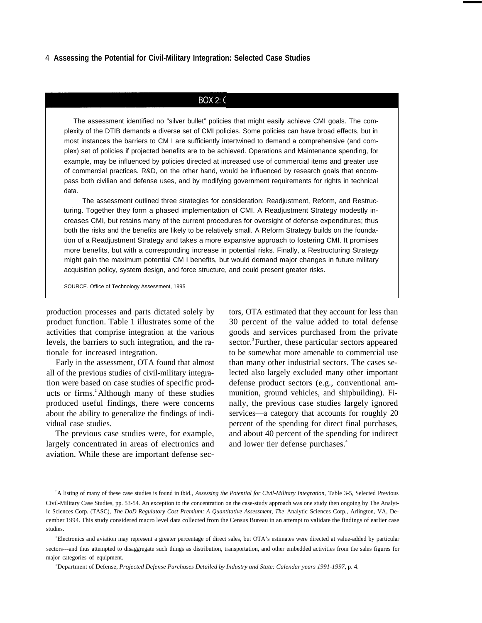#### 4 **Assessing the Potential for Civil-Military Integration: Selected Case Studies**

# **BOX 2: C**

The assessment identified no "silver bullet" policies that might easily achieve CMI goals. The complexity of the DTIB demands a diverse set of CMI policies. Some policies can have broad effects, but in most instances the barriers to CM I are sufficiently intertwined to demand a comprehensive (and complex) set of policies if projected benefits are to be achieved. Operations and Maintenance spending, for example, may be influenced by policies directed at increased use of commercial items and greater use of commercial practices. R&D, on the other hand, would be influenced by research goals that encompass both civilian and defense uses, and by modifying government requirements for rights in technical data.

The assessment outlined three strategies for consideration: Readjustment, Reform, and Restructuring. Together they form a phased implementation of CMI. A Readjustment Strategy modestly increases CMI, but retains many of the current procedures for oversight of defense expenditures; thus both the risks and the benefits are likely to be relatively small. A Reform Strategy builds on the foundation of a Readjustment Strategy and takes a more expansive approach to fostering CMI. It promises more benefits, but with a corresponding increase in potential risks. Finally, a Restructuring Strategy might gain the maximum potential CM I benefits, but would demand major changes in future military acquisition policy, system design, and force structure, and could present greater risks.

SOURCE. Office of Technology Assessment, 1995

production processes and parts dictated solely by tors, OTA estimated that they account for less than product function. Table 1 illustrates some of the activities that comprise integration at the various levels, the barriers to such integration, and the rationale for increased integration.

Early in the assessment, OTA found that almost all of the previous studies of civil-military integration were based on case studies of specific products or firms.<sup>2</sup>Although many of these studies produced useful findings, there were concerns about the ability to generalize the findings of individual case studies.

The previous case studies were, for example, largely concentrated in areas of electronics and aviation. While these are important defense sec-

30 percent of the value added to total defense goods and services purchased from the private sector.<sup>3</sup>Further, these particular sectors appeared to be somewhat more amenable to commercial use than many other industrial sectors. The cases selected also largely excluded many other important defense product sectors (e.g., conventional ammunition, ground vehicles, and shipbuilding). Finally, the previous case studies largely ignored services—a category that accounts for roughly 20 percent of the spending for direct final purchases, and about 40 percent of the spending for indirect and lower tier defense purchases.<sup>4</sup>

<sup>&</sup>lt;sup>2</sup>A listing of many of these case studies is found in ibid., *Assessing the Potential for Civil-Military Integration*, Table 3-5, Selected Previous Civil-Military Case Studies, pp. 53-54. An exception to the concentration on the case-study approach was one study then ongoing by The Analytic Sciences Corp. (TASC), *The DoD Regulatory Cost Premium: A Quantitative Assessment, The Analytic Sciences Corp., Arlington, VA, De*cember 1994. This study considered macro level data collected from the Census Bureau in an attempt to validate the findings of earlier case studies.

<sup>&</sup>lt;sup>3</sup>Electronics and aviation may represent a greater percentage of direct sales, but OTA's estimates were directed at value-added by particular sectors---and thus attempted to disaggregate such things as distribution, transportation, and other embedded activities from the sales figures for major categories of equipment.

<sup>4</sup> Department of Defense, *Projected Defense Purchases Detailed by Industry and State: Calendar years 1991-1997,* p. 4.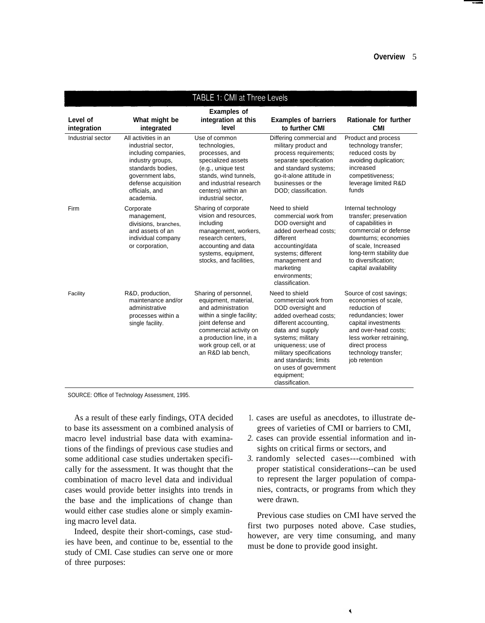| TABLE 1: CMI at Three Levels |                                                                                                                                                                                       |                                                                                                                                                                                                                           |                                                                                                                                                                                                                                                                                           |                                                                                                                                                                                                                            |  |
|------------------------------|---------------------------------------------------------------------------------------------------------------------------------------------------------------------------------------|---------------------------------------------------------------------------------------------------------------------------------------------------------------------------------------------------------------------------|-------------------------------------------------------------------------------------------------------------------------------------------------------------------------------------------------------------------------------------------------------------------------------------------|----------------------------------------------------------------------------------------------------------------------------------------------------------------------------------------------------------------------------|--|
| Level of<br>integration      | What might be<br>integrated                                                                                                                                                           | <b>Examples of</b><br>integration at this<br>level                                                                                                                                                                        | <b>Examples of barriers</b><br>to further CMI                                                                                                                                                                                                                                             | Rationale for further<br><b>CMI</b>                                                                                                                                                                                        |  |
| Industrial sector            | All activities in an<br>industrial sector,<br>including companies,<br>industry groups,<br>standards bodies.<br>government labs,<br>defense acquisition<br>officials, and<br>academia. | Use of common<br>technologies,<br>processes, and<br>specialized assets<br>(e.g., unique test<br>stands, wind tunnels,<br>and industrial research<br>centers) within an<br>industrial sector,                              | Differing commercial and<br>military product and<br>process requirements;<br>separate specification<br>and standard systems;<br>go-it-alone attitude in<br>businesses or the<br>DOD; classification.                                                                                      | Product and process<br>technology transfer;<br>reduced costs by<br>avoiding duplication;<br>increased<br>competitiveness;<br>leverage limited R&D<br>funds                                                                 |  |
| Firm                         | Corporate<br>management,<br>divisions, branches,<br>and assets of an<br>individual company<br>or corporation,                                                                         | Sharing of corporate<br>vision and resources,<br>including<br>management, workers,<br>research centers,<br>accounting and data<br>systems, equipment,<br>stocks, and facilities,                                          | Need to shield<br>commercial work from<br>DOD oversight and<br>added overhead costs;<br>different<br>accounting/data<br>systems; different<br>management and<br>marketing<br>environments:<br>classification.                                                                             | Internal technology<br>transfer; preservation<br>of capabilities in<br>commercial or defense<br>downturns; economies<br>of scale, Increased<br>long-term stability due<br>to diversification;<br>capital availability      |  |
| Facility                     | R&D, production,<br>maintenance and/or<br>administrative<br>processes within a<br>single facility.                                                                                    | Sharing of personnel,<br>equipment, material,<br>and administration<br>within a single facility;<br>joint defense and<br>commercial activity on<br>a production line, in a<br>work group cell, or at<br>an R&D lab bench, | Need to shield<br>commercial work from<br>DOD oversight and<br>added overhead costs;<br>different accounting,<br>data and supply<br>systems; military<br>uniqueness; use of<br>military specifications<br>and standards; limits<br>on uses of government<br>equipment;<br>classification. | Source of cost savings;<br>economies of scale,<br>reduction of<br>redundancies; lower<br>capital investments<br>and over-head costs:<br>less worker retraining,<br>direct process<br>technology transfer;<br>job retention |  |

SOURCE: Office of Technology Assessment, 1995.

As a result of these early findings, OTA decided to base its assessment on a combined analysis of macro level industrial base data with examinations of the findings of previous case studies and some additional case studies undertaken specifically for the assessment. It was thought that the combination of macro level data and individual cases would provide better insights into trends in the base and the implications of change than would either case studies alone or simply examining macro level data.

Indeed, despite their short-comings, case studies have been, and continue to be, essential to the study of CMI. Case studies can serve one or more of three purposes:

- 1. cases are useful as anecdotes, to illustrate degrees of varieties of CMI or barriers to CMI,
- *2.* cases can provide essential information and insights on critical firms or sectors, and
- *3.* randomly selected cases---combined with proper statistical considerations--can be used to represent the larger population of companies, contracts, or programs from which they were drawn.

Previous case studies on CMI have served the first two purposes noted above. Case studies, however, are very time consuming, and many must be done to provide good insight.

X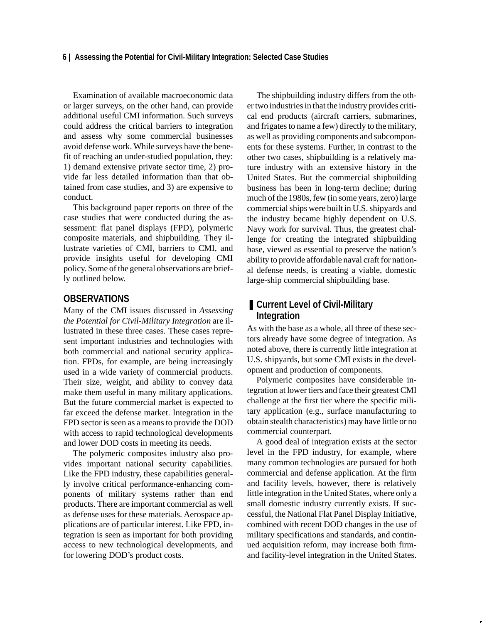#### **6 | Assessing the Potential for Civil-Military Integration: Selected Case Studies**

Examination of available macroeconomic data or larger surveys, on the other hand, can provide additional useful CMI information. Such surveys could address the critical barriers to integration and assess why some commercial businesses avoid defense work. While surveys have the benefit of reaching an under-studied population, they: 1) demand extensive private sector time, 2) provide far less detailed information than that obtained from case studies, and 3) are expensive to conduct.

This background paper reports on three of the case studies that were conducted during the assessment: flat panel displays (FPD), polymeric composite materials, and shipbuilding. They illustrate varieties of CMI, barriers to CMI, and provide insights useful for developing CMI policy. Some of the general observations are briefly outlined below.

# **OBSERVATIONS**

Many of the CMI issues discussed in *Assessing the Potential for Civil-Military Integration* are illustrated in these three cases. These cases represent important industries and technologies with both commercial and national security application. FPDs, for example, are being increasingly used in a wide variety of commercial products. Their size, weight, and ability to convey data make them useful in many military applications. But the future commercial market is expected to far exceed the defense market. Integration in the FPD sector is seen as a means to provide the DOD with access to rapid technological developments and lower DOD costs in meeting its needs.

The polymeric composites industry also provides important national security capabilities. Like the FPD industry, these capabilities generally involve critical performance-enhancing components of military systems rather than end products. There are important commercial as well as defense uses for these materials. Aerospace applications are of particular interest. Like FPD, integration is seen as important for both providing access to new technological developments, and for lowering DOD's product costs.

The shipbuilding industry differs from the other two industries in that the industry provides critical end products (aircraft carriers, submarines, and frigates to name a few) directly to the military, as well as providing components and subcomponents for these systems. Further, in contrast to the other two cases, shipbuilding is a relatively mature industry with an extensive history in the United States. But the commercial shipbuilding business has been in long-term decline; during much of the 1980s, few (in some years, zero) large commercial ships were built in U.S. shipyards and the industry became highly dependent on U.S. Navy work for survival. Thus, the greatest challenge for creating the integrated shipbuilding base, viewed as essential to preserve the nation's ability to provide affordable naval craft for national defense needs, is creating a viable, domestic large-ship commercial shipbuilding base.

# ■ Current Level of Civil-Military **Integration**

As with the base as a whole, all three of these sectors already have some degree of integration. As noted above, there is currently little integration at U.S. shipyards, but some CMI exists in the development and production of components.

Polymeric composites have considerable integration at lower tiers and face their greatest CMI challenge at the first tier where the specific military application (e.g., surface manufacturing to obtain stealth characteristics) may have little or no commercial counterpart.

A good deal of integration exists at the sector level in the FPD industry, for example, where many common technologies are pursued for both commercial and defense application. At the firm and facility levels, however, there is relatively little integration in the United States, where only a small domestic industry currently exists. If successful, the National Flat Panel Display Initiative, combined with recent DOD changes in the use of military specifications and standards, and continued acquisition reform, may increase both firmand facility-level integration in the United States.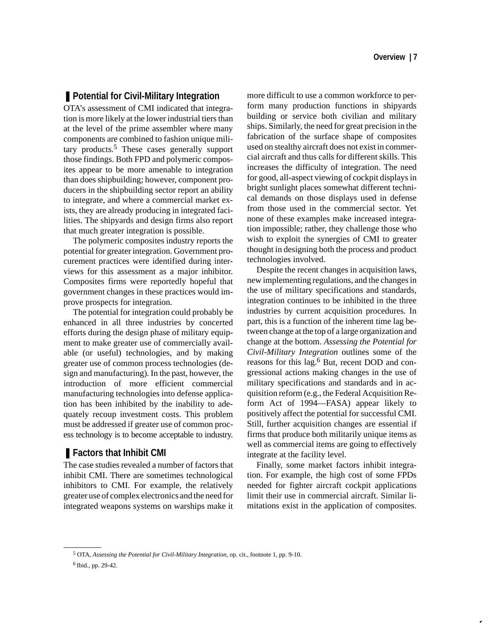# ■ Potential for Civil-Military Integration

OTA's assessment of CMI indicated that integration is more likely at the lower industrial tiers than at the level of the prime assembler where many components are combined to fashion unique military products.5 These cases generally support those findings. Both FPD and polymeric composites appear to be more amenable to integration than does shipbuilding; however, component producers in the shipbuilding sector report an ability to integrate, and where a commercial market exists, they are already producing in integrated facilities. The shipyards and design firms also report that much greater integration is possible.

The polymeric composites industry reports the potential for greater integration. Government procurement practices were identified during interviews for this assessment as a major inhibitor. Composites firms were reportedly hopeful that government changes in these practices would improve prospects for integration.

The potential for integration could probably be enhanced in all three industries by concerted efforts during the design phase of military equipment to make greater use of commercially available (or useful) technologies, and by making greater use of common process technologies (design and manufacturing). In the past, however, the introduction of more efficient commercial manufacturing technologies into defense application has been inhibited by the inability to adequately recoup investment costs. This problem must be addressed if greater use of common process technology is to become acceptable to industry.

# ■ **Factors that Inhibit CMI**

The case studies revealed a number of factors that inhibit CMI. There are sometimes technological inhibitors to CMI. For example, the relatively greater use of complex electronics and the need for integrated weapons systems on warships make it more difficult to use a common workforce to perform many production functions in shipyards building or service both civilian and military ships. Similarly, the need for great precision in the fabrication of the surface shape of composites used on stealthy aircraft does not exist in commercial aircraft and thus calls for different skills. This increases the difficulty of integration. The need for good, all-aspect viewing of cockpit displays in bright sunlight places somewhat different technical demands on those displays used in defense from those used in the commercial sector. Yet none of these examples make increased integration impossible; rather, they challenge those who wish to exploit the synergies of CMI to greater thought in designing both the process and product technologies involved.

Despite the recent changes in acquisition laws, new implementing regulations, and the changes in the use of military specifications and standards, integration continues to be inhibited in the three industries by current acquisition procedures. In part, this is a function of the inherent time lag between change at the top of a large organization and change at the bottom. *Assessing the Potential for Civil-Military Integration* outlines some of the reasons for this lag.<sup>6</sup> But, recent DOD and congressional actions making changes in the use of military specifications and standards and in acquisition reform (e.g., the Federal Acquisition Reform Act of 1994—FASA) appear likely to positively affect the potential for successful CMI. Still, further acquisition changes are essential if firms that produce both militarily unique items as well as commercial items are going to effectively integrate at the facility level.

Finally, some market factors inhibit integration. For example, the high cost of some FPDs needed for fighter aircraft cockpit applications limit their use in commercial aircraft. Similar limitations exist in the application of composites.

5 OTA*, Assessing the Potential for Civil-Military Integration*, op. cit., footnote 1, pp. 9-10. 6 Ibid., pp. 29-42.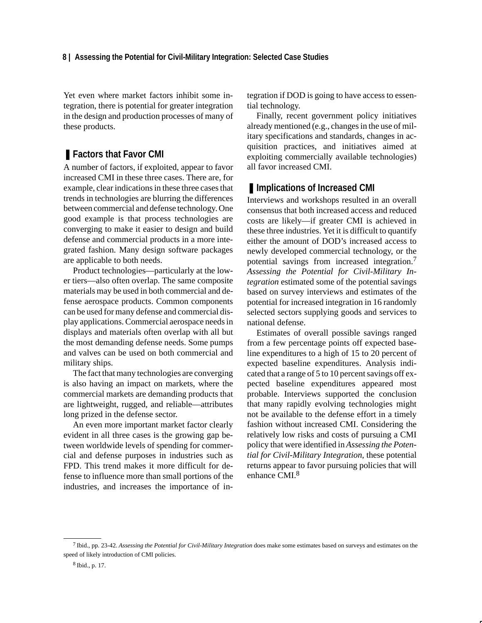# **8 | Assessing the Potential for Civil-Military Integration: Selected Case Studies**

Yet even where market factors inhibit some integration, there is potential for greater integration in the design and production processes of many of these products.

# ■ **Factors that Favor CMI**

A number of factors, if exploited, appear to favor increased CMI in these three cases. There are, for example, clear indications in these three cases that trends in technologies are blurring the differences between commercial and defense technology. One good example is that process technologies are converging to make it easier to design and build defense and commercial products in a more integrated fashion. Many design software packages are applicable to both needs.

Product technologies—particularly at the lower tiers—also often overlap. The same composite materials may be used in both commercial and defense aerospace products. Common components can be used for many defense and commercial display applications. Commercial aerospace needs in displays and materials often overlap with all but the most demanding defense needs. Some pumps and valves can be used on both commercial and military ships.

The fact that many technologies are converging is also having an impact on markets, where the commercial markets are demanding products that are lightweight, rugged, and reliable—attributes long prized in the defense sector.

An even more important market factor clearly evident in all three cases is the growing gap between worldwide levels of spending for commercial and defense purposes in industries such as FPD. This trend makes it more difficult for defense to influence more than small portions of the industries, and increases the importance of integration if DOD is going to have access to essential technology.

Finally, recent government policy initiatives already mentioned (e.g., changes in the use of military specifications and standards, changes in acquisition practices, and initiatives aimed at exploiting commercially available technologies) all favor increased CMI.

# ■ **Implications of Increased CMI**

Interviews and workshops resulted in an overall consensus that both increased access and reduced costs are likely—if greater CMI is achieved in these three industries. Yet it is difficult to quantify either the amount of DOD's increased access to newly developed commercial technology, or the potential savings from increased integration.7 *Assessing the Potential for Civil-Military Integration* estimated some of the potential savings based on survey interviews and estimates of the potential for increased integration in 16 randomly selected sectors supplying goods and services to national defense.

Estimates of overall possible savings ranged from a few percentage points off expected baseline expenditures to a high of 15 to 20 percent of expected baseline expenditures. Analysis indicated that a range of 5 to 10 percent savings off expected baseline expenditures appeared most probable. Interviews supported the conclusion that many rapidly evolving technologies might not be available to the defense effort in a timely fashion without increased CMI. Considering the relatively low risks and costs of pursuing a CMI policy that were identified in *Assessing the Potential for Civil-Military Integration*, these potential returns appear to favor pursuing policies that will enhance CMI.<sup>8</sup>

<sup>7</sup> Ibid., pp. 23-42. *Assessing the Potential for Civil-Military Integration* does make some estimates based on surveys and estimates on the speed of likely introduction of CMI policies.

<sup>8</sup> Ibid., p. 17.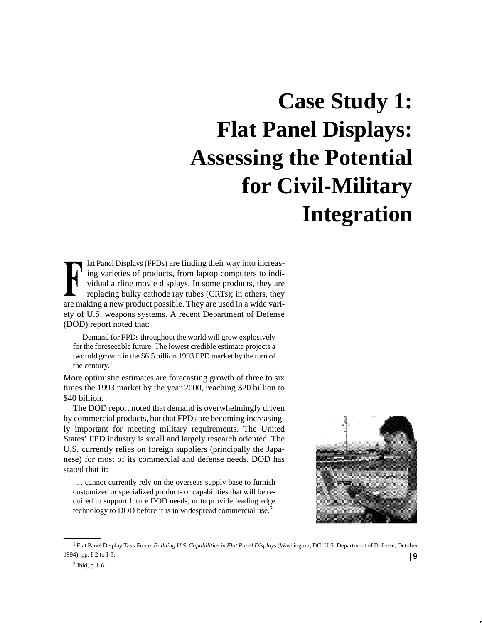# **Case Study 1: Flat Panel Displays: Assessing the Potential for Civil-Military Integration**

lat Panel Displays (FPDs) are finding their way into increasing varieties of products, from laptop computers to individual airline movie displays. In some products, they are replacing bulky cathode ray tubes (CRTs); in others, they are making a new product possible. They are used in a wide variety of U.S. weapons systems. A recent Department of Defense (DOD) report noted that:

Demand for FPDs throughout the world will grow explosively for the foreseeable future. The lowest credible estimate projects a twofold growth in the \$6.5 billion 1993 FPD market by the turn of the century.1

More optimistic estimates are forecasting growth of three to six times the 1993 market by the year 2000, reaching \$20 billion to \$40 billion.

The DOD report noted that demand is overwhelmingly driven by commercial products, but that FPDs are becoming increasingly important for meeting military requirements. The United States' FPD industry is small and largely research oriented. The U.S. currently relies on foreign suppliers (principally the Japanese) for most of its commercial and defense needs. DOD has stated that it:

. . . cannot currently rely on the overseas supply base to furnish customized or specialized products or capabilities that will be required to support future DOD needs, or to provide leading edge technology to DOD before it is in widespread commercial use.2



<sup>1</sup> Flat Panel Display Task Force, *Building U.S. Capabilities in Flat Panel Displays* (Washington, DC: U.S. Department of Defense, October 1994), pp. I-2 to I-3. **| 9**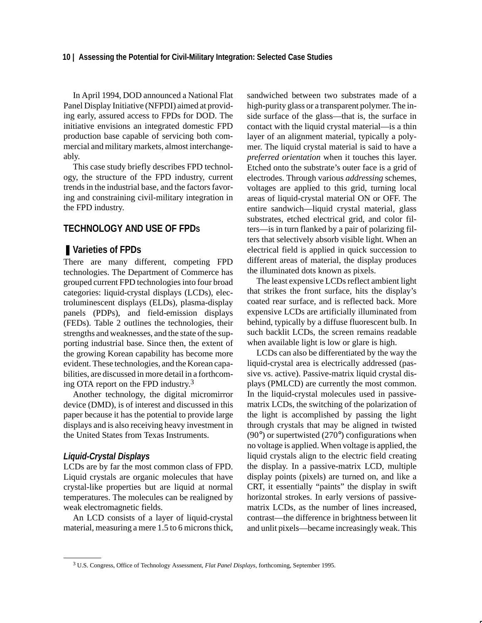In April 1994, DOD announced a National Flat Panel Display Initiative (NFPDI) aimed at providing early, assured access to FPDs for DOD. The initiative envisions an integrated domestic FPD production base capable of servicing both commercial and military markets, almost interchangeably.

This case study briefly describes FPD technology, the structure of the FPD industry, current trends in the industrial base, and the factors favoring and constraining civil-military integration in the FPD industry.

# **TECHNOLOGY AND USE OF FPDS**

# ■ Varieties of **FPDs**

There are many different, competing FPD technologies. The Department of Commerce has grouped current FPD technologies into four broad categories: liquid-crystal displays (LCDs), electroluminescent displays (ELDs), plasma-display panels (PDPs), and field-emission displays (FEDs). Table 2 outlines the technologies, their strengths and weaknesses, and the state of the supporting industrial base. Since then, the extent of the growing Korean capability has become more evident. These technologies, and the Korean capabilities, are discussed in more detail in a forthcoming OTA report on the FPD industry.<sup>3</sup>

Another technology, the digital micromirror device (DMD), is of interest and discussed in this paper because it has the potential to provide large displays and is also receiving heavy investment in the United States from Texas Instruments.

#### *Liquid-Crystal Displays*

LCDs are by far the most common class of FPD. Liquid crystals are organic molecules that have crystal-like properties but are liquid at normal temperatures. The molecules can be realigned by weak electromagnetic fields.

An LCD consists of a layer of liquid-crystal material, measuring a mere 1.5 to 6 microns thick,

sandwiched between two substrates made of a high-purity glass or a transparent polymer. The inside surface of the glass—that is, the surface in contact with the liquid crystal material—is a thin layer of an alignment material, typically a polymer. The liquid crystal material is said to have a *preferred orientation* when it touches this layer. Etched onto the substrate's outer face is a grid of electrodes. Through various *addressing* schemes, voltages are applied to this grid, turning local areas of liquid-crystal material ON or OFF. The entire sandwich—liquid crystal material, glass substrates, etched electrical grid, and color filters—is in turn flanked by a pair of polarizing filters that selectively absorb visible light. When an electrical field is applied in quick succession to different areas of material, the display produces the illuminated dots known as pixels.

The least expensive LCDs reflect ambient light that strikes the front surface, hits the display's coated rear surface, and is reflected back. More expensive LCDs are artificially illuminated from behind, typically by a diffuse fluorescent bulb. In such backlit LCDs, the screen remains readable when available light is low or glare is high.

LCDs can also be differentiated by the way the liquid-crystal area is electrically addressed (passive vs. active). Passive-matrix liquid crystal displays (PMLCD) are currently the most common. In the liquid-crystal molecules used in passivematrix LCDs, the switching of the polarization of the light is accomplished by passing the light through crystals that may be aligned in twisted  $(90^{\circ})$  or supertwisted  $(270^{\circ})$  configurations when no voltage is applied. When voltage is applied, the liquid crystals align to the electric field creating the display. In a passive-matrix LCD, multiple display points (pixels) are turned on, and like a CRT, it essentially "paints" the display in swift horizontal strokes. In early versions of passivematrix LCDs, as the number of lines increased, contrast—the difference in brightness between lit and unlit pixels—became increasingly weak. This

<sup>3</sup> U.S. Congress, Office of Technology Assessment, *Flat Panel Displays*, forthcoming, September 1995.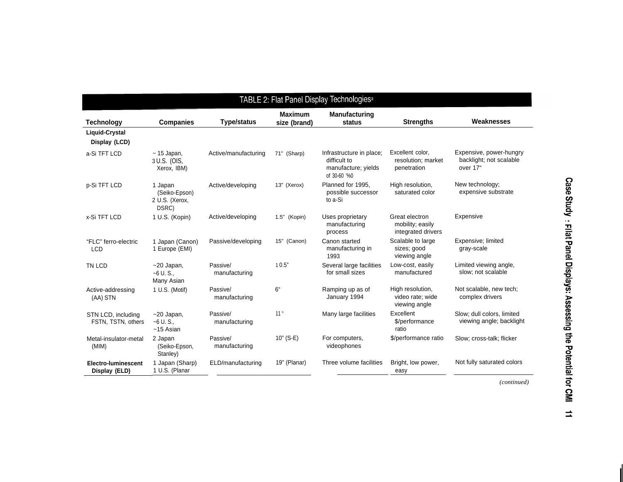| TABLE 2: Flat Panel Display Technologies <sup>a</sup> |                                                     |                           |                                |                                                                                 |                                                          |                                                                |
|-------------------------------------------------------|-----------------------------------------------------|---------------------------|--------------------------------|---------------------------------------------------------------------------------|----------------------------------------------------------|----------------------------------------------------------------|
| <b>Technology</b>                                     | <b>Companies</b>                                    | <b>Type/status</b>        | <b>Maximum</b><br>size (brand) | <b>Manufacturing</b><br>status                                                  | <b>Strengths</b>                                         | Weaknesses                                                     |
| Liquid-Crystal<br>Display (LCD)                       |                                                     |                           |                                |                                                                                 |                                                          |                                                                |
| a-Si TFT LCD                                          | $\sim$ 15 Japan,<br>3 U.S. (OIS,<br>Xerox, IBM)     | Active/manufacturing      | 71" (Sharp)                    | Infrastructure in place;<br>difficult to<br>manufacture; yields<br>of 30-60 '%0 | Excellent color,<br>resolution; market<br>penetration    | Expensive, power-hungry<br>backlight; not scalable<br>over 17" |
| p-Si TFT LCD                                          | 1 Japan<br>(Seiko-Epson)<br>2 U.S. (Xerox,<br>DSRC) | Active/developing         | 13" (Xerox)                    | Planned for 1995,<br>possible successor<br>to a-Si                              | High resolution,<br>saturated color                      | New technology;<br>expensive substrate                         |
| x-Si TFT LCD                                          | 1 U.S. (Kopin)                                      | Active/developing         | 1.5" (Kopin)                   | Uses proprietary<br>manufacturing<br>process                                    | Great electron<br>mobility; easily<br>integrated drivers | Expensive                                                      |
| "FLC" ferro-electric<br><b>LCD</b>                    | 1 Japan (Canon)<br>1 Europe (EMI)                   | Passive/developing        | 15" (Canon)                    | Canon started<br>manufacturing in<br>1993                                       | Scalable to large<br>sizes; good<br>viewing angle        | Expensive; limited<br>gray-scale                               |
| TN LCD                                                | $~20$ Japan,<br>$-6$ U.S.<br>Many Asian             | Passive/<br>manufacturing | 10.5"                          | Several large facilities<br>for small sizes                                     | Low-cost, easily<br>manufactured                         | Limited viewing angle,<br>slow; not scalable                   |
| Active-addressing<br>(AA) STN                         | 1 U.S. (Motif)                                      | Passive/<br>manufacturing | 6 <sup>4</sup>                 | Ramping up as of<br>January 1994                                                | High resolution,<br>video rate; wide<br>viewing angle    | Not scalable, new tech;<br>complex drivers                     |
| STN LCD, including<br>FSTN, TSTN, others              | $~20$ Japan,<br>$-6$ U.S.<br>$~15$ Asian            | Passive/<br>manufacturing | 11 <sup>''</sup>               | Many large facilities                                                           | Excellent<br>\$/performance<br>ratio                     | Slow; dull colors, limited<br>viewing angle; backlight         |
| Metal-insulator-metal<br>(MIM)                        | 2 Japan<br>(Seiko-Epson,<br>Stanley)                | Passive/<br>manufacturing | $10"$ (S-E)                    | For computers,<br>videophones                                                   | \$/performance ratio                                     | Slow; cross-talk; flicker                                      |
| <b>Electro-luminescent</b><br>Display (ELD)           | 1 Japan (Sharp)<br>1 U.S. (Planar                   | ELD/manufacturing         | 19" (Planar)                   | Three volume facilities                                                         | Bright, low power,<br>easy                               | Not fully saturated colors                                     |

Case Study : Filat Panel Displays: Assessing the Potential for CMI 11

*(continued)*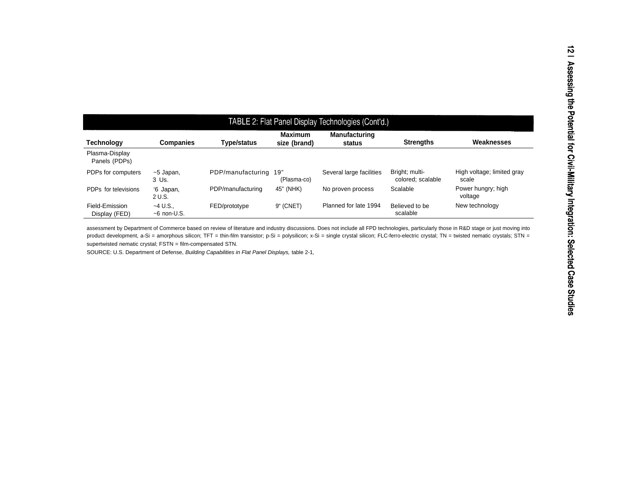| TABLE 2: Flat Panel Display Technologies (Cont'd.) |                            |                   |                                |                                |                                     |                                     |
|----------------------------------------------------|----------------------------|-------------------|--------------------------------|--------------------------------|-------------------------------------|-------------------------------------|
| <b>Technology</b>                                  | <b>Companies</b>           | Type/status       | <b>Maximum</b><br>size (brand) | <b>Manufacturing</b><br>status | <b>Strengths</b>                    | Weaknesses                          |
| Plasma-Display<br>Panels (PDPs)                    |                            |                   |                                |                                |                                     |                                     |
| PDPs for computers                                 | $~5$ Japan,<br>3 Us.       | PDP/manufacturing | 19"<br>(Plasma-co)             | Several large facilities       | Bright; multi-<br>colored: scalable | High voltage; limited gray<br>scale |
| PDPs for televisions                               | '6 Japan,<br>2 U.S.        | PDP/manufacturing | 45" (NHK)                      | No proven process              | Scalable                            | Power hungry; high<br>voltage       |
| Field-Emission<br>Display (FED)                    | $-4$ U.S.<br>$~5$ non-U.S. | FED/prototype     | 9" (CNET)                      | Planned for late 1994          | Believed to be<br>scalable          | New technology                      |

assessment by Department of Commerce based on review of literature and industry discussions. Does not include all FPD technologies, particularly those in R&D stage or just moving into product development, a-Si = amorphous silicon; TFT = thin-film transistor; p-Si = polysilicon; x-Si = single crystal silicon; FLC-ferro-electric crystal; TN = twisted nematic crystals; STN = supertwisted nematic crystal; FSTN = film-compensated STN.

SOURCE: U.S. Department of Defense, Building Capabilities in Flat Panel Displays, table 2-1,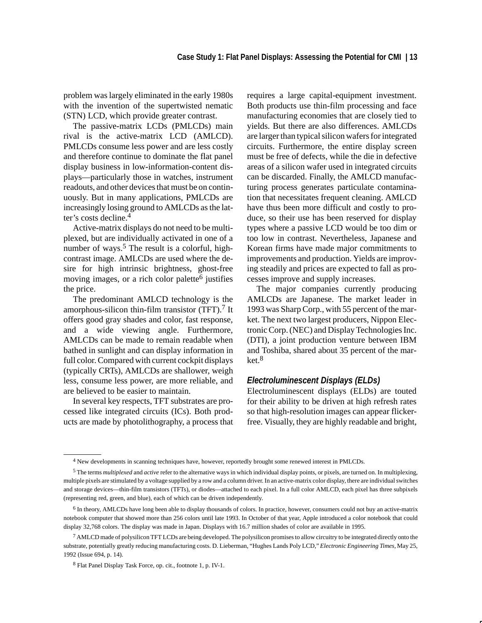problem was largely eliminated in the early 1980s with the invention of the supertwisted nematic (STN) LCD, which provide greater contrast.

The passive-matrix LCDs (PMLCDs) main rival is the active-matrix LCD (AMLCD). PMLCDs consume less power and are less costly and therefore continue to dominate the flat panel display business in low-information-content displays—particularly those in watches, instrument readouts, and other devices that must be on continuously. But in many applications, PMLCDs are increasingly losing ground to AMLCDs as the latter's costs decline.4

Active-matrix displays do not need to be multiplexed, but are individually activated in one of a number of ways.<sup>5</sup> The result is a colorful, highcontrast image. AMLCDs are used where the desire for high intrinsic brightness, ghost-free moving images, or a rich color palette $<sup>6</sup>$  justifies</sup> the price.

The predominant AMLCD technology is the amorphous-silicon thin-film transistor  $(TFT)$ .<sup>7</sup> It offers good gray shades and color, fast response, and a wide viewing angle. Furthermore, AMLCDs can be made to remain readable when bathed in sunlight and can display information in full color. Compared with current cockpit displays (typically CRTs), AMLCDs are shallower, weigh less, consume less power, are more reliable, and are believed to be easier to maintain.

In several key respects, TFT substrates are processed like integrated circuits (ICs). Both products are made by photolithography, a process that requires a large capital-equipment investment. Both products use thin-film processing and face manufacturing economies that are closely tied to yields. But there are also differences. AMLCDs are larger than typical silicon wafers for integrated circuits. Furthermore, the entire display screen must be free of defects, while the die in defective areas of a silicon wafer used in integrated circuits can be discarded. Finally, the AMLCD manufacturing process generates particulate contamination that necessitates frequent cleaning. AMLCD have thus been more difficult and costly to produce, so their use has been reserved for display types where a passive LCD would be too dim or too low in contrast. Nevertheless, Japanese and Korean firms have made major commitments to improvements and production. Yields are improving steadily and prices are expected to fall as processes improve and supply increases.

The major companies currently producing AMLCDs are Japanese. The market leader in 1993 was Sharp Corp., with 55 percent of the market. The next two largest producers, Nippon Electronic Corp. (NEC) and Display Technologies Inc. (DTI), a joint production venture between IBM and Toshiba, shared about 35 percent of the market.<sup>8</sup>

# *Electroluminescent Displays (ELDs)*

Electroluminescent displays (ELDs) are touted for their ability to be driven at high refresh rates so that high-resolution images can appear flickerfree. Visually, they are highly readable and bright,

<sup>4</sup> New developments in scanning techniques have, however, reportedly brought some renewed interest in PMLCDs.

<sup>5</sup> The terms *multiplexed* and *active* refer to the alternative ways in which individual display points, or pixels, are turned on. In multiplexing, multiple pixels are stimulated by a voltage supplied by a row and a column driver. In an active-matrix color display, there are individual switches and storage devices—thin-film transistors (TFTs), or diodes—attached to each pixel. In a full color AMLCD, each pixel has three subpixels (representing red, green, and blue), each of which can be driven independently.

<sup>6</sup> In theory, AMLCDs have long been able to display thousands of colors. In practice, however, consumers could not buy an active-matrix notebook computer that showed more than 256 colors until late 1993. In October of that year, Apple introduced a color notebook that could display 32,768 colors. The display was made in Japan. Displays with 16.7 million shades of color are available in 1995.

<sup>&</sup>lt;sup>7</sup> AMLCD made of polysilicon TFT LCDs are being developed. The polysilicon promises to allow circuitry to be integrated directly onto the substrate, potentially greatly reducing manufacturing costs. D. Lieberman, "Hughes Lands Poly LCD," *Electronic Engineering Times,* May 25, 1992 (Issue 694, p. 14).

<sup>8</sup> Flat Panel Display Task Force, op. cit., footnote 1, p. IV-1.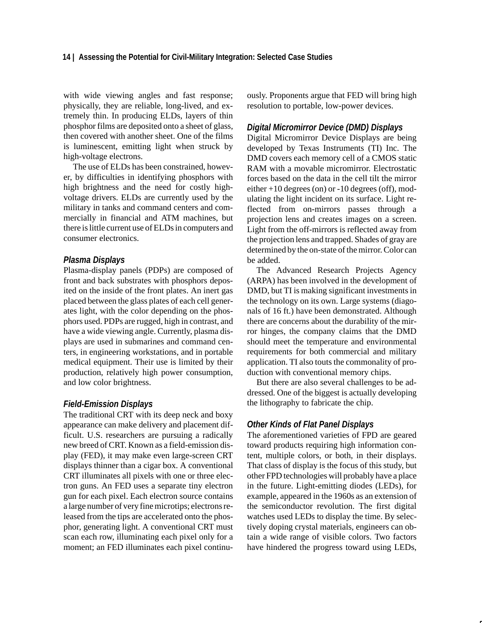with wide viewing angles and fast response; physically, they are reliable, long-lived, and extremely thin. In producing ELDs, layers of thin phosphor films are deposited onto a sheet of glass, then covered with another sheet. One of the films is luminescent, emitting light when struck by high-voltage electrons.

The use of ELDs has been constrained, however, by difficulties in identifying phosphors with high brightness and the need for costly highvoltage drivers. ELDs are currently used by the military in tanks and command centers and commercially in financial and ATM machines, but there is little current use of ELDs in computers and consumer electronics.

#### *Plasma Displays*

Plasma-display panels (PDPs) are composed of front and back substrates with phosphors deposited on the inside of the front plates. An inert gas placed between the glass plates of each cell generates light, with the color depending on the phosphors used. PDPs are rugged, high in contrast, and have a wide viewing angle. Currently, plasma displays are used in submarines and command centers, in engineering workstations, and in portable medical equipment. Their use is limited by their production, relatively high power consumption, and low color brightness.

# *Field-Emission Displays*

The traditional CRT with its deep neck and boxy appearance can make delivery and placement difficult. U.S. researchers are pursuing a radically new breed of CRT. Known as a field-emission display (FED), it may make even large-screen CRT displays thinner than a cigar box. A conventional CRT illuminates all pixels with one or three electron guns. An FED uses a separate tiny electron gun for each pixel. Each electron source contains a large number of very fine microtips; electrons released from the tips are accelerated onto the phosphor, generating light. A conventional CRT must scan each row, illuminating each pixel only for a moment; an FED illuminates each pixel continuously. Proponents argue that FED will bring high resolution to portable, low-power devices.

# *Digital Micromirror Device (DMD) Displays*

Digital Micromirror Device Displays are being developed by Texas Instruments (TI) Inc. The DMD covers each memory cell of a CMOS static RAM with a movable micromirror. Electrostatic forces based on the data in the cell tilt the mirror either +10 degrees (on) or -10 degrees (off), modulating the light incident on its surface. Light reflected from on-mirrors passes through a projection lens and creates images on a screen. Light from the off-mirrors is reflected away from the projection lens and trapped. Shades of gray are determined by the on-state of the mirror. Color can be added.

The Advanced Research Projects Agency (ARPA) has been involved in the development of DMD, but TI is making significant investments in the technology on its own. Large systems (diagonals of 16 ft.) have been demonstrated. Although there are concerns about the durability of the mirror hinges, the company claims that the DMD should meet the temperature and environmental requirements for both commercial and military application. TI also touts the commonality of production with conventional memory chips.

But there are also several challenges to be addressed. One of the biggest is actually developing the lithography to fabricate the chip.

# *Other Kinds of Flat Panel Displays*

The aforementioned varieties of FPD are geared toward products requiring high information content, multiple colors, or both, in their displays. That class of display is the focus of this study, but other FPD technologies will probably have a place in the future. Light-emitting diodes (LEDs), for example, appeared in the 1960s as an extension of the semiconductor revolution. The first digital watches used LEDs to display the time. By selectively doping crystal materials, engineers can obtain a wide range of visible colors. Two factors have hindered the progress toward using LEDs,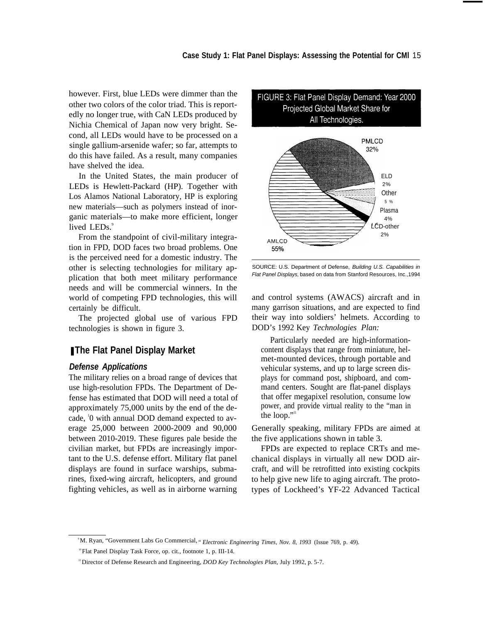however. First, blue LEDs were dimmer than the other two colors of the color triad. This is reportedly no longer true, with CaN LEDs produced by Nichia Chemical of Japan now very bright. Second, all LEDs would have to be processed on a single gallium-arsenide wafer; so far, attempts to do this have failed. As a result, many companies have shelved the idea.

In the United States, the main producer of LEDs is Hewlett-Packard (HP). Together with Los Alamos National Laboratory, HP is exploring new materials—such as polymers instead of inorganic materials—to make more efficient, longer lived LEDs.<sup>9</sup>

From the standpoint of civil-military integration in FPD, DOD faces two broad problems. One is the perceived need for a domestic industry. The other is selecting technologies for military application that both meet military performance needs and will be commercial winners. In the world of competing FPD technologies, this will certainly be difficult.

The projected global use of various FPD technologies is shown in figure 3.

# ■ The Flat Panel Display Market

# *Defense Applications*

The military relies on a broad range of devices that use high-resolution FPDs. The Department of Defense has estimated that DOD will need a total of approximately 75,000 units by the end of the decade, <sup>1</sup> 0 with annual DOD demand expected to average 25,000 between 2000-2009 and 90,000 between 2010-2019. These figures pale beside the civilian market, but FPDs are increasingly important to the U.S. defense effort. Military flat panel displays are found in surface warships, submarines, fixed-wing aircraft, helicopters, and ground fighting vehicles, as well as in airborne warning





SOURCE: U.S. Department of Defense, Building U.S. Capabilities in Flat Panel Displays, based on data from Stanford Resources, Inc.,1994

and control systems (AWACS) aircraft and in many garrison situations, and are expected to find their way into soldiers' helmets. According to DOD's 1992 Key *Technologies Plan:*

Particularly needed are high-informationcontent displays that range from miniature, helmet-mounted devices, through portable and vehicular systems, and up to large screen displays for command post, shipboard, and command centers. Sought are flat-panel displays that offer megapixel resolution, consume low power, and provide virtual reality to the "man in the loop." $\cdot$ "

Generally speaking, military FPDs are aimed at the five applications shown in table 3.

FPDs are expected to replace CRTs and mechanical displays in virtually all new DOD aircraft, and will be retrofitted into existing cockpits to help give new life to aging aircraft. The prototypes of Lockheed's YF-22 Advanced Tactical

<sup>9</sup>M. Ryan, "Government Labs Go Commercial, " *Electronic Engineering Times, Nov. 8, 1993* (Issue 769, p. 49).

<sup>&</sup>lt;sup>10</sup> Flat Panel Display Task Force, op. cit., footnote 1, p. III-14.

<sup>11</sup> Director of Defense Research and Engineering, *DOD Key Technologies Plan,* July 1992, p. 5-7.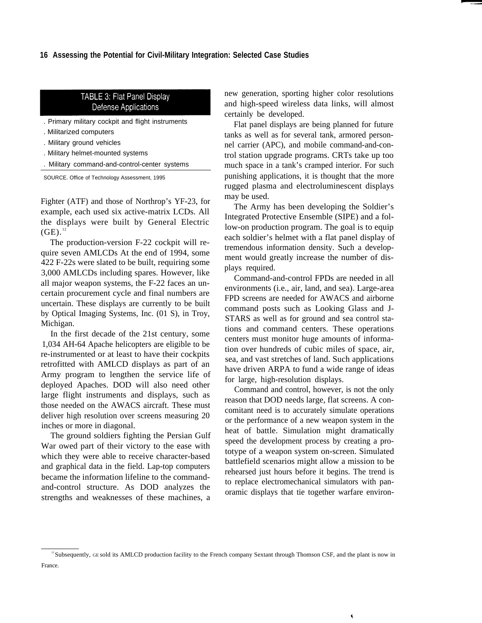#### **16 Assessing the Potential for Civil-Military Integration: Selected Case Studies**

# TABLE 3: Flat Panel Display **Defense Applications**

- . Primary military cockpit and flight instruments
- . Militarized computers
- . Military ground vehicles
- . Military helmet-mounted systems
- . Military command-and-control-center systems

SOURCE. Office of Technology Assessment, 1995

Fighter (ATF) and those of Northrop's YF-23, for example, each used six active-matrix LCDs. All the displays were built by General Electric  $(GE).$ <sup>12</sup>

The production-version F-22 cockpit will require seven AMLCDs At the end of 1994, some 422 F-22s were slated to be built, requiring some 3,000 AMLCDs including spares. However, like all major weapon systems, the F-22 faces an uncertain procurement cycle and final numbers are uncertain. These displays are currently to be built by Optical Imaging Systems, Inc. (01 S), in Troy, Michigan.

In the first decade of the 21st century, some 1,034 AH-64 Apache helicopters are eligible to be re-instrumented or at least to have their cockpits retrofitted with AMLCD displays as part of an Army program to lengthen the service life of deployed Apaches. DOD will also need other large flight instruments and displays, such as those needed on the AWACS aircraft. These must deliver high resolution over screens measuring 20 inches or more in diagonal.

The ground soldiers fighting the Persian Gulf War owed part of their victory to the ease with which they were able to receive character-based and graphical data in the field. Lap-top computers became the information lifeline to the commandand-control structure. As DOD analyzes the strengths and weaknesses of these machines, a

new generation, sporting higher color resolutions and high-speed wireless data links, will almost certainly be developed.

Flat panel displays are being planned for future tanks as well as for several tank, armored personnel carrier (APC), and mobile command-and-control station upgrade programs. CRTs take up too much space in a tank's cramped interior. For such punishing applications, it is thought that the more rugged plasma and electroluminescent displays may be used.

The Army has been developing the Soldier's Integrated Protective Ensemble (SIPE) and a follow-on production program. The goal is to equip each soldier's helmet with a flat panel display of tremendous information density. Such a development would greatly increase the number of displays required.

Command-and-control FPDs are needed in all environments (i.e., air, land, and sea). Large-area FPD screens are needed for AWACS and airborne command posts such as Looking Glass and J-STARS as well as for ground and sea control stations and command centers. These operations centers must monitor huge amounts of information over hundreds of cubic miles of space, air, sea, and vast stretches of land. Such applications have driven ARPA to fund a wide range of ideas for large, high-resolution displays.

Command and control, however, is not the only reason that DOD needs large, flat screens. A concomitant need is to accurately simulate operations or the performance of a new weapon system in the heat of battle. Simulation might dramatically speed the development process by creating a prototype of a weapon system on-screen. Simulated battlefield scenarios might allow a mission to be rehearsed just hours before it begins. The trend is to replace electromechanical simulators with panoramic displays that tie together warfare environ-

 $\blacktriangleleft$ 

<sup>&</sup>lt;sup>12</sup>Subsequently, GE sold its AMLCD production facility to the French company Sextant through Thomson CSF, and the plant is now in France.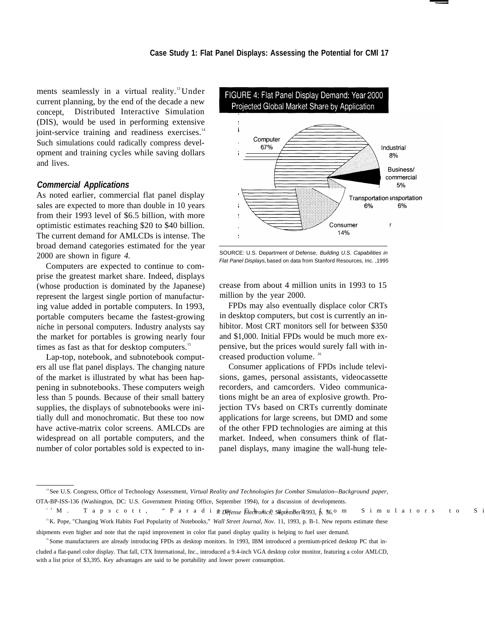ments seamlessly in a virtual reality.<sup>13</sup>Under current planning, by the end of the decade a new concept, Distributed Interactive Simulation (DIS), would be used in performing extensive joint-service training and readiness exercises.<sup>14</sup> Such simulations could radically compress development and training cycles while saving dollars and lives.

#### *Commercial Applications*

As noted earlier, commercial flat panel display sales are expected to more than double in 10 years from their 1993 level of \$6.5 billion, with more optimistic estimates reaching \$20 to \$40 billion. The current demand for AMLCDs is intense. The broad demand categories estimated for the year 2000 are shown in figure *4.*

Computers are expected to continue to comprise the greatest market share. Indeed, displays (whose production is dominated by the Japanese) represent the largest single portion of manufacturing value added in portable computers. In 1993, portable computers became the fastest-growing niche in personal computers. Industry analysts say the market for portables is growing nearly four times as fast as that for desktop computers.<sup>15</sup>

Lap-top, notebook, and subnotebook computers all use flat panel displays. The changing nature of the market is illustrated by what has been happening in subnotebooks. These computers weigh less than 5 pounds. Because of their small battery supplies, the displays of subnotebooks were initially dull and monochromatic. But these too now have active-matrix color screens. AMLCDs are widespread on all portable computers, and the number of color portables sold is expected to in-



SOURCE: U.S. Department of Defense, Building U.S. Capabilities in Flat Panel Displays, based on data from Stanford Resources, Inc. ,1995

crease from about 4 million units in 1993 to 15 million by the year 2000.

FPDs may also eventually displace color CRTs in desktop computers, but cost is currently an inhibitor. Most CRT monitors sell for between \$350 and \$1,000. Initial FPDs would be much more expensive, but the prices would surely fall with increased production volume.<sup>16</sup>

Consumer applications of FPDs include televisions, games, personal assistants, videocassette recorders, and camcorders. Video communications might be an area of explosive growth. Projection TVs based on CRTs currently dominate applications for large screens, but DMD and some of the other FPD technologies are aiming at this market. Indeed, when consumers think of flatpanel displays, many imagine the wall-hung tele-

<sup>13</sup>See U.S. Congress, Office of Technology Assessment, *Virtual Reality and Technologies for Combat Simulation--Background paper,* OTA-BP-ISS-136 (Washington, DC: U.S. Government Printing Office, September 1994), for a discussion of developments.

<sup>&</sup>lt;sup>14</sup> M. Tapscott, "Paradigs *DP fense Electronics*, S&ptember 21993, p. 36.0 m Simulators to Si

<sup>&</sup>lt;sup>15</sup>K. Pope, "Changing Work Habits Fuel Popularity of Notebooks," Wall Street Journal, Nov. 11, 1993, p. B-1. New reports estimate these

shipments even higher and note that the rapid improvement in color flat panel display quality is helping to fuel user demand.

<sup>&</sup>lt;sup>16</sup> Some manufacturers are already introducing FPDs as desktop monitors. In 1993, IBM introduced a premium-priced desktop PC that included a flat-panel color display. That fall, CTX International, Inc., introduced a 9.4-inch VGA desktop color monitor, featuring a color AMLCD, with a list price of \$3,395. Key advantages are said to be portability and lower power consumption.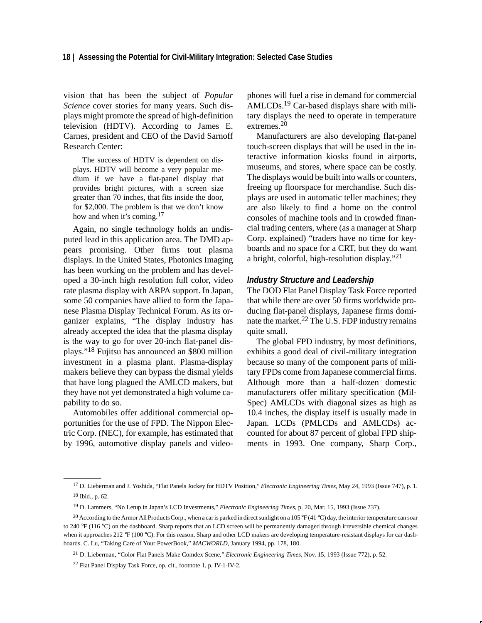#### **18 | Assessing the Potential for Civil-Military Integration: Selected Case Studies**

vision that has been the subject of *Popular Science* cover stories for many years. Such displays might promote the spread of high-definition television (HDTV). According to James E. Carnes, president and CEO of the David Sarnoff Research Center:

The success of HDTV is dependent on displays. HDTV will become a very popular medium if we have a flat-panel display that provides bright pictures, with a screen size greater than 70 inches, that fits inside the door, for \$2,000. The problem is that we don't know how and when it's coming.<sup>17</sup>

Again, no single technology holds an undisputed lead in this application area. The DMD appears promising. Other firms tout plasma displays. In the United States, Photonics Imaging has been working on the problem and has developed a 30-inch high resolution full color, video rate plasma display with ARPA support. In Japan, some 50 companies have allied to form the Japanese Plasma Display Technical Forum. As its organizer explains, "The display industry has already accepted the idea that the plasma display is the way to go for over 20-inch flat-panel displays."18 Fujitsu has announced an \$800 million investment in a plasma plant. Plasma-display makers believe they can bypass the dismal yields that have long plagued the AMLCD makers, but they have not yet demonstrated a high volume capability to do so.

Automobiles offer additional commercial opportunities for the use of FPD. The Nippon Electric Corp. (NEC), for example, has estimated that by 1996, automotive display panels and videophones will fuel a rise in demand for commercial AMLCDs.<sup>19</sup> Car-based displays share with military displays the need to operate in temperature extremes.<sup>20</sup>

Manufacturers are also developing flat-panel touch-screen displays that will be used in the interactive information kiosks found in airports, museums, and stores, where space can be costly. The displays would be built into walls or counters, freeing up floorspace for merchandise. Such displays are used in automatic teller machines; they are also likely to find a home on the control consoles of machine tools and in crowded financial trading centers, where (as a manager at Sharp Corp. explained) "traders have no time for keyboards and no space for a CRT, but they do want a bright, colorful, high-resolution display."<sup>21</sup>

#### *Industry Structure and Leadership*

The DOD Flat Panel Display Task Force reported that while there are over 50 firms worldwide producing flat-panel displays, Japanese firms dominate the market.22 The U.S. FDP industry remains quite small.

The global FPD industry, by most definitions, exhibits a good deal of civil-military integration because so many of the component parts of military FPDs come from Japanese commercial firms. Although more than a half-dozen domestic manufacturers offer military specification (Mil-Spec) AMLCDs with diagonal sizes as high as 10.4 inches, the display itself is usually made in Japan. LCDs (PMLCDs and AMLCDs) accounted for about 87 percent of global FPD shipments in 1993. One company, Sharp Corp.,

<sup>17</sup> D. Lieberman and J. Yoshida, "Flat Panels Jockey for HDTV Position," *Electronic Engineering Times*, May 24, 1993 (Issue 747), p. 1. 18 Ibid., p. 62.

<sup>19</sup> D. Lammers, "No Letup in Japan's LCD Investments," *Electronic Engineering Times*, p. 20, Mar. 15, 1993 (Issue 737).

<sup>&</sup>lt;sup>20</sup> According to the Armor All Products Corp., when a car is parked in direct sunlight on a 105 °F (41 °C) day, the interior temperature can soar to 240 °F (116 °C) on the dashboard. Sharp reports that an LCD screen will be permanently damaged through irreversible chemical changes when it approaches 212 °F (100 °C). For this reason, Sharp and other LCD makers are developing temperature-resistant displays for car dashboards. C. Lu, "Taking Care of Your PowerBook," *MACWORLD*, January 1994, pp. 178, 180.

<sup>21</sup> D. Lieberman, "Color Flat Panels Make Comdex Scene," *Electronic Engineering Times*, Nov. 15, 1993 (Issue 772), p. 52.

<sup>22</sup> Flat Panel Display Task Force, op. cit., footnote 1, p. IV-1-IV-2.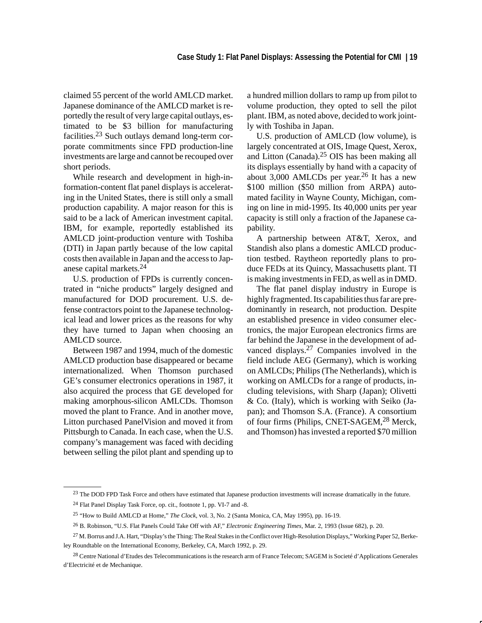claimed 55 percent of the world AMLCD market. Japanese dominance of the AMLCD market is reportedly the result of very large capital outlays, estimated to be \$3 billion for manufacturing facilities.23 Such outlays demand long-term corporate commitments since FPD production-line investments are large and cannot be recouped over short periods.

While research and development in high-information-content flat panel displays is accelerating in the United States, there is still only a small production capability. A major reason for this is said to be a lack of American investment capital. IBM, for example, reportedly established its AMLCD joint-production venture with Toshiba (DTI) in Japan partly because of the low capital costs then available in Japan and the access to Japanese capital markets.24

U.S. production of FPDs is currently concentrated in "niche products" largely designed and manufactured for DOD procurement. U.S. defense contractors point to the Japanese technological lead and lower prices as the reasons for why they have turned to Japan when choosing an AMLCD source.

Between 1987 and 1994, much of the domestic AMLCD production base disappeared or became internationalized. When Thomson purchased GE's consumer electronics operations in 1987, it also acquired the process that GE developed for making amorphous-silicon AMLCDs. Thomson moved the plant to France. And in another move, Litton purchased PanelVision and moved it from Pittsburgh to Canada. In each case, when the U.S. company's management was faced with deciding between selling the pilot plant and spending up to a hundred million dollars to ramp up from pilot to volume production, they opted to sell the pilot plant. IBM, as noted above, decided to work jointly with Toshiba in Japan.

U.S. production of AMLCD (low volume), is largely concentrated at OIS, Image Quest, Xerox, and Litton (Canada).25 OIS has been making all its displays essentially by hand with a capacity of about 3,000 AMLCDs per year.26 It has a new \$100 million (\$50 million from ARPA) automated facility in Wayne County, Michigan, coming on line in mid-1995. Its 40,000 units per year capacity is still only a fraction of the Japanese capability.

A partnership between AT&T, Xerox, and Standish also plans a domestic AMLCD production testbed. Raytheon reportedly plans to produce FEDs at its Quincy, Massachusetts plant. TI is making investments in FED, as well as in DMD.

The flat panel display industry in Europe is highly fragmented. Its capabilities thus far are predominantly in research, not production. Despite an established presence in video consumer electronics, the major European electronics firms are far behind the Japanese in the development of advanced displays.27 Companies involved in the field include AEG (Germany), which is working on AMLCDs; Philips (The Netherlands), which is working on AMLCDs for a range of products, including televisions, with Sharp (Japan); Olivetti & Co. (Italy), which is working with Seiko (Japan); and Thomson S.A. (France). A consortium of four firms (Philips, CNET-SAGEM,28 Merck, and Thomson) has invested a reported \$70 million

<sup>&</sup>lt;sup>23</sup> The DOD FPD Task Force and others have estimated that Japanese production investments will increase dramatically in the future.

<sup>24</sup> Flat Panel Display Task Force, op. cit., footnote 1, pp. VI-7 and -8.

<sup>25 &</sup>quot;How to Build AMLCD at Home," *The Clock*, vol. 3, No. 2 (Santa Monica, CA, May 1995), pp. 16-19.

<sup>26</sup> B. Robinson, "U.S. Flat Panels Could Take Off with AF," *Electronic Engineering Times*, Mar. 2, 1993 (Issue 682), p. 20.

<sup>&</sup>lt;sup>27</sup> M. Borrus and J.A. Hart, "Display's the Thing: The Real Stakes in the Conflict over High-Resolution Displays," Working Paper 52, Berkeley Roundtable on the International Economy, Berkeley, CA, March 1992, p. 29.

<sup>28</sup> Centre National d'Etudes des Telecommunications is the research arm of France Telecom; SAGEM is Societé d'Applications Generales d'Electricité et de Mechanique.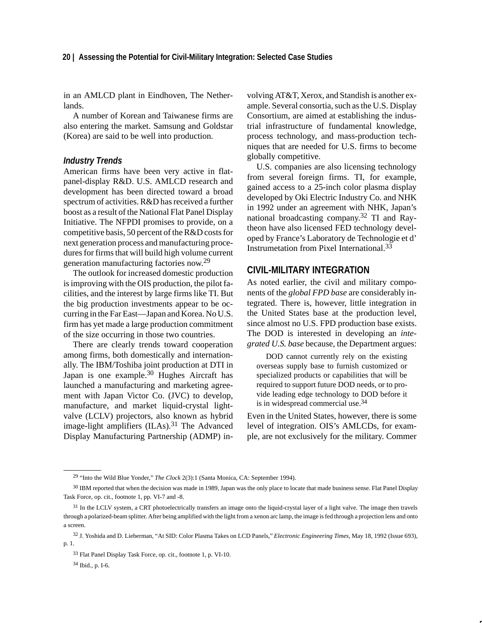in an AMLCD plant in Eindhoven, The Netherlands.

A number of Korean and Taiwanese firms are also entering the market. Samsung and Goldstar (Korea) are said to be well into production.

### *Industry Trends*

American firms have been very active in flatpanel-display R&D. U.S. AMLCD research and development has been directed toward a broad spectrum of activities. R&D has received a further boost as a result of the National Flat Panel Display Initiative. The NFPDI promises to provide, on a competitive basis, 50 percent of the R&D costs for next generation process and manufacturing procedures for firms that will build high volume current generation manufacturing factories now.<sup>29</sup>

The outlook for increased domestic production is improving with the OIS production, the pilot facilities, and the interest by large firms like TI. But the big production investments appear to be occurring in the Far East—Japan and Korea. No U.S. firm has yet made a large production commitment of the size occurring in those two countries.

There are clearly trends toward cooperation among firms, both domestically and internationally. The IBM/Toshiba joint production at DTI in Japan is one example.30 Hughes Aircraft has launched a manufacturing and marketing agreement with Japan Victor Co. (JVC) to develop, manufacture, and market liquid-crystal lightvalve (LCLV) projectors, also known as hybrid image-light amplifiers (ILAs).<sup>31</sup> The Advanced Display Manufacturing Partnership (ADMP) involving AT&T, Xerox, and Standish is another example. Several consortia, such as the U.S. Display Consortium, are aimed at establishing the industrial infrastructure of fundamental knowledge, process technology, and mass-production techniques that are needed for U.S. firms to become globally competitive.

U.S. companies are also licensing technology from several foreign firms. TI, for example, gained access to a 25-inch color plasma display developed by Oki Electric Industry Co. and NHK in 1992 under an agreement with NHK, Japan's national broadcasting company.<sup>32</sup> TI and Raytheon have also licensed FED technology developed by France's Laboratory de Technologie et d' Instrumetation from Pixel International.<sup>33</sup>

# **CIVIL-MILITARY INTEGRATION**

As noted earlier, the civil and military components of the *global FPD base* are considerably integrated. There is, however, little integration in the United States base at the production level, since almost no U.S. FPD production base exists. The DOD is interested in developing an *integrated U.S. base* because, the Department argues:

DOD cannot currently rely on the existing overseas supply base to furnish customized or specialized products or capabilities that will be required to support future DOD needs, or to provide leading edge technology to DOD before it is in widespread commercial use.34

Even in the United States, however, there is some level of integration. OIS's AMLCDs, for example, are not exclusively for the military. Commer

<sup>29 &</sup>quot;Into the Wild Blue Yonder," *The Clock* 2(3):1 (Santa Monica, CA: September 1994).

<sup>&</sup>lt;sup>30</sup> IBM reported that when the decision was made in 1989, Japan was the only place to locate that made business sense. Flat Panel Display Task Force, op. cit., footnote 1, pp. VI-7 and -8.

<sup>&</sup>lt;sup>31</sup> In the LCLV system, a CRT photoelectrically transfers an image onto the liquid-crystal layer of a light valve. The image then travels through a polarized-beam splitter. After being amplified with the light from a xenon arc lamp, the image is fed through a projection lens and onto a screen.

<sup>32</sup> J. Yoshida and D. Lieberman, "At SID: Color Plasma Takes on LCD Panels," *Electronic Engineering Times*, May 18, 1992 (Issue 693), p. 1.

<sup>33</sup> Flat Panel Display Task Force, op. cit., footnote 1, p. VI-10.

<sup>34</sup> Ibid., p. I-6.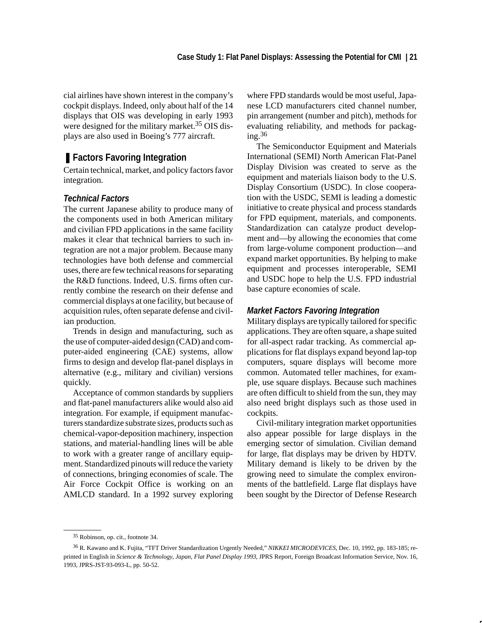cial airlines have shown interest in the company's cockpit displays. Indeed, only about half of the 14 displays that OIS was developing in early 1993 were designed for the military market.<sup>35</sup> OIS displays are also used in Boeing's 777 aircraft.

# ■ **Factors Favoring Integration**

Certain technical, market, and policy factors favor integration.

# *Technical Factors*

The current Japanese ability to produce many of the components used in both American military and civilian FPD applications in the same facility makes it clear that technical barriers to such integration are not a major problem. Because many technologies have both defense and commercial uses, there are few technical reasons for separating the R&D functions. Indeed, U.S. firms often currently combine the research on their defense and commercial displays at one facility, but because of acquisition rules, often separate defense and civilian production.

Trends in design and manufacturing, such as the use of computer-aided design (CAD) and computer-aided engineering (CAE) systems, allow firms to design and develop flat-panel displays in alternative (e.g., military and civilian) versions quickly.

Acceptance of common standards by suppliers and flat-panel manufacturers alike would also aid integration. For example, if equipment manufacturers standardize substrate sizes, products such as chemical-vapor-deposition machinery, inspection stations, and material-handling lines will be able to work with a greater range of ancillary equipment. Standardized pinouts will reduce the variety of connections, bringing economies of scale. The Air Force Cockpit Office is working on an AMLCD standard. In a 1992 survey exploring where FPD standards would be most useful, Japanese LCD manufacturers cited channel number, pin arrangement (number and pitch), methods for evaluating reliability, and methods for packag $ing.^{36}$ 

The Semiconductor Equipment and Materials International (SEMI) North American Flat-Panel Display Division was created to serve as the equipment and materials liaison body to the U.S. Display Consortium (USDC). In close cooperation with the USDC, SEMI is leading a domestic initiative to create physical and process standards for FPD equipment, materials, and components. Standardization can catalyze product development and—by allowing the economies that come from large-volume component production—and expand market opportunities. By helping to make equipment and processes interoperable, SEMI and USDC hope to help the U.S. FPD industrial base capture economies of scale.

#### *Market Factors Favoring Integration*

Military displays are typically tailored for specific applications. They are often square, a shape suited for all-aspect radar tracking. As commercial applications for flat displays expand beyond lap-top computers, square displays will become more common. Automated teller machines, for example, use square displays. Because such machines are often difficult to shield from the sun, they may also need bright displays such as those used in cockpits.

Civil-military integration market opportunities also appear possible for large displays in the emerging sector of simulation. Civilian demand for large, flat displays may be driven by HDTV. Military demand is likely to be driven by the growing need to simulate the complex environments of the battlefield. Large flat displays have been sought by the Director of Defense Research

<sup>35</sup> Robinson, op. cit., footnote 34.

<sup>36</sup> R. Kawano and K. Fujita, "TFT Driver Standardization Urgently Needed," *NIKKEI MICRODEVICES*, Dec. 10, 1992, pp. 183-185; reprinted in English in *Science & Technology, Japan, Flat Panel Display 1993*, JPRS Report, Foreign Broadcast Information Service, Nov. 16, 1993, JPRS-JST-93-093-L, pp. 50-52.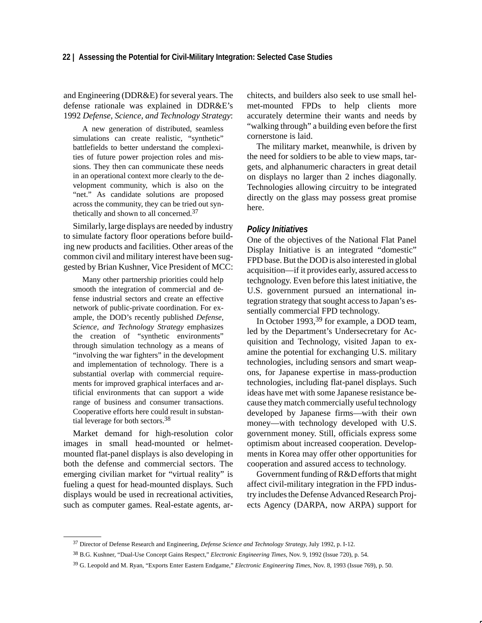and Engineering (DDR&E) for several years. The defense rationale was explained in DDR&E's 1992 *Defense, Science, and Technology Strategy*:

A new generation of distributed, seamless simulations can create realistic, "synthetic" battlefields to better understand the complexities of future power projection roles and missions. They then can communicate these needs in an operational context more clearly to the development community, which is also on the "net." As candidate solutions are proposed across the community, they can be tried out synthetically and shown to all concerned.37

Similarly, large displays are needed by industry to simulate factory floor operations before building new products and facilities. Other areas of the common civil and military interest have been suggested by Brian Kushner, Vice President of MCC:

Many other partnership priorities could help smooth the integration of commercial and defense industrial sectors and create an effective network of public-private coordination. For example, the DOD's recently published *Defense, Science, and Technology Strategy* emphasizes the creation of "synthetic environments" through simulation technology as a means of "involving the war fighters" in the development and implementation of technology. There is a substantial overlap with commercial requirements for improved graphical interfaces and artificial environments that can support a wide range of business and consumer transactions. Cooperative efforts here could result in substantial leverage for both sectors.38

Market demand for high-resolution color images in small head-mounted or helmetmounted flat-panel displays is also developing in both the defense and commercial sectors. The emerging civilian market for "virtual reality" is fueling a quest for head-mounted displays. Such displays would be used in recreational activities, such as computer games. Real-estate agents, architects, and builders also seek to use small helmet-mounted FPDs to help clients more accurately determine their wants and needs by "walking through" a building even before the first cornerstone is laid.

The military market, meanwhile, is driven by the need for soldiers to be able to view maps, targets, and alphanumeric characters in great detail on displays no larger than 2 inches diagonally. Technologies allowing circuitry to be integrated directly on the glass may possess great promise here.

#### *Policy Initiatives*

One of the objectives of the National Flat Panel Display Initiative is an integrated "domestic" FPD base. But the DOD is also interested in global acquisition—if it provides early, assured access to techgnology. Even before this latest initiative, the U.S. government pursued an international integration strategy that sought access to Japan's essentially commercial FPD technology.

In October 1993,<sup>39</sup> for example, a DOD team, led by the Department's Undersecretary for Acquisition and Technology, visited Japan to examine the potential for exchanging U.S. military technologies, including sensors and smart weapons, for Japanese expertise in mass-production technologies, including flat-panel displays. Such ideas have met with some Japanese resistance because they match commercially useful technology developed by Japanese firms—with their own money—with technology developed with U.S. government money. Still, officials express some optimism about increased cooperation. Developments in Korea may offer other opportunities for cooperation and assured access to technology.

Government funding of R&D efforts that might affect civil-military integration in the FPD industry includes the Defense Advanced Research Projects Agency (DARPA, now ARPA) support for

<sup>37</sup> Director of Defense Research and Engineering, *Defense Science and Technology Strategy*, July 1992, p. I-12.

<sup>38</sup> B.G. Kushner, "Dual-Use Concept Gains Respect," *Electronic Engineering Times*, Nov. 9, 1992 (Issue 720), p. 54.

<sup>39</sup> G. Leopold and M. Ryan, "Exports Enter Eastern Endgame," *Electronic Engineering Times,* Nov. 8, 1993 (Issue 769), p. 50.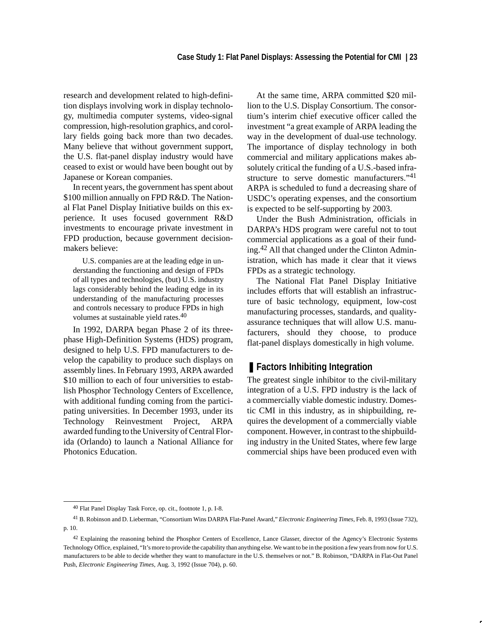research and development related to high-definition displays involving work in display technology, multimedia computer systems, video-signal compression, high-resolution graphics, and corollary fields going back more than two decades. Many believe that without government support, the U.S. flat-panel display industry would have ceased to exist or would have been bought out by Japanese or Korean companies.

In recent years, the government has spent about \$100 million annually on FPD R&D. The National Flat Panel Display Initiative builds on this experience. It uses focused government R&D investments to encourage private investment in FPD production, because government decisionmakers believe:

U.S. companies are at the leading edge in understanding the functioning and design of FPDs of all types and technologies, (but) U.S. industry lags considerably behind the leading edge in its understanding of the manufacturing processes and controls necessary to produce FPDs in high volumes at sustainable yield rates.40

In 1992, DARPA began Phase 2 of its threephase High-Definition Systems (HDS) program, designed to help U.S. FPD manufacturers to develop the capability to produce such displays on assembly lines. In February 1993, ARPA awarded \$10 million to each of four universities to establish Phosphor Technology Centers of Excellence, with additional funding coming from the participating universities. In December 1993, under its Technology Reinvestment Project, ARPA awarded funding to the University of Central Florida (Orlando) to launch a National Alliance for Photonics Education.

At the same time, ARPA committed \$20 million to the U.S. Display Consortium. The consortium's interim chief executive officer called the investment "a great example of ARPA leading the way in the development of dual-use technology. The importance of display technology in both commercial and military applications makes absolutely critical the funding of a U.S.-based infrastructure to serve domestic manufacturers."41 ARPA is scheduled to fund a decreasing share of USDC's operating expenses, and the consortium is expected to be self-supporting by 2003.

Under the Bush Administration, officials in DARPA's HDS program were careful not to tout commercial applications as a goal of their funding.<sup>42</sup> All that changed under the Clinton Administration, which has made it clear that it views FPDs as a strategic technology.

The National Flat Panel Display Initiative includes efforts that will establish an infrastructure of basic technology, equipment, low-cost manufacturing processes, standards, and qualityassurance techniques that will allow U.S. manufacturers, should they choose, to produce flat-panel displays domestically in high volume.

# ■ Factors Inhibiting Integration

The greatest single inhibitor to the civil-military integration of a U.S. FPD industry is the lack of a commercially viable domestic industry. Domestic CMI in this industry, as in shipbuilding, requires the development of a commercially viable component. However, in contrast to the shipbuilding industry in the United States, where few large commercial ships have been produced even with

<sup>40</sup> Flat Panel Display Task Force, op. cit., footnote 1, p. I-8.

<sup>41</sup> B. Robinson and D. Lieberman, "Consortium Wins DARPA Flat-Panel Award," *Electronic Engineering Times*, Feb. 8, 1993 (Issue 732), p. 10.

<sup>42</sup> Explaining the reasoning behind the Phosphor Centers of Excellence, Lance Glasser, director of the Agency's Electronic Systems Technology Office, explained, "It's more to provide the capability than anything else. We want to be in the position a few years from now for U.S. manufacturers to be able to decide whether they want to manufacture in the U.S. themselves or not." B. Robinson, "DARPA in Flat-Out Panel Push, *Electronic Engineering Times*, Aug. 3, 1992 (Issue 704), p. 60.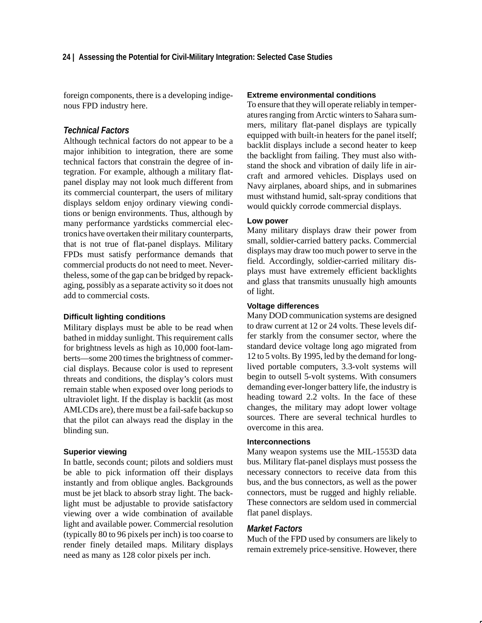foreign components, there is a developing indigenous FPD industry here.

# *Technical Factors*

Although technical factors do not appear to be a major inhibition to integration, there are some technical factors that constrain the degree of integration. For example, although a military flatpanel display may not look much different from its commercial counterpart, the users of military displays seldom enjoy ordinary viewing conditions or benign environments. Thus, although by many performance yardsticks commercial electronics have overtaken their military counterparts, that is not true of flat-panel displays. Military FPDs must satisfy performance demands that commercial products do not need to meet. Nevertheless, some of the gap can be bridged by repackaging, possibly as a separate activity so it does not add to commercial costs.

#### **Difficult lighting conditions**

Military displays must be able to be read when bathed in midday sunlight. This requirement calls for brightness levels as high as 10,000 foot-lamberts—some 200 times the brightness of commercial displays. Because color is used to represent threats and conditions, the display's colors must remain stable when exposed over long periods to ultraviolet light. If the display is backlit (as most AMLCDs are), there must be a fail-safe backup so that the pilot can always read the display in the blinding sun.

#### **Superior viewing**

In battle, seconds count; pilots and soldiers must be able to pick information off their displays instantly and from oblique angles. Backgrounds must be jet black to absorb stray light. The backlight must be adjustable to provide satisfactory viewing over a wide combination of available light and available power. Commercial resolution (typically 80 to 96 pixels per inch) is too coarse to render finely detailed maps. Military displays need as many as 128 color pixels per inch.

# **Extreme environmental conditions**

To ensure that they will operate reliably in temperatures ranging from Arctic winters to Sahara summers, military flat-panel displays are typically equipped with built-in heaters for the panel itself; backlit displays include a second heater to keep the backlight from failing. They must also withstand the shock and vibration of daily life in aircraft and armored vehicles. Displays used on Navy airplanes, aboard ships, and in submarines must withstand humid, salt-spray conditions that would quickly corrode commercial displays.

# **Low power**

Many military displays draw their power from small, soldier-carried battery packs. Commercial displays may draw too much power to serve in the field. Accordingly, soldier-carried military displays must have extremely efficient backlights and glass that transmits unusually high amounts of light.

#### **Voltage differences**

Many DOD communication systems are designed to draw current at 12 or 24 volts. These levels differ starkly from the consumer sector, where the standard device voltage long ago migrated from 12 to 5 volts. By 1995, led by the demand for longlived portable computers, 3.3-volt systems will begin to outsell 5-volt systems. With consumers demanding ever-longer battery life, the industry is heading toward 2.2 volts. In the face of these changes, the military may adopt lower voltage sources. There are several technical hurdles to overcome in this area.

#### **Interconnections**

Many weapon systems use the MIL-1553D data bus. Military flat-panel displays must possess the necessary connectors to receive data from this bus, and the bus connectors, as well as the power connectors, must be rugged and highly reliable. These connectors are seldom used in commercial flat panel displays.

# *Market Factors*

Much of the FPD used by consumers are likely to remain extremely price-sensitive. However, there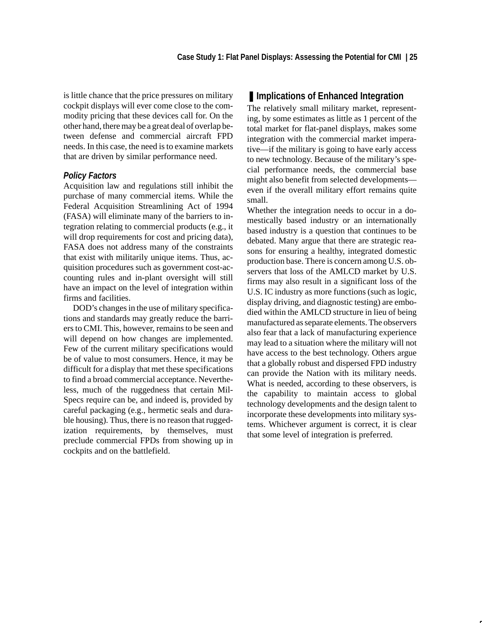is little chance that the price pressures on military cockpit displays will ever come close to the commodity pricing that these devices call for. On the other hand, there may be a great deal of overlap between defense and commercial aircraft FPD needs. In this case, the need is to examine markets that are driven by similar performance need.

# *Policy Factors*

Acquisition law and regulations still inhibit the purchase of many commercial items. While the Federal Acquisition Streamlining Act of 1994 (FASA) will eliminate many of the barriers to integration relating to commercial products (e.g., it will drop requirements for cost and pricing data), FASA does not address many of the constraints that exist with militarily unique items. Thus, acquisition procedures such as government cost-accounting rules and in-plant oversight will still have an impact on the level of integration within firms and facilities.

DOD's changes in the use of military specifications and standards may greatly reduce the barriers to CMI. This, however, remains to be seen and will depend on how changes are implemented. Few of the current military specifications would be of value to most consumers. Hence, it may be difficult for a display that met these specifications to find a broad commercial acceptance. Nevertheless, much of the ruggedness that certain Mil-Specs require can be, and indeed is, provided by careful packaging (e.g., hermetic seals and durable housing). Thus, there is no reason that ruggedization requirements, by themselves, must preclude commercial FPDs from showing up in cockpits and on the battlefield.

# ■ **Implications of Enhanced Integration**

The relatively small military market, representing, by some estimates as little as 1 percent of the total market for flat-panel displays, makes some integration with the commercial market imperative—if the military is going to have early access to new technology. Because of the military's special performance needs, the commercial base might also benefit from selected developments even if the overall military effort remains quite small.

Whether the integration needs to occur in a domestically based industry or an internationally based industry is a question that continues to be debated. Many argue that there are strategic reasons for ensuring a healthy, integrated domestic production base. There is concern among U.S. observers that loss of the AMLCD market by U.S. firms may also result in a significant loss of the U.S. IC industry as more functions (such as logic, display driving, and diagnostic testing) are embodied within the AMLCD structure in lieu of being manufactured as separate elements. The observers also fear that a lack of manufacturing experience may lead to a situation where the military will not have access to the best technology. Others argue that a globally robust and dispersed FPD industry can provide the Nation with its military needs. What is needed, according to these observers, is the capability to maintain access to global technology developments and the design talent to incorporate these developments into military systems. Whichever argument is correct, it is clear that some level of integration is preferred.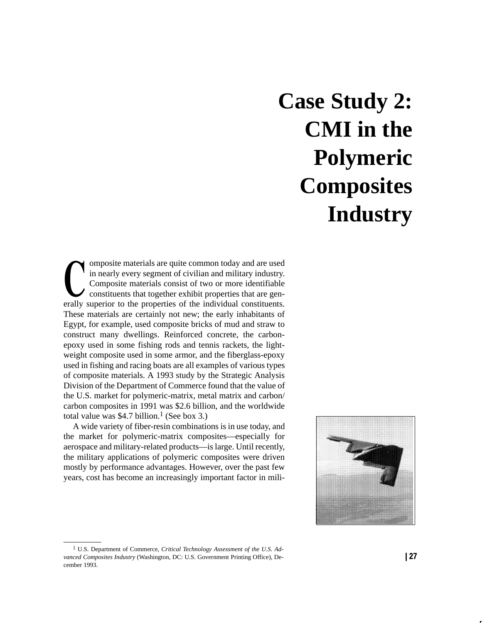# **Case Study 2: CMI in the Polymeric Composites Industry**

omposite materials are quite common today and are used in nearly every segment of civilian and military industry. Composite materials consist of two or more identifiable constituents that together exhibit properties that are generally superior to the properties of the individual constituents. These materials are certainly not new; the early inhabitants of Egypt, for example, used composite bricks of mud and straw to construct many dwellings. Reinforced concrete, the carbonepoxy used in some fishing rods and tennis rackets, the lightweight composite used in some armor, and the fiberglass-epoxy used in fishing and racing boats are all examples of various types of composite materials. A 1993 study by the Strategic Analysis Division of the Department of Commerce found that the value of the U.S. market for polymeric-matrix, metal matrix and carbon/ carbon composites in 1991 was \$2.6 billion, and the worldwide total value was \$4.7 billion.<sup>1</sup> (See box 3.)

A wide variety of fiber-resin combinations is in use today, and the market for polymeric-matrix composites—especially for aerospace and military-related products—is large. Until recently, the military applications of polymeric composites were driven mostly by performance advantages. However, over the past few years, cost has become an increasingly important factor in mili-



<sup>1</sup> U.S. Department of Commerce, *Critical Technology Assessment of the U.S. Advanced Composites Industry* (Washington, DC: U.S. Government Printing Office), December 1993.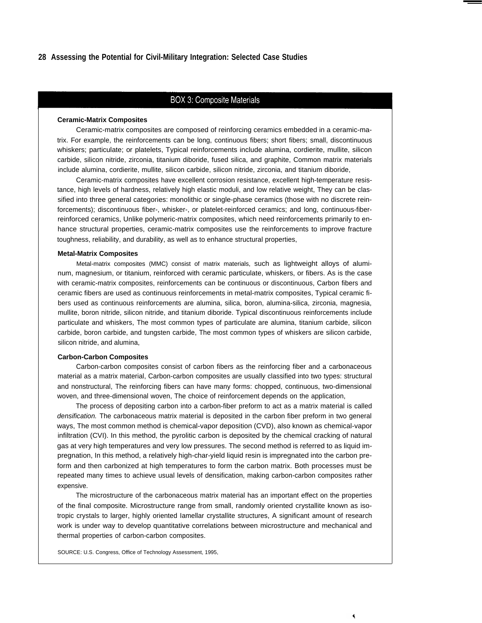#### **28 Assessing the Potential for Civil-Military Integration: Selected Case Studies**

#### **BOX 3: Composite Materials**

#### **Ceramic-Matrix Composites**

Ceramic-matrix composites are composed of reinforcing ceramics embedded in a ceramic-matrix. For example, the reinforcements can be long, continuous fibers; short fibers; small, discontinuous whiskers; particulate; or platelets, Typical reinforcements include alumina, cordierite, mullite, silicon carbide, silicon nitride, zirconia, titanium diboride, fused silica, and graphite, Common matrix materials include alumina, cordierite, mullite, silicon carbide, silicon nitride, zirconia, and titanium diboride,

Ceramic-matrix composites have excellent corrosion resistance, excellent high-temperature resistance, high levels of hardness, relatively high elastic moduli, and low relative weight, They can be classified into three general categories: monolithic or single-phase ceramics (those with no discrete reinforcements); discontinuous fiber-, whisker-, or platelet-reinforced ceramics; and long, continuous-fiberreinforced ceramics, Unlike polymeric-matrix composites, which need reinforcements primarily to enhance structural properties, ceramic-matrix composites use the reinforcements to improve fracture toughness, reliability, and durability, as well as to enhance structural properties,

#### **Metal-Matrix Composites**

Metal-matrix composites (MMC) consist of matrix materials, such as lightweight alloys of aluminum, magnesium, or titanium, reinforced with ceramic particulate, whiskers, or fibers. As is the case with ceramic-matrix composites, reinforcements can be continuous or discontinuous, Carbon fibers and ceramic fibers are used as continuous reinforcements in metal-matrix composites, Typical ceramic fibers used as continuous reinforcements are alumina, silica, boron, alumina-silica, zirconia, magnesia, mullite, boron nitride, silicon nitride, and titanium diboride. Typical discontinuous reinforcements include particulate and whiskers, The most common types of particulate are alumina, titanium carbide, silicon carbide, boron carbide, and tungsten carbide, The most common types of whiskers are silicon carbide, silicon nitride, and alumina,

#### **Carbon-Carbon Composites**

Carbon-carbon composites consist of carbon fibers as the reinforcing fiber and a carbonaceous material as a matrix material, Carbon-carbon composites are usually classified into two types: structural and nonstructural, The reinforcing fibers can have many forms: chopped, continuous, two-dimensional woven, and three-dimensional woven, The choice of reinforcement depends on the application,

The process of depositing carbon into a carbon-fiber preform to act as a matrix material is called densification. The carbonaceous matrix material is deposited in the carbon fiber preform in two general ways, The most common method is chemical-vapor deposition (CVD), also known as chemical-vapor infiltration (CVI). In this method, the pyrolitic carbon is deposited by the chemical cracking of natural gas at very high temperatures and very low pressures. The second method is referred to as liquid impregnation, In this method, a relatively high-char-yield liquid resin is impregnated into the carbon preform and then carbonized at high temperatures to form the carbon matrix. Both processes must be repeated many times to achieve usual levels of densification, making carbon-carbon composites rather expensive.

The microstructure of the carbonaceous matrix material has an important effect on the properties of the final composite. Microstructure range from small, randomly oriented crystallite known as isotropic crystals to larger, highly oriented Iamellar crystallite structures, A significant amount of research work is under way to develop quantitative correlations between microstructure and mechanical and thermal properties of carbon-carbon composites.

SOURCE: U.S. Congress, Office of Technology Assessment, 1995,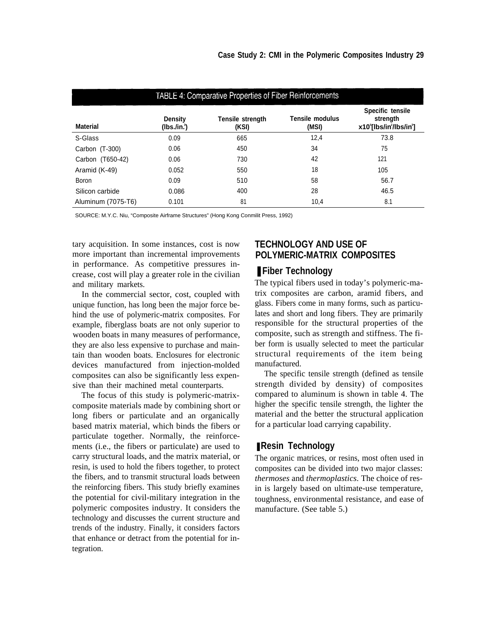| <b>TABLE 4: Comparative Properties of Fiber Reinforcements</b> |                              |                                  |                          |                                                       |  |  |
|----------------------------------------------------------------|------------------------------|----------------------------------|--------------------------|-------------------------------------------------------|--|--|
| <b>Material</b>                                                | <b>Density</b><br>(Ibs./in.) | <b>Tensile strength</b><br>(KSI) | Tensile modulus<br>(MSI) | Specific tensile<br>strength<br>x10°[lbs/in'/lbs/in'] |  |  |
| S-Glass                                                        | 0.09                         | 665                              | 12,4                     | 73.8                                                  |  |  |
| Carbon (T-300)                                                 | 0.06                         | 450                              | 34                       | 75                                                    |  |  |
| Carbon (T650-42)                                               | 0.06                         | 730                              | 42                       | 121                                                   |  |  |
| Aramid (K-49)                                                  | 0.052                        | 550                              | 18                       | 105                                                   |  |  |
| <b>Boron</b>                                                   | 0.09                         | 510                              | 58                       | 56.7                                                  |  |  |
| Silicon carbide                                                | 0.086                        | 400                              | 28                       | 46.5                                                  |  |  |
| Aluminum (7075-T6)                                             | 0.101                        | 81                               | 10,4                     | 8.1                                                   |  |  |

SOURCE: M.Y.C. Niu, "Composite Airframe Structures" (Hong Kong Conmilit Press, 1992)

tary acquisition. In some instances, cost is now more important than incremental improvements in performance. As competitive pressures increase, cost will play a greater role in the civilian and military markets.

In the commercial sector, cost, coupled with unique function, has long been the major force behind the use of polymeric-matrix composites. For example, fiberglass boats are not only superior to wooden boats in many measures of performance, they are also less expensive to purchase and maintain than wooden boats. Enclosures for electronic devices manufactured from injection-molded composites can also be significantly less expensive than their machined metal counterparts.

The focus of this study is polymeric-matrixcomposite materials made by combining short or long fibers or particulate and an organically based matrix material, which binds the fibers or particulate together. Normally, the reinforcements (i.e., the fibers or particulate) are used to carry structural loads, and the matrix material, or resin, is used to hold the fibers together, to protect the fibers, and to transmit structural loads between the reinforcing fibers. This study briefly examines the potential for civil-military integration in the polymeric composites industry. It considers the technology and discusses the current structure and trends of the industry. Finally, it considers factors that enhance or detract from the potential for integration.

# **TECHNOLOGY AND USE OF POLYMERIC-MATRIX COMPOSITES**

# ■ Fiber Technology

The typical fibers used in today's polymeric-matrix composites are carbon, aramid fibers, and glass. Fibers come in many forms, such as particulates and short and long fibers. They are primarily responsible for the structural properties of the composite, such as strength and stiffness. The fiber form is usually selected to meet the particular structural requirements of the item being manufactured.

The specific tensile strength (defined as tensile strength divided by density) of composites compared to aluminum is shown in table 4. The higher the specific tensile strength, the lighter the material and the better the structural application for a particular load carrying capability.

# ■ Resin Technology

The organic matrices, or resins, most often used in composites can be divided into two major classes: *thermoses* and *thermoplastics.* The choice of resin is largely based on ultimate-use temperature, toughness, environmental resistance, and ease of manufacture. (See table 5.)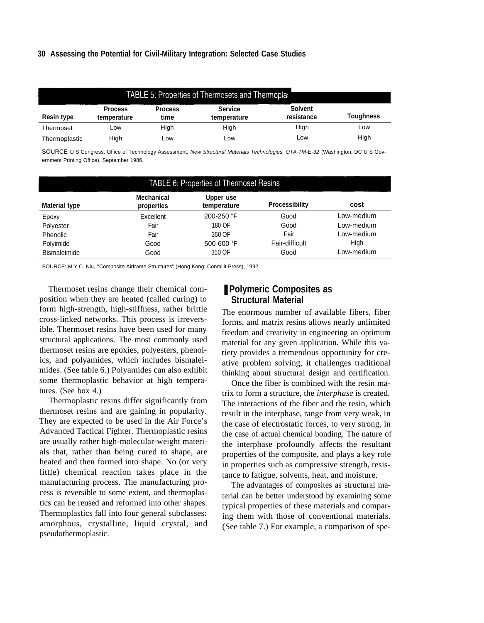#### **30 Assessing the Potential for Civil-Military Integration: Selected Case Studies**

|                   | <b>TABLE 5: Properties of Thermosets and Thermopla:</b> |                        |                               |                              |                  |  |  |
|-------------------|---------------------------------------------------------|------------------------|-------------------------------|------------------------------|------------------|--|--|
| <b>Resin type</b> | <b>Process</b><br>temperature                           | <b>Process</b><br>time | <b>Service</b><br>temperature | <b>Solvent</b><br>resistance | <b>Toughness</b> |  |  |
| Thermoset         | Low                                                     | High                   | High                          | High                         | Low              |  |  |
| Thermoplastic     | Hiah                                                    | Low                    | Low                           | Low                          | High             |  |  |

SOURCE U S Congress, Office of Technology Assessment, New Structural Materials Technologies, OTA-TM-E-32 (Washington, DC U S Government Printing Office), September 1986.

| <b>TABLE 6: Properties of Thermoset Resins</b> |                                 |                          |                |            |  |  |
|------------------------------------------------|---------------------------------|--------------------------|----------------|------------|--|--|
| <b>Material type</b>                           | <b>Mechanical</b><br>properties | Upper use<br>temperature | Processibility | cost       |  |  |
| Epoxy                                          | Excellent                       | 200-250 "F               | Good           | Low-medium |  |  |
| Polyester                                      | Fair                            | 180 OF                   | Good           | Low-medium |  |  |
| Phenolic                                       | Fair                            | 350 OF                   | Fair           | Low-medium |  |  |
| Polyimide                                      | Good                            | 500-600 'F               | Fair-difficult | High       |  |  |
| <b>Bismaleimide</b>                            | Good                            | 350 OF                   | Good           | Low-medium |  |  |

SOURCE: M.Y.C. Niu, ''Composite Airframe Structures" (Hong Kong: Conmilit Press), 1992.

Thermoset resins change their chemical composition when they are heated (called curing) to form high-strength, high-stiffness, rather brittle cross-linked networks. This process is irreversible. Thermoset resins have been used for many structural applications. The most commonly used thermoset resins are epoxies, polyesters, phenolics, and polyamides, which includes bismaleimides. (See table 6.) Polyamides can also exhibit some thermoplastic behavior at high temperatures. (See box 4.)

Thermoplastic resins differ significantly from thermoset resins and are gaining in popularity. They are expected to be used in the Air Force's Advanced Tactical Fighter. Thermoplastic resins are usually rather high-molecular-weight materials that, rather than being cured to shape, are heated and then formed into shape. No (or very little) chemical reaction takes place in the manufacturing process. The manufacturing process is reversible to some extent, and thermoplastics can be reused and reformed into other shapes. Thermoplastics fall into four general subclasses: amorphous, crystalline, liquid crystal, and pseudothermoplastic.

# ■ Polymeric Composites as **Structural Material**

The enormous number of available fibers, fiber forms, and matrix resins allows nearly unlimited freedom and creativity in engineering an optimum material for any given application. While this variety provides a tremendous opportunity for creative problem solving, it challenges traditional thinking about structural design and certification.

Once the fiber is combined with the resin matrix to form a structure, the *interphase* is created. The interactions of the fiber and the resin, which result in the interphase, range from very weak, in the case of electrostatic forces, to very strong, in the case of actual chemical bonding. The nature of the interphase profoundly affects the resultant properties of the composite, and plays a key role in properties such as compressive strength, resistance to fatigue, solvents, heat, and moisture.

The advantages of composites as structural material can be better understood by examining some typical properties of these materials and comparing them with those of conventional materials. (See table 7.) For example, a comparison of spe-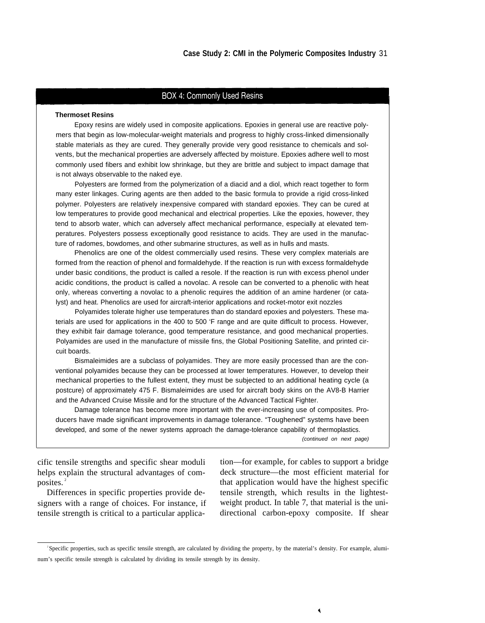#### **BOX 4: Commonly Used Resins**

#### **Thermoset Resins**

Epoxy resins are widely used in composite applications. Epoxies in generaI use are reactive polymers that begin as low-molecular-weight materials and progress to highly cross-linked dimensionally stable materials as they are cured. They generally provide very good resistance to chemicals and solvents, but the mechanical properties are adversely affected by moisture. Epoxies adhere well to most commonly used fibers and exhibit low shrinkage, but they are brittle and subject to impact damage that is not always observable to the naked eye.

Polyesters are formed from the polymerization of a diacid and a diol, which react together to form many ester linkages. Curing agents are then added to the basic formula to provide a rigid cross-linked polymer. Polyesters are relatively inexpensive compared with standard epoxies. They can be cured at low temperatures to provide good mechanical and electrical properties. Like the epoxies, however, they tend to absorb water, which can adversely affect mechanical performance, especially at elevated temperatures. Polyesters possess exceptionally good resistance to acids. They are used in the manufacture of radomes, bowdomes, and other submarine structures, as well as in hulls and masts.

Phenolics are one of the oldest commercially used resins. These very complex materials are formed from the reaction of phenol and formaldehyde. If the reaction is run with excess formaldehyde under basic conditions, the product is called a resole. If the reaction is run with excess phenol under acidic conditions, the product is called a novolac. A resole can be converted to a phenolic with heat only, whereas converting a novolac to a phenolic requires the addition of an amine hardener (or catalyst) and heat. Phenolics are used for aircraft-interior applications and rocket-motor exit nozzles

Polyamides tolerate higher use temperatures than do standard epoxies and polyesters. These materials are used for applications in the 400 to 500 'F range and are quite difficult to process. However, they exhibit fair damage tolerance, good temperature resistance, and good mechanical properties. Polyamides are used in the manufacture of missile fins, the Global Positioning Satellite, and printed circuit boards.

Bismaleimides are a subclass of polyamides. They are more easily processed than are the conventional polyamides because they can be processed at lower temperatures. However, to develop their mechanical properties to the fullest extent, they must be subjected to an additional heating cycle (a postcure) of approximately 475 F. Bismaleimides are used for aircraft body skins on the AV8-B Harrier and the Advanced Cruise Missile and for the structure of the Advanced Tactical Fighter.

Damage tolerance has become more important with the ever-increasing use of composites. Producers have made significant improvements in damage tolerance. "Toughened" systems have been developed, and some of the newer systems approach the damage-tolerance capability of thermoplastics.

(continued on next page)

helps explain the structural advantages of com-<br>deck structure—the most efficient material for posites.<sup>2</sup>

signers with a range of choices. For instance, if weight product. In table 7, that material is the unitensile strength is critical to a particular applica- directional carbon-epoxy composite. If shear

cific tensile strengths and specific shear moduli tion—for example, for cables to support a bridge that application would have the highest specific Differences in specific properties provide de- tensile strength, which results in the lightest-

<sup>2</sup> Specific properties, such as specific tensile strength, are calculated by dividing the property, by the material's density. For example, aluminum's specific tensile strength is calculated by dividing its tensile strength by its density.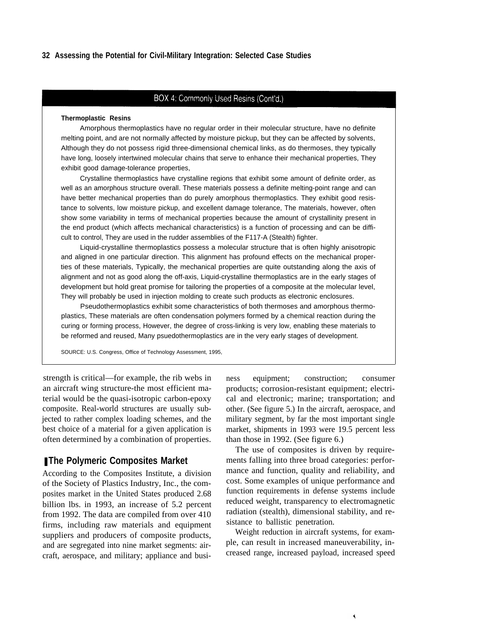#### **32 Assessing the Potential for Civil-Military Integration: Selected Case Studies**

#### BOX 4: Commonly Used Resins (Cont'd.)

#### **Thermoplastic Resins**

Amorphous thermoplastics have no regular order in their molecular structure, have no definite melting point, and are not normally affected by moisture pickup, but they can be affected by solvents, Although they do not possess rigid three-dimensional chemical links, as do thermoses, they typically have long, loosely intertwined molecular chains that serve to enhance their mechanical properties, They exhibit good damage-tolerance properties,

Crystalline thermoplastics have crystalline regions that exhibit some amount of definite order, as well as an amorphous structure overall. These materials possess a definite melting-point range and can have better mechanical properties than do purely amorphous thermoplastics. They exhibit good resistance to solvents, low moisture pickup, and excellent damage tolerance, The materials, however, often show some variability in terms of mechanical properties because the amount of crystallinity present in the end product (which affects mechanical characteristics) is a function of processing and can be difficult to control, They are used in the rudder assemblies of the F117-A (Stealth) fighter.

Liquid-crystalline thermoplastics possess a molecular structure that is often highly anisotropic and aligned in one particular direction. This alignment has profound effects on the mechanical properties of these materials, Typically, the mechanical properties are quite outstanding along the axis of alignment and not as good along the off-axis, Liquid-crystalline thermoplastics are in the early stages of development but hold great promise for tailoring the properties of a composite at the molecular level, They will probably be used in injection molding to create such products as electronic enclosures.

Pseudothermoplastics exhibit some characteristics of both thermoses and amorphous thermoplastics, These materials are often condensation polymers formed by a chemical reaction during the curing or forming process, However, the degree of cross-linking is very low, enabling these materials to be reformed and reused, Many psuedothermoplastics are in the very early stages of development.

SOURCE: U.S. Congress, Office of Technology Assessment, 1995,

strength is critical—for example, the rib webs in ness equipment; construction; consumer an aircraft wing structure-the most efficient material would be the quasi-isotropic carbon-epoxy composite. Real-world structures are usually subjected to rather complex loading schemes, and the best choice of a material for a given application is often determined by a combination of properties.

## ■ The Polymeric Composites Market

According to the Composites Institute, a division of the Society of Plastics Industry, Inc., the composites market in the United States produced 2.68 billion lbs. in 1993, an increase of 5.2 percent from 1992. The data are compiled from over 410 firms, including raw materials and equipment suppliers and producers of composite products, and are segregated into nine market segments: aircraft, aerospace, and military; appliance and busiproducts; corrosion-resistant equipment; electrical and electronic; marine; transportation; and other. (See figure 5.) In the aircraft, aerospace, and military segment, by far the most important single market, shipments in 1993 were 19.5 percent less than those in 1992. (See figure 6.)

The use of composites is driven by requirements falling into three broad categories: performance and function, quality and reliability, and cost. Some examples of unique performance and function requirements in defense systems include reduced weight, transparency to electromagnetic radiation (stealth), dimensional stability, and resistance to ballistic penetration.

Weight reduction in aircraft systems, for example, can result in increased maneuverability, increased range, increased payload, increased speed

٩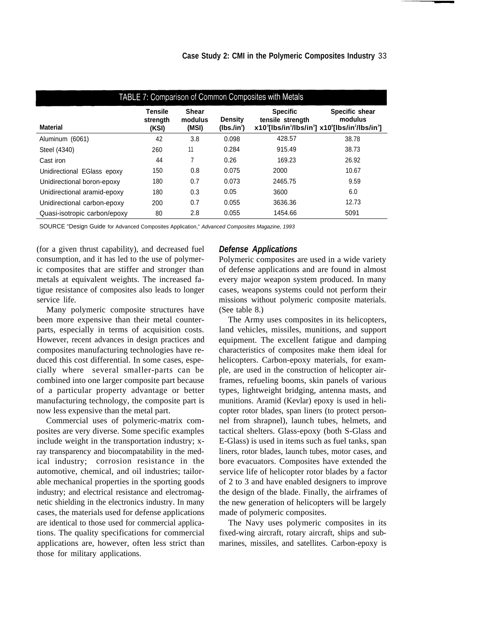| TABLE 7: Comparison of Common Composites with Metals |                                                                                                                                                                                                                                                                                                             |     |       |         |       |  |
|------------------------------------------------------|-------------------------------------------------------------------------------------------------------------------------------------------------------------------------------------------------------------------------------------------------------------------------------------------------------------|-----|-------|---------|-------|--|
| <b>Material</b>                                      | <b>Tensile</b><br><b>Shear</b><br><b>Specific</b><br>Specific shear<br>modulus<br>tensile strength<br>modulus<br><b>Density</b><br>strength<br>x10 <sup>3</sup> [lbs/in <sup>2</sup> /lbs/in <sup>3</sup> ] x10 <sup>6</sup> [lbs/in <sup>2</sup> /lbs/in <sup>3</sup> ]<br>(MSI)<br>(KSI)<br>$(Ibs./in^3)$ |     |       |         |       |  |
| Aluminum (6061)                                      | 42                                                                                                                                                                                                                                                                                                          | 3.8 | 0.098 | 428.57  | 38.78 |  |
| Steel (4340)                                         | 260                                                                                                                                                                                                                                                                                                         | 11  | 0.284 | 915.49  | 38.73 |  |
| Cast iron                                            | 44                                                                                                                                                                                                                                                                                                          | 7   | 0.26  | 169.23  | 26.92 |  |
| Unidirectional EGlass epoxy                          | 150                                                                                                                                                                                                                                                                                                         | 0.8 | 0.075 | 2000    | 10.67 |  |
| Unidirectional boron-epoxy                           | 180                                                                                                                                                                                                                                                                                                         | 0.7 | 0.073 | 2465.75 | 9.59  |  |
| Unidirectional aramid-epoxy                          | 180                                                                                                                                                                                                                                                                                                         | 0.3 | 0.05  | 3600    | 6.0   |  |
| Unidirectional carbon-epoxy                          | 200                                                                                                                                                                                                                                                                                                         | 0.7 | 0.055 | 3636.36 | 12.73 |  |
| Quasi-isotropic carbon/epoxy                         | 80                                                                                                                                                                                                                                                                                                          | 2.8 | 0.055 | 1454.66 | 5091  |  |

SOURCE "Design Guide for Advanced Composites Application," Advanced Composites Magazine, 1993

(for a given thrust capability), and decreased fuel consumption, and it has led to the use of polymeric composites that are stiffer and stronger than metals at equivalent weights. The increased fatigue resistance of composites also leads to longer service life.

Many polymeric composite structures have been more expensive than their metal counterparts, especially in terms of acquisition costs. However, recent advances in design practices and composites manufacturing technologies have reduced this cost differential. In some cases, especially where several smaller-parts can be combined into one larger composite part because of a particular property advantage or better manufacturing technology, the composite part is now less expensive than the metal part.

Commercial uses of polymeric-matrix composites are very diverse. Some specific examples include weight in the transportation industry; xray transparency and biocompatability in the medical industry; corrosion resistance in the automotive, chemical, and oil industries; tailorable mechanical properties in the sporting goods industry; and electrical resistance and electromagnetic shielding in the electronics industry. In many cases, the materials used for defense applications are identical to those used for commercial applications. The quality specifications for commercial applications are, however, often less strict than those for military applications.

#### *Defense Applications*

Polymeric composites are used in a wide variety of defense applications and are found in almost every major weapon system produced. In many cases, weapons systems could not perform their missions without polymeric composite materials. (See table 8.)

The Army uses composites in its helicopters, land vehicles, missiles, munitions, and support equipment. The excellent fatigue and damping characteristics of composites make them ideal for helicopters. Carbon-epoxy materials, for example, are used in the construction of helicopter airframes, refueling booms, skin panels of various types, lightweight bridging, antenna masts, and munitions. Aramid (Kevlar) epoxy is used in helicopter rotor blades, span liners (to protect personnel from shrapnel), launch tubes, helmets, and tactical shelters. Glass-epoxy (both S-Glass and E-Glass) is used in items such as fuel tanks, span liners, rotor blades, launch tubes, motor cases, and bore evacuators. Composites have extended the service life of helicopter rotor blades by a factor of 2 to 3 and have enabled designers to improve the design of the blade. Finally, the airframes of the new generation of helicopters will be largely made of polymeric composites.

The Navy uses polymeric composites in its fixed-wing aircraft, rotary aircraft, ships and submarines, missiles, and satellites. Carbon-epoxy is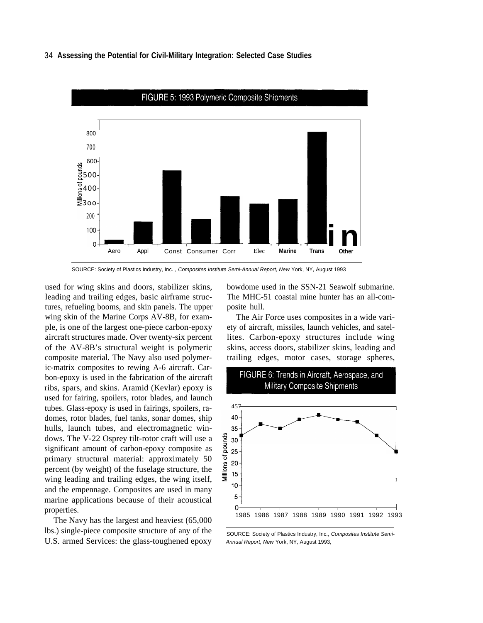#### 34 **Assessing the Potential for Civil-Military Integration: Selected Case Studies**



SOURCE: Society of Plastics Industry, Inc. , Composites Institute Semi-Annual Report, New York, NY, August 1993

used for wing skins and doors, stabilizer skins, leading and trailing edges, basic airframe structures, refueling booms, and skin panels. The upper wing skin of the Marine Corps AV-8B, for example, is one of the largest one-piece carbon-epoxy aircraft structures made. Over twenty-six percent of the AV-8B's structural weight is polymeric composite material. The Navy also used polymeric-matrix composites to rewing A-6 aircraft. Carbon-epoxy is used in the fabrication of the aircraft ribs, spars, and skins. Aramid (Kevlar) epoxy is used for fairing, spoilers, rotor blades, and launch tubes. Glass-epoxy is used in fairings, spoilers, radomes, rotor blades, fuel tanks, sonar domes, ship hulls, launch tubes, and electromagnetic windows. The V-22 Osprey tilt-rotor craft will use a significant amount of carbon-epoxy composite as primary structural material: approximately 50 percent (by weight) of the fuselage structure, the wing leading and trailing edges, the wing itself, and the empennage. Composites are used in many marine applications because of their acoustical properties.

The Navy has the largest and heaviest (65,000 lbs.) single-piece composite structure of any of the U.S. armed Services: the glass-toughened epoxy

bowdome used in the SSN-21 Seawolf submarine. The MHC-51 coastal mine hunter has an all-composite hull.

The Air Force uses composites in a wide variety of aircraft, missiles, launch vehicles, and satellites. Carbon-epoxy structures include wing skins, access doors, stabilizer skins, leading and trailing edges, motor cases, storage spheres,



SOURCE: Society of Plastics Industry, Inc., Composites Institute Semi-Annual Report, New York, NY, August 1993,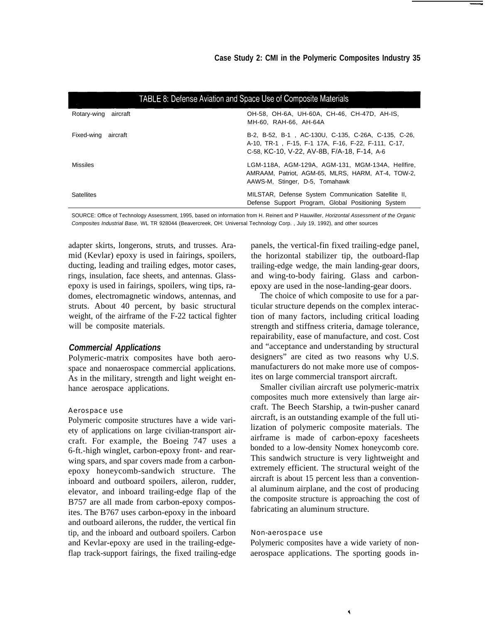| TABLE 8: Defense Aviation and Space Use of Composite Materials |                                                                                                                                                           |  |
|----------------------------------------------------------------|-----------------------------------------------------------------------------------------------------------------------------------------------------------|--|
| Rotary-wing<br>aircraft                                        | OH-58, OH-6A, UH-60A, CH-46, CH-47D, AH-IS,<br>MH-60, RAH-66, AH-64A                                                                                      |  |
| Fixed-wing aircraft                                            | B-2, B-52, B-1, AC-130U, C-135, C-26A, C-135, C-26,<br>A-10, TR-1, F-15, F-1 17A, F-16, F-22, F-111, C-17,<br>C-58, KC-10, V-22, AV-8B, F/A-18, F-14, A-6 |  |
| <b>Missiles</b>                                                | LGM-118A, AGM-129A, AGM-131, MGM-134A, Hellfire,<br>AMRAAM, Patriot, AGM-65, MLRS, HARM, AT-4, TOW-2,<br>AAWS-M, Stinger, D-5, Tomahawk                   |  |
| <b>Satellites</b>                                              | MILSTAR, Defense System Communication Satellite II,<br>Defense Support Program, Global Positioning System                                                 |  |

SOURCE: Office of Technology Assessment, 1995, based on information from H. Reinert and P Hauwiller, Horizontal Assessment of the Organic Composites Industrial Base, WL TR 928044 (Beavercreek, OH: Universal Technology Corp. , July 19, 1992), and other sources

adapter skirts, longerons, struts, and trusses. Aramid (Kevlar) epoxy is used in fairings, spoilers, ducting, leading and trailing edges, motor cases, rings, insulation, face sheets, and antennas. Glassepoxy is used in fairings, spoilers, wing tips, radomes, electromagnetic windows, antennas, and struts. About 40 percent, by basic structural weight, of the airframe of the F-22 tactical fighter will be composite materials.

## *Commercial Applications*

Polymeric-matrix composites have both aerospace and nonaerospace commercial applications. As in the military, strength and light weight enhance aerospace applications.

#### Aerospace use

Polymeric composite structures have a wide variety of applications on large civilian-transport aircraft. For example, the Boeing 747 uses a 6-ft.-high winglet, carbon-epoxy front- and rearwing spars, and spar covers made from a carbonepoxy honeycomb-sandwich structure. The inboard and outboard spoilers, aileron, rudder, elevator, and inboard trailing-edge flap of the B757 are all made from carbon-epoxy composites. The B767 uses carbon-epoxy in the inboard and outboard ailerons, the rudder, the vertical fin tip, and the inboard and outboard spoilers. Carbon and Kevlar-epoxy are used in the trailing-edgeflap track-support fairings, the fixed trailing-edge panels, the vertical-fin fixed trailing-edge panel, the horizontal stabilizer tip, the outboard-flap trailing-edge wedge, the main landing-gear doors, and wing-to-body fairing. Glass and carbonepoxy are used in the nose-landing-gear doors.

The choice of which composite to use for a particular structure depends on the complex interaction of many factors, including critical loading strength and stiffness criteria, damage tolerance, repairability, ease of manufacture, and cost. Cost and "acceptance and understanding by structural designers" are cited as two reasons why U.S. manufacturers do not make more use of composites on large commercial transport aircraft.

Smaller civilian aircraft use polymeric-matrix composites much more extensively than large aircraft. The Beech Starship, a twin-pusher canard aircraft, is an outstanding example of the full utilization of polymeric composite materials. The airframe is made of carbon-epoxy facesheets bonded to a low-density Nomex honeycomb core. This sandwich structure is very lightweight and extremely efficient. The structural weight of the aircraft is about 15 percent less than a conventional aluminum airplane, and the cost of producing the composite structure is approaching the cost of fabricating an aluminum structure.

#### Non-aerospace use

Polymeric composites have a wide variety of nonaerospace applications. The sporting goods in-

Ă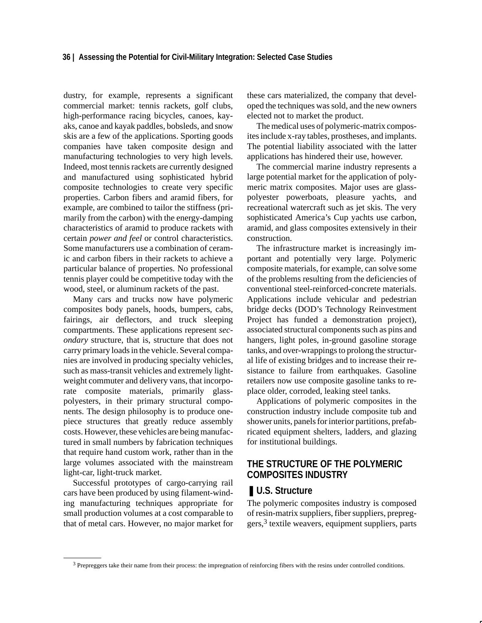dustry, for example, represents a significant commercial market: tennis rackets, golf clubs, high-performance racing bicycles, canoes, kayaks, canoe and kayak paddles, bobsleds, and snow skis are a few of the applications. Sporting goods companies have taken composite design and manufacturing technologies to very high levels. Indeed, most tennis rackets are currently designed and manufactured using sophisticated hybrid composite technologies to create very specific properties. Carbon fibers and aramid fibers, for example, are combined to tailor the stiffness (primarily from the carbon) with the energy-damping characteristics of aramid to produce rackets with certain *power and feel* or control characteristics. Some manufacturers use a combination of ceramic and carbon fibers in their rackets to achieve a particular balance of properties. No professional tennis player could be competitive today with the wood, steel, or aluminum rackets of the past.

Many cars and trucks now have polymeric composites body panels, hoods, bumpers, cabs, fairings, air deflectors, and truck sleeping compartments. These applications represent *secondary* structure, that is, structure that does not carry primary loads in the vehicle. Several companies are involved in producing specialty vehicles, such as mass-transit vehicles and extremely lightweight commuter and delivery vans, that incorporate composite materials, primarily glasspolyesters, in their primary structural components. The design philosophy is to produce onepiece structures that greatly reduce assembly costs. However, these vehicles are being manufactured in small numbers by fabrication techniques that require hand custom work, rather than in the large volumes associated with the mainstream light-car, light-truck market.

Successful prototypes of cargo-carrying rail cars have been produced by using filament-winding manufacturing techniques appropriate for small production volumes at a cost comparable to that of metal cars. However, no major market for these cars materialized, the company that developed the techniques was sold, and the new owners elected not to market the product.

The medical uses of polymeric-matrix composites include x-ray tables, prostheses, and implants. The potential liability associated with the latter applications has hindered their use, however.

The commercial marine industry represents a large potential market for the application of polymeric matrix composites. Major uses are glasspolyester powerboats, pleasure yachts, and recreational watercraft such as jet skis. The very sophisticated America's Cup yachts use carbon, aramid, and glass composites extensively in their construction.

The infrastructure market is increasingly important and potentially very large. Polymeric composite materials, for example, can solve some of the problems resulting from the deficiencies of conventional steel-reinforced-concrete materials. Applications include vehicular and pedestrian bridge decks (DOD's Technology Reinvestment Project has funded a demonstration project), associated structural components such as pins and hangers, light poles, in-ground gasoline storage tanks, and over-wrappings to prolong the structural life of existing bridges and to increase their resistance to failure from earthquakes. Gasoline retailers now use composite gasoline tanks to replace older, corroded, leaking steel tanks.

Applications of polymeric composites in the construction industry include composite tub and shower units, panels for interior partitions, prefabricated equipment shelters, ladders, and glazing for institutional buildings.

# **THE STRUCTURE OF THE POLYMERIC COMPOSITES INDUSTRY**

# ■ **U.S. Structure**

The polymeric composites industry is composed of resin-matrix suppliers, fiber suppliers, prepreg $gers$ ,  $3$  textile weavers, equipment suppliers, parts

<sup>3</sup> Prepreggers take their name from their process: the impregnation of reinforcing fibers with the resins under controlled conditions.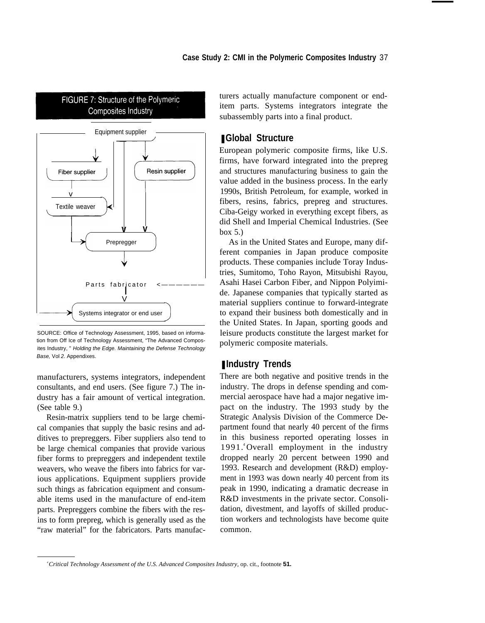

SOURCE: Office of Technology Assessment, 1995, based on information from Off Ice of Technology Assessment, "The Advanced Composites Industry, " Holding the Edge. Maintaining the Defense Technology Base, Vol 2. Appendixes.

manufacturers, systems integrators, independent consultants, and end users. (See figure 7.) The industry has a fair amount of vertical integration. (See table 9.)

Resin-matrix suppliers tend to be large chemical companies that supply the basic resins and additives to prepreggers. Fiber suppliers also tend to be large chemical companies that provide various fiber forms to prepreggers and independent textile weavers, who weave the fibers into fabrics for various applications. Equipment suppliers provide such things as fabrication equipment and consumable items used in the manufacture of end-item parts. Prepreggers combine the fibers with the resins to form prepreg, which is generally used as the "raw material" for the fabricators. Parts manufacturers actually manufacture component or enditem parts. Systems integrators integrate the subassembly parts into a final product.

# ❚ **Global Structure**

European polymeric composite firms, like U.S. firms, have forward integrated into the prepreg and structures manufacturing business to gain the value added in the business process. In the early 1990s, British Petroleum, for example, worked in fibers, resins, fabrics, prepreg and structures. Ciba-Geigy worked in everything except fibers, as did Shell and Imperial Chemical Industries. (See box 5.)

As in the United States and Europe, many different companies in Japan produce composite products. These companies include Toray Industries, Sumitomo, Toho Rayon, Mitsubishi Rayou, Asahi Hasei Carbon Fiber, and Nippon Polyimide. Japanese companies that typically started as material suppliers continue to forward-integrate to expand their business both domestically and in the United States. In Japan, sporting goods and leisure products constitute the largest market for polymeric composite materials.

# ■ **Industry Trends**

There are both negative and positive trends in the industry. The drops in defense spending and commercial aerospace have had a major negative impact on the industry. The 1993 study by the Strategic Analysis Division of the Commerce Department found that nearly 40 percent of the firms in this business reported operating losses in 1991. <sup>4</sup>Overall employment in the industry dropped nearly 20 percent between 1990 and 1993. Research and development (R&D) employment in 1993 was down nearly 40 percent from its peak in 1990, indicating a dramatic decrease in R&D investments in the private sector. Consolidation, divestment, and layoffs of skilled production workers and technologists have become quite common.

*<sup>4</sup> Critical Technology Assessment of the U.S. Advanced Composites Industry,* op. cit., footnote **51.**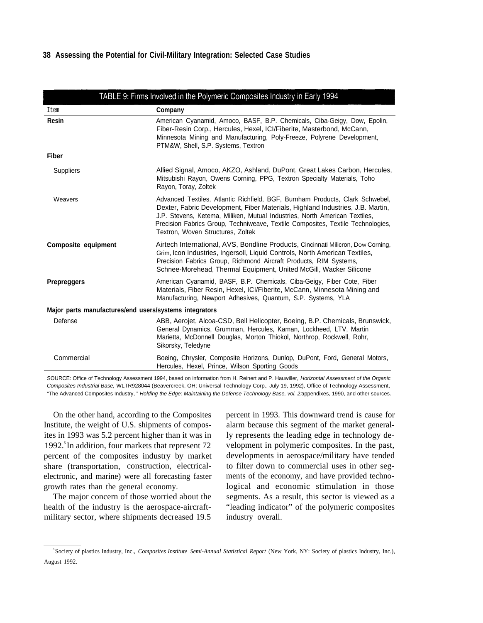#### **38 Assessing the Potential for Civil-Military Integration: Selected Case Studies**

|                                                        | TABLE 9: Firms Involved in the Polymeric Composites Industry in Early 1994                                                                                                                                                                                                                                                                                            |  |  |
|--------------------------------------------------------|-----------------------------------------------------------------------------------------------------------------------------------------------------------------------------------------------------------------------------------------------------------------------------------------------------------------------------------------------------------------------|--|--|
| Item                                                   | Company                                                                                                                                                                                                                                                                                                                                                               |  |  |
| <b>Resin</b>                                           | American Cyanamid, Amoco, BASF, B.P. Chemicals, Ciba-Geigy, Dow, Epolin,<br>Fiber-Resin Corp., Hercules, Hexel, ICI/Fiberite, Masterbond, McCann,<br>Minnesota Mining and Manufacturing, Poly-Freeze, Polyrene Development,<br>PTM&W, Shell, S.P. Systems, Textron                                                                                                    |  |  |
| <b>Fiber</b>                                           |                                                                                                                                                                                                                                                                                                                                                                       |  |  |
| <b>Suppliers</b>                                       | Allied Signal, Amoco, AKZO, Ashland, DuPont, Great Lakes Carbon, Hercules,<br>Mitsubishi Rayon, Owens Corning, PPG, Textron Specialty Materials, Toho<br>Rayon, Toray, Zoltek                                                                                                                                                                                         |  |  |
| Weavers                                                | Advanced Textiles, Atlantic Richfield, BGF, Burnham Products, Clark Schwebel,<br>Dexter, Fabric Development, Fiber Materials, Highland Industries, J.B. Martin,<br>J.P. Stevens, Ketema, Miliken, Mutual Industries, North American Textiles,<br>Precision Fabrics Group, Techniweave, Textile Composites, Textile Technologies,<br>Textron, Woven Structures, Zoltek |  |  |
| <b>Composite equipment</b>                             | Airtech International, AVS, Bondline Products, Cincinnati Milicron, Dow Corning,<br>Grim, Icon Industries, Ingersoll, Liquid Controls, North American Textiles,<br>Precision Fabrics Group, Richmond Aircraft Products, RIM Systems,<br>Schnee-Morehead, Thermal Equipment, United McGill, Wacker Silicone                                                            |  |  |
| <b>Prepreggers</b>                                     | American Cyanamid, BASF, B.P. Chemicals, Ciba-Geigy, Fiber Cote, Fiber<br>Materials, Fiber Resin, Hexel, ICI/Fiberite, McCann, Minnesota Mining and<br>Manufacturing, Newport Adhesives, Quantum, S.P. Systems, YLA                                                                                                                                                   |  |  |
| Major parts manufactures/end users/systems integrators |                                                                                                                                                                                                                                                                                                                                                                       |  |  |
| Defense                                                | ABB, Aerojet, Alcoa-CSD, Bell Helicopter, Boeing, B.P. Chemicals, Brunswick,<br>General Dynamics, Grumman, Hercules, Kaman, Lockheed, LTV, Martin<br>Marietta, McDonnell Douglas, Morton Thiokol, Northrop, Rockwell, Rohr,<br>Sikorsky, Teledyne                                                                                                                     |  |  |
| Commercial                                             | Boeing, Chrysler, Composite Horizons, Dunlop, DuPont, Ford, General Motors,<br>Hercules, Hexel, Prince, Wilson Sporting Goods                                                                                                                                                                                                                                         |  |  |

SOURCE: Office of Technology Assessment 1994, based on information from H. Reinert and P. Hauwiller, Horizontal Assessment of the Organic Composites Industrial Base, WLTR928044 (Beavercreek, OH; Universal Technology Corp., July 19, 1992), Office of Technology Assessment, "The Advanced Composites Industry," Holding the Edge: Maintaining the Defense Technology Base, vol. 2appendixes, 1990, and other sources.

On the other hand, according to the Composites Institute, the weight of U.S. shipments of composites in 1993 was 5.2 percent higher than it was in 1992.<sup>5</sup>In addition, four markets that represent 72 percent of the composites industry by market share (transportation, construction, electricalelectronic, and marine) were all forecasting faster growth rates than the general economy.

The major concern of those worried about the health of the industry is the aerospace-aircraftmilitary sector, where shipments decreased 19.5

percent in 1993. This downward trend is cause for alarm because this segment of the market generally represents the leading edge in technology development in polymeric composites. In the past, developments in aerospace/military have tended to filter down to commercial uses in other segments of the economy, and have provided technological and economic stimulation in those segments. As a result, this sector is viewed as a "leading indicator" of the polymeric composites industry overall.

<sup>5</sup>Society of plastics Industry, Inc., *Composites Institute Semi-Annual Statistical Report* (New York, NY: Society of plastics Industry, Inc.), August 1992.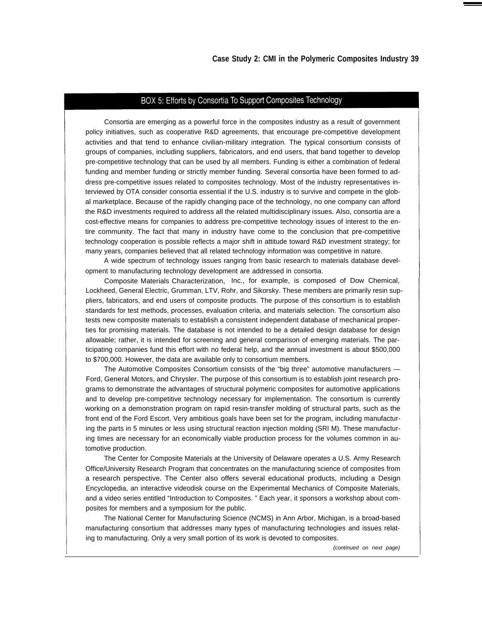## BOX 5: Efforts by Consortia To Support Composites Technology

Consortia are emerging as a powerful force in the composites industry as a result of government policy initiatives, such as cooperative R&D agreements, that encourage pre-competitive development activities and that tend to enhance civilian-military integration. The typical consortium consists of groups of companies, including suppliers, fabricators, and end users, that band together to develop pre-competitive technology that can be used by all members. Funding is either a combination of federal funding and member funding or strictly member funding. Several consortia have been formed to address pre-competitive issues related to composites technology. Most of the industry representatives interviewed by OTA consider consortia essential if the U.S. industry is to survive and compete in the global marketplace. Because of the rapidly changing pace of the technology, no one company can afford the R&D investments required to address all the related multidisciplinary issues. Also, consortia are a cost-effective means for companies to address pre-competitive technology issues of interest to the entire community. The fact that many in industry have come to the conclusion that pre-competitive technology cooperation is possible reflects a major shift in attitude toward R&D investment strategy; for many years, companies believed that all related technology information was competitive in nature.

A wide spectrum of technology issues ranging from basic research to materials database development to manufacturing technology development are addressed in consortia.

Composite Materials Characterization, Inc., for example, is composed of Dow Chemical, Lockheed, General Electric, Grumman, LTV, Rohr, and Sikorsky. These members are primarily resin suppliers, fabricators, and end users of composite products. The purpose of this consortium is to establish standards for test methods, processes, evaluation criteria, and materials selection. The consortium also tests new composite materials to establish a consistent independent database of mechanical properties for promising materials. The database is not intended to be a detailed design database for design allowable; rather, it is intended for screening and general comparison of emerging materials. The participating companies fund this effort with no federal help, and the annual investment is about \$500,000 to \$700,000. However, the data are available only to consortium members.

The Automotive Composites Consortium consists of the "big three" automotive manufacturers — Ford, General Motors, and Chrysler. The purpose of this consortium is to establish joint research programs to demonstrate the advantages of structural polymeric composites for automotive applications and to develop pre-competitive technology necessary for implementation. The consortium is currently working on a demonstration program on rapid resin-transfer molding of structural parts, such as the front end of the Ford Escort. Very ambitious goals have been set for the program, including manufacturing the parts in 5 minutes or less using structural reaction injection molding (SRI M). These manufacturing times are necessary for an economically viable production process for the volumes common in automotive production.

The Center for Composite Materials at the University of Delaware operates a U.S. Army Research Office/University Research Program that concentrates on the manufacturing science of composites from a research perspective. The Center also offers several educational products, including a Design Encyclopedia, an interactive videodisk course on the Experimental Mechanics of Composite Materials, and a video series entitled "Introduction to Composites. " Each year, it sponsors a workshop about composites for members and a symposium for the public.

The National Center for Manufacturing Science (NCMS) in Ann Arbor, Michigan, is a broad-based manufacturing consortium that addresses many types of manufacturing technologies and issues relating to manufacturing. Only a very small portion of its work is devoted to composites.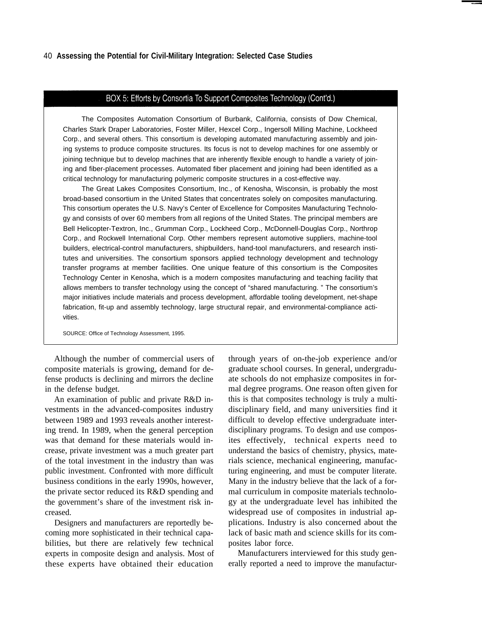#### BOX 5: Efforts by Consortia To Support Composites Technology (Cont'd.)

The Composites Automation Consortium of Burbank, California, consists of Dow Chemical, Charles Stark Draper Laboratories, Foster Miller, Hexcel Corp., Ingersoll Milling Machine, Lockheed Corp., and several others. This consortium is developing automated manufacturing assembly and joining systems to produce composite structures. Its focus is not to develop machines for one assembly or joining technique but to develop machines that are inherently flexible enough to handle a variety of joining and fiber-placement processes. Automated fiber placement and joining had been identified as a critical technology for manufacturing polymeric composite structures in a cost-effective way.

The Great Lakes Composites Consortium, Inc., of Kenosha, Wisconsin, is probably the most broad-based consortium in the United States that concentrates solely on composites manufacturing. This consortium operates the U.S. Navy's Center of Excellence for Composites Manufacturing Technology and consists of over 60 members from all regions of the United States. The principal members are Bell Helicopter-Textron, Inc., Grumman Corp., Lockheed Corp., McDonnell-Douglas Corp., Northrop Corp., and Rockwell International Corp. Other members represent automotive suppliers, machine-tool builders, electrical-control manufacturers, shipbuilders, hand-tool manufacturers, and research institutes and universities. The consortium sponsors applied technology development and technology transfer programs at member facilities. One unique feature of this consortium is the Composites Technology Center in Kenosha, which is a modern composites manufacturing and teaching facility that allows members to transfer technology using the concept of "shared manufacturing. " The consortium's major initiatives include materials and process development, affordable tooling development, net-shape fabrication, fit-up and assembly technology, large structural repair, and environmental-compliance activities.

SOURCE: Office of Technology Assessment, 1995.

Although the number of commercial users of composite materials is growing, demand for defense products is declining and mirrors the decline in the defense budget.

An examination of public and private R&D investments in the advanced-composites industry between 1989 and 1993 reveals another interesting trend. In 1989, when the general perception was that demand for these materials would increase, private investment was a much greater part of the total investment in the industry than was public investment. Confronted with more difficult business conditions in the early 1990s, however, the private sector reduced its R&D spending and the government's share of the investment risk increased.

Designers and manufacturers are reportedly becoming more sophisticated in their technical capabilities, but there are relatively few technical experts in composite design and analysis. Most of these experts have obtained their education through years of on-the-job experience and/or graduate school courses. In general, undergraduate schools do not emphasize composites in formal degree programs. One reason often given for this is that composites technology is truly a multidisciplinary field, and many universities find it difficult to develop effective undergraduate interdisciplinary programs. To design and use composites effectively, technical experts need to understand the basics of chemistry, physics, materials science, mechanical engineering, manufacturing engineering, and must be computer literate. Many in the industry believe that the lack of a formal curriculum in composite materials technology at the undergraduate level has inhibited the widespread use of composites in industrial applications. Industry is also concerned about the lack of basic math and science skills for its composites labor force.

Manufacturers interviewed for this study generally reported a need to improve the manufactur-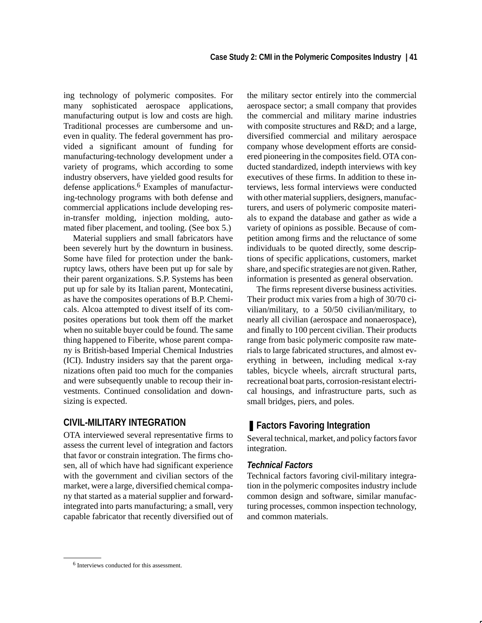ing technology of polymeric composites. For many sophisticated aerospace applications, manufacturing output is low and costs are high. Traditional processes are cumbersome and uneven in quality. The federal government has provided a significant amount of funding for manufacturing-technology development under a variety of programs, which according to some industry observers, have yielded good results for defense applications.6 Examples of manufacturing-technology programs with both defense and commercial applications include developing resin-transfer molding, injection molding, automated fiber placement, and tooling. (See box 5.)

Material suppliers and small fabricators have been severely hurt by the downturn in business. Some have filed for protection under the bankruptcy laws, others have been put up for sale by their parent organizations. S.P. Systems has been put up for sale by its Italian parent, Montecatini, as have the composites operations of B.P. Chemicals. Alcoa attempted to divest itself of its composites operations but took them off the market when no suitable buyer could be found. The same thing happened to Fiberite, whose parent company is British-based Imperial Chemical Industries (ICI). Industry insiders say that the parent organizations often paid too much for the companies and were subsequently unable to recoup their investments. Continued consolidation and downsizing is expected.

# **CIVIL-MILITARY INTEGRATION**

OTA interviewed several representative firms to assess the current level of integration and factors that favor or constrain integration. The firms chosen, all of which have had significant experience with the government and civilian sectors of the market, were a large, diversified chemical company that started as a material supplier and forwardintegrated into parts manufacturing; a small, very capable fabricator that recently diversified out of the military sector entirely into the commercial aerospace sector; a small company that provides the commercial and military marine industries with composite structures and R&D; and a large, diversified commercial and military aerospace company whose development efforts are considered pioneering in the composites field. OTA conducted standardized, indepth interviews with key executives of these firms. In addition to these interviews, less formal interviews were conducted with other material suppliers, designers, manufacturers, and users of polymeric composite materials to expand the database and gather as wide a variety of opinions as possible. Because of competition among firms and the reluctance of some individuals to be quoted directly, some descriptions of specific applications, customers, market share, and specific strategies are not given. Rather, information is presented as general observation.

The firms represent diverse business activities. Their product mix varies from a high of 30/70 civilian/military, to a 50/50 civilian/military, to nearly all civilian (aerospace and nonaerospace), and finally to 100 percent civilian. Their products range from basic polymeric composite raw materials to large fabricated structures, and almost everything in between, including medical x-ray tables, bicycle wheels, aircraft structural parts, recreational boat parts, corrosion-resistant electrical housings, and infrastructure parts, such as small bridges, piers, and poles.

# ■ Factors Favoring Integration

Several technical, market, and policy factors favor integration.

## *Technical Factors*

Technical factors favoring civil-military integration in the polymeric composites industry include common design and software, similar manufacturing processes, common inspection technology, and common materials.

<sup>6</sup> Interviews conducted for this assessment.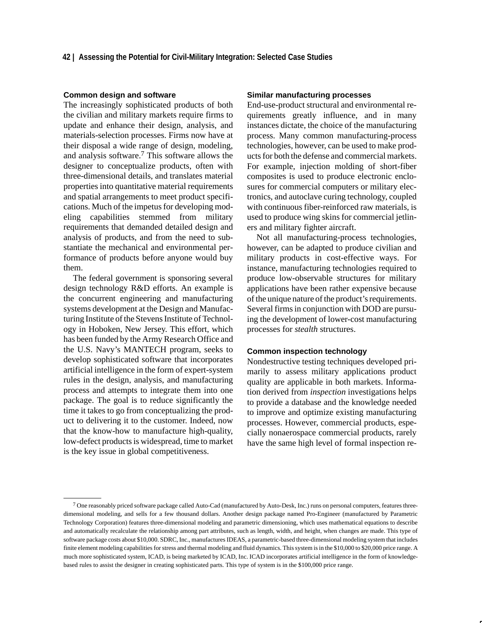#### **Common design and software**

The increasingly sophisticated products of both the civilian and military markets require firms to update and enhance their design, analysis, and materials-selection processes. Firms now have at their disposal a wide range of design, modeling, and analysis software.7 This software allows the designer to conceptualize products, often with three-dimensional details, and translates material properties into quantitative material requirements and spatial arrangements to meet product specifications. Much of the impetus for developing modeling capabilities stemmed from military requirements that demanded detailed design and analysis of products, and from the need to substantiate the mechanical and environmental performance of products before anyone would buy them.

The federal government is sponsoring several design technology R&D efforts. An example is the concurrent engineering and manufacturing systems development at the Design and Manufacturing Institute of the Stevens Institute of Technology in Hoboken, New Jersey. This effort, which has been funded by the Army Research Office and the U.S. Navy's MANTECH program, seeks to develop sophisticated software that incorporates artificial intelligence in the form of expert-system rules in the design, analysis, and manufacturing process and attempts to integrate them into one package. The goal is to reduce significantly the time it takes to go from conceptualizing the product to delivering it to the customer. Indeed, now that the know-how to manufacture high-quality, low-defect products is widespread, time to market is the key issue in global competitiveness.

#### **Similar manufacturing processes**

End-use-product structural and environmental requirements greatly influence, and in many instances dictate, the choice of the manufacturing process. Many common manufacturing-process technologies, however, can be used to make products for both the defense and commercial markets. For example, injection molding of short-fiber composites is used to produce electronic enclosures for commercial computers or military electronics, and autoclave curing technology, coupled with continuous fiber-reinforced raw materials, is used to produce wing skins for commercial jetliners and military fighter aircraft.

Not all manufacturing-process technologies, however, can be adapted to produce civilian and military products in cost-effective ways. For instance, manufacturing technologies required to produce low-observable structures for military applications have been rather expensive because of the unique nature of the product's requirements. Several firms in conjunction with DOD are pursuing the development of lower-cost manufacturing processes for *stealth* structures.

#### **Common inspection technology**

Nondestructive testing techniques developed primarily to assess military applications product quality are applicable in both markets. Information derived from *inspection* investigations helps to provide a database and the knowledge needed to improve and optimize existing manufacturing processes. However, commercial products, especially nonaerospace commercial products, rarely have the same high level of formal inspection re-

<sup>7</sup> One reasonably priced software package called Auto-Cad (manufactured by Auto-Desk, Inc.) runs on personal computers, features threedimensional modeling, and sells for a few thousand dollars. Another design package named Pro-Engineer (manufactured by Parametric Technology Corporation) features three-dimensional modeling and parametric dimensioning, which uses mathematical equations to describe and automatically recalculate the relationship among part attributes, such as length, width, and height, when changes are made. This type of software package costs about \$10,000. SDRC, Inc., manufactures IDEAS, a parametric-based three-dimensional modeling system that includes finite element modeling capabilities for stress and thermal modeling and fluid dynamics. This system is in the \$10,000 to \$20,000 price range. A much more sophisticated system, ICAD, is being marketed by ICAD, Inc. ICAD incorporates artificial intelligence in the form of knowledgebased rules to assist the designer in creating sophisticated parts. This type of system is in the \$100,000 price range.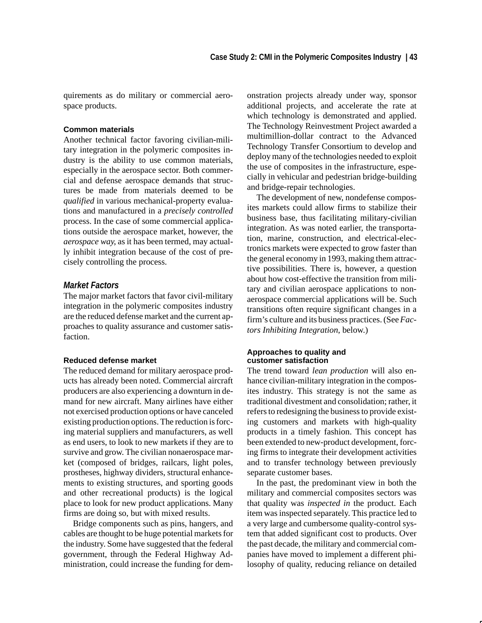quirements as do military or commercial aerospace products.

## **Common materials**

Another technical factor favoring civilian-military integration in the polymeric composites industry is the ability to use common materials, especially in the aerospace sector. Both commercial and defense aerospace demands that structures be made from materials deemed to be *qualified* in various mechanical-property evaluations and manufactured in a *precisely controlled* process. In the case of some commercial applications outside the aerospace market, however, the *aerospace way*, as it has been termed, may actually inhibit integration because of the cost of precisely controlling the process.

# *Market Factors*

The major market factors that favor civil-military integration in the polymeric composites industry are the reduced defense market and the current approaches to quality assurance and customer satisfaction.

#### **Reduced defense market**

The reduced demand for military aerospace products has already been noted. Commercial aircraft producers are also experiencing a downturn in demand for new aircraft. Many airlines have either not exercised production options or have canceled existing production options. The reduction is forcing material suppliers and manufacturers, as well as end users, to look to new markets if they are to survive and grow. The civilian nonaerospace market (composed of bridges, railcars, light poles, prostheses, highway dividers, structural enhancements to existing structures, and sporting goods and other recreational products) is the logical place to look for new product applications. Many firms are doing so, but with mixed results.

Bridge components such as pins, hangers, and cables are thought to be huge potential markets for the industry. Some have suggested that the federal government, through the Federal Highway Administration, could increase the funding for demonstration projects already under way, sponsor additional projects, and accelerate the rate at which technology is demonstrated and applied. The Technology Reinvestment Project awarded a multimillion-dollar contract to the Advanced Technology Transfer Consortium to develop and deploy many of the technologies needed to exploit the use of composites in the infrastructure, especially in vehicular and pedestrian bridge-building and bridge-repair technologies.

The development of new, nondefense composites markets could allow firms to stabilize their business base, thus facilitating military-civilian integration. As was noted earlier, the transportation, marine, construction, and electrical-electronics markets were expected to grow faster than the general economy in 1993, making them attractive possibilities. There is, however, a question about how cost-effective the transition from military and civilian aerospace applications to nonaerospace commercial applications will be. Such transitions often require significant changes in a firm's culture and its business practices. (See *Factors Inhibiting Integration*, below.)

## **Approaches to quality and customer satisfaction**

The trend toward *lean production* will also enhance civilian-military integration in the composites industry. This strategy is not the same as traditional divestment and consolidation; rather, it refers to redesigning the business to provide existing customers and markets with high-quality products in a timely fashion. This concept has been extended to new-product development, forcing firms to integrate their development activities and to transfer technology between previously separate customer bases.

In the past, the predominant view in both the military and commercial composites sectors was that quality was *inspected in* the product. Each item was inspected separately. This practice led to a very large and cumbersome quality-control system that added significant cost to products. Over the past decade, the military and commercial companies have moved to implement a different philosophy of quality, reducing reliance on detailed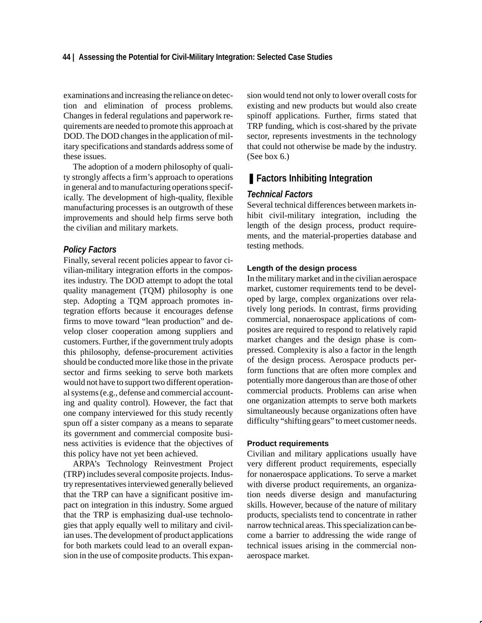#### **44 | Assessing the Potential for Civil-Military Integration: Selected Case Studies**

examinations and increasing the reliance on detection and elimination of process problems. Changes in federal regulations and paperwork requirements are needed to promote this approach at DOD. The DOD changes in the application of military specifications and standards address some of these issues.

The adoption of a modern philosophy of quality strongly affects a firm's approach to operations in general and to manufacturing operations specifically. The development of high-quality, flexible manufacturing processes is an outgrowth of these improvements and should help firms serve both the civilian and military markets.

## *Policy Factors*

Finally, several recent policies appear to favor civilian-military integration efforts in the composites industry. The DOD attempt to adopt the total quality management (TQM) philosophy is one step. Adopting a TQM approach promotes integration efforts because it encourages defense firms to move toward "lean production" and develop closer cooperation among suppliers and customers. Further, if the government truly adopts this philosophy, defense-procurement activities should be conducted more like those in the private sector and firms seeking to serve both markets would not have to support two different operational systems (e.g., defense and commercial accounting and quality control). However, the fact that one company interviewed for this study recently spun off a sister company as a means to separate its government and commercial composite business activities is evidence that the objectives of this policy have not yet been achieved.

ARPA's Technology Reinvestment Project (TRP) includes several composite projects. Industry representatives interviewed generally believed that the TRP can have a significant positive impact on integration in this industry. Some argued that the TRP is emphasizing dual-use technologies that apply equally well to military and civilian uses. The development of product applications for both markets could lead to an overall expansion in the use of composite products. This expansion would tend not only to lower overall costs for existing and new products but would also create spinoff applications. Further, firms stated that TRP funding, which is cost-shared by the private sector, represents investments in the technology that could not otherwise be made by the industry. (See box 6.)

# ■ **Factors Inhibiting Integration**

## *Technical Factors*

Several technical differences between markets inhibit civil-military integration, including the length of the design process, product requirements, and the material-properties database and testing methods.

## **Length of the design process**

In the military market and in the civilian aerospace market, customer requirements tend to be developed by large, complex organizations over relatively long periods. In contrast, firms providing commercial, nonaerospace applications of composites are required to respond to relatively rapid market changes and the design phase is compressed. Complexity is also a factor in the length of the design process. Aerospace products perform functions that are often more complex and potentially more dangerous than are those of other commercial products. Problems can arise when one organization attempts to serve both markets simultaneously because organizations often have difficulty "shifting gears" to meet customer needs.

#### **Product requirements**

Civilian and military applications usually have very different product requirements, especially for nonaerospace applications. To serve a market with diverse product requirements, an organization needs diverse design and manufacturing skills. However, because of the nature of military products, specialists tend to concentrate in rather narrow technical areas. This specialization can become a barrier to addressing the wide range of technical issues arising in the commercial nonaerospace market.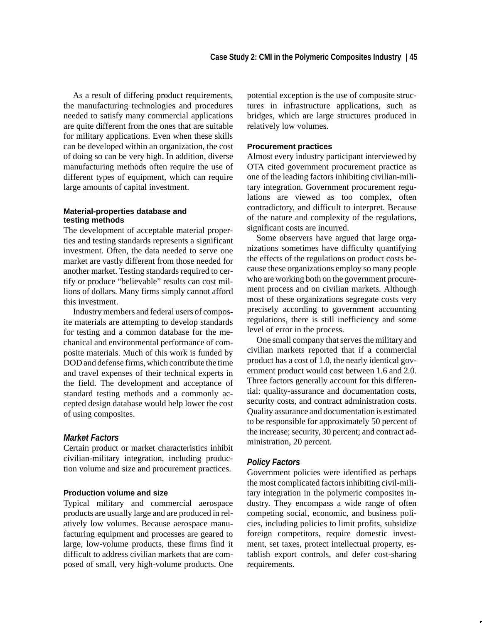As a result of differing product requirements, the manufacturing technologies and procedures needed to satisfy many commercial applications are quite different from the ones that are suitable for military applications. Even when these skills can be developed within an organization, the cost of doing so can be very high. In addition, diverse manufacturing methods often require the use of different types of equipment, which can require large amounts of capital investment.

#### **Material-properties database and testing methods**

The development of acceptable material properties and testing standards represents a significant investment. Often, the data needed to serve one market are vastly different from those needed for another market. Testing standards required to certify or produce "believable" results can cost millions of dollars. Many firms simply cannot afford this investment.

Industry members and federal users of composite materials are attempting to develop standards for testing and a common database for the mechanical and environmental performance of composite materials. Much of this work is funded by DOD and defense firms, which contribute the time and travel expenses of their technical experts in the field. The development and acceptance of standard testing methods and a commonly accepted design database would help lower the cost of using composites.

# *Market Factors*

Certain product or market characteristics inhibit civilian-military integration, including production volume and size and procurement practices.

## **Production volume and size**

Typical military and commercial aerospace products are usually large and are produced in relatively low volumes. Because aerospace manufacturing equipment and processes are geared to large, low-volume products, these firms find it difficult to address civilian markets that are composed of small, very high-volume products. One potential exception is the use of composite structures in infrastructure applications, such as bridges, which are large structures produced in relatively low volumes.

#### **Procurement practices**

Almost every industry participant interviewed by OTA cited government procurement practice as one of the leading factors inhibiting civilian-military integration. Government procurement regulations are viewed as too complex, often contradictory, and difficult to interpret. Because of the nature and complexity of the regulations, significant costs are incurred.

Some observers have argued that large organizations sometimes have difficulty quantifying the effects of the regulations on product costs because these organizations employ so many people who are working both on the government procurement process and on civilian markets. Although most of these organizations segregate costs very precisely according to government accounting regulations, there is still inefficiency and some level of error in the process.

One small company that serves the military and civilian markets reported that if a commercial product has a cost of 1.0, the nearly identical government product would cost between 1.6 and 2.0. Three factors generally account for this differential: quality-assurance and documentation costs, security costs, and contract administration costs. Quality assurance and documentation is estimated to be responsible for approximately 50 percent of the increase; security, 30 percent; and contract administration, 20 percent.

#### *Policy Factors*

Government policies were identified as perhaps the most complicated factors inhibiting civil-military integration in the polymeric composites industry. They encompass a wide range of often competing social, economic, and business policies, including policies to limit profits, subsidize foreign competitors, require domestic investment, set taxes, protect intellectual property, establish export controls, and defer cost-sharing requirements.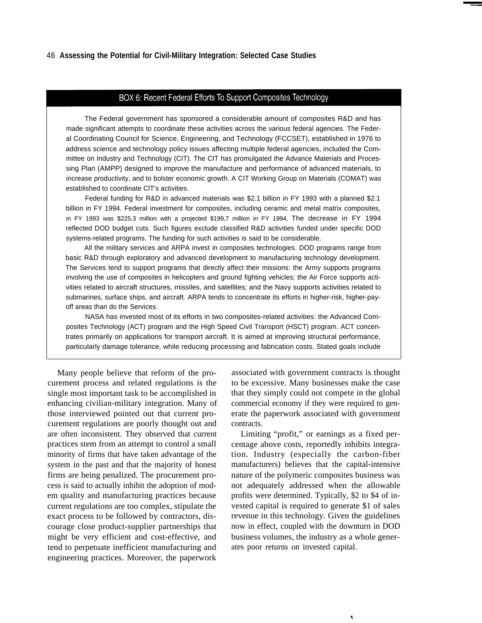#### BOX 6: Recent Federal Efforts To Support Composites Technology

The Federal government has sponsored a considerable amount of composites R&D and has made significant attempts to coordinate these activities across the various federal agencies. The Federal Coordinating Council for Science, Engineering, and Technology (FCCSET), established in 1976 to address science and technology policy issues affecting multiple federal agencies, included the Committee on Industry and Technology (CIT). The CIT has promulgated the Advance Materials and Processing Plan (AMPP) designed to improve the manufacture and performance of advanced materials, to increase productivity, and to bolster economic growth. A CIT Working Group on Materials (COMAT) was established to coordinate ClT's activities.

Federal funding for R&D in advanced materials was \$2.1 billion in FY 1993 with a planned \$2.1 billion in FY 1994. Federal investment for composites, including ceramic and metal matrix composites, in FY 1993 was \$225,3 million with a projected \$199,7 million in FY 1994, The decrease in FY 1994 reflected DOD budget cuts. Such figures exclude classified R&D activities funded under specific DOD systems-related programs. The funding for such activities is said to be considerable.

All the military services and ARPA invest in composites technologies. DOD programs range from basic R&D through exploratory and advanced development to manufacturing technology development. The Services tend to support programs that directly affect their missions: the Army supports programs involving the use of composites in helicopters and ground fighting vehicles; the Air Force supports activities related to aircraft structures, missiles, and satellites; and the Navy supports activities related to submarines, surface ships, and aircraft. ARPA tends to concentrate its efforts in higher-risk, higher-payoff areas than do the Services.

NASA has invested most of its efforts in two composites-related activities: the Advanced Composites Technology (ACT) program and the High Speed Civil Transport (HSCT) program. ACT concentrates primarily on applications for transport aircraft. It is aimed at improving structural performance, particularly damage tolerance, while reducing processing and fabrication costs. Stated goals include

Many people believe that reform of the procurement process and related regulations is the single most important task to be accomplished in enhancing civilian-military integration. Many of those interviewed pointed out that current procurement regulations are poorly thought out and are often inconsistent. They observed that current practices stem from an attempt to control a small minority of firms that have taken advantage of the system in the past and that the majority of honest firms are being penalized. The procurement process is said to actually inhibit the adoption of modem quality and manufacturing practices because current regulations are too complex, stipulate the exact process to be followed by contractors, discourage close product-supplier partnerships that might be very efficient and cost-effective, and tend to perpetuate inefficient manufacturing and engineering practices. Moreover, the paperwork

associated with government contracts is thought to be excessive. Many businesses make the case that they simply could not compete in the global commercial economy if they were required to generate the paperwork associated with government contracts.

Limiting "profit," or earnings as a fixed percentage above costs, reportedly inhibits integration. Industry (especially the carbon-fiber manufacturers) believes that the capital-intensive nature of the polymeric composites business was not adequately addressed when the allowable profits were determined. Typically, \$2 to \$4 of invested capital is required to generate \$1 of sales revenue in this technology. Given the guidelines now in effect, coupled with the downturn in DOD business volumes, the industry as a whole generates poor returns on invested capital.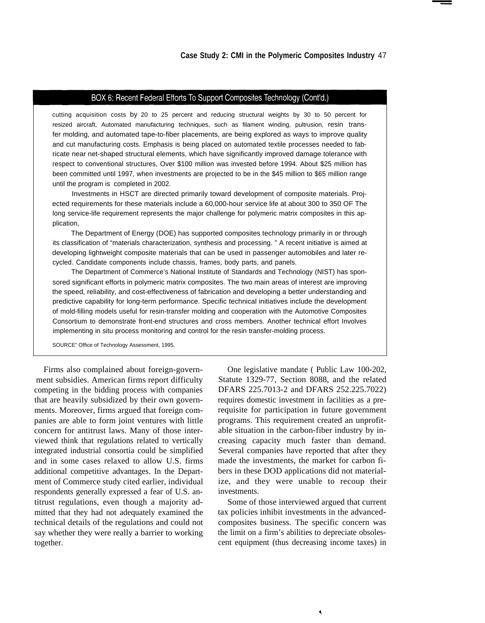# BOX 6: Recent Federal Efforts To Support Composites Technology (Cont'd.)

cutting acquisition costs by 20 to 25 percent and reducing structural weights by 30 to 50 percent for resized aircraft, Automated manufacturing techniques, such as filament winding, pultrusion, resin transfer molding, and automated tape-to-fiber placements, are being explored as ways to improve quality and cut manufacturing costs. Emphasis is being placed on automated textile processes needed to fabricate near net-shaped structural elements, which have significantly improved damage tolerance with respect to conventional structures, Over \$100 million was invested before 1994. About \$25 million has been committed until 1997, when investments are projected to be in the \$45 million to \$65 million range until the program is completed in 2002.

Investments in HSCT are directed primarily toward development of composite materials. Projected requirements for these materials include a 60,000-hour service life at about 300 to 350 OF The long service-life requirement represents the major challenge for polymeric matrix composites in this application,

The Department of Energy (DOE) has supported composites technology primarily in or through its classification of "materials characterization, synthesis and processing. " A recent initiative is aimed at developing lightweight composite materials that can be used in passenger automobiles and later recycled. Candidate components include chassis, frames, body parts, and panels.

The Department of Commerce's National Institute of Standards and Technology (NIST) has sponsored significant efforts in polymeric matrix composites. The two main areas of interest are improving the speed, reliability, and cost-effectiveness of fabrication and developing a better understanding and predictive capability for long-term performance. Specific technical initiatives include the development of mold-filling models useful for resin-transfer molding and cooperation with the Automotive Composites Consortium to demonstrate front-end structures and cross members. Another technical effort Involves implementing in situ process monitoring and control for the resin transfer-molding process.

SOURCE" Office of Technology Assessment, 1995.

Firms also complained about foreign-government subsidies. American firms report difficulty competing in the bidding process with companies that are heavily subsidized by their own governments. Moreover, firms argued that foreign companies are able to form joint ventures with little concern for antitrust laws. Many of those interviewed think that regulations related to vertically integrated industrial consortia could be simplified and in some cases relaxed to allow U.S. firms additional competitive advantages. In the Department of Commerce study cited earlier, individual respondents generally expressed a fear of U.S. antitrust regulations, even though a majority admitted that they had not adequately examined the technical details of the regulations and could not say whether they were really a barrier to working together.

One legislative mandate ( Public Law 100-202, Statute 1329-77, Section 8088, and the related DFARS 225.7013-2 and DFARS 252.225.7022) requires domestic investment in facilities as a prerequisite for participation in future government programs. This requirement created an unprofitable situation in the carbon-fiber industry by increasing capacity much faster than demand. Several companies have reported that after they made the investments, the market for carbon fibers in these DOD applications did not materialize, and they were unable to recoup their investments.

Some of those interviewed argued that current tax policies inhibit investments in the advancedcomposites business. The specific concern was the limit on a firm's abilities to depreciate obsolescent equipment (thus decreasing income taxes) in

٩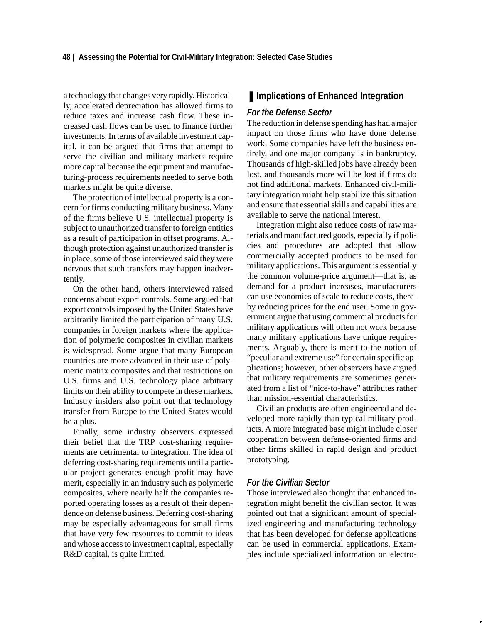a technology that changes very rapidly. Historically, accelerated depreciation has allowed firms to reduce taxes and increase cash flow. These increased cash flows can be used to finance further investments. In terms of available investment capital, it can be argued that firms that attempt to serve the civilian and military markets require more capital because the equipment and manufacturing-process requirements needed to serve both markets might be quite diverse.

The protection of intellectual property is a concern for firms conducting military business. Many of the firms believe U.S. intellectual property is subject to unauthorized transfer to foreign entities as a result of participation in offset programs. Although protection against unauthorized transfer is in place, some of those interviewed said they were nervous that such transfers may happen inadvertently.

On the other hand, others interviewed raised concerns about export controls. Some argued that export controls imposed by the United States have arbitrarily limited the participation of many U.S. companies in foreign markets where the application of polymeric composites in civilian markets is widespread. Some argue that many European countries are more advanced in their use of polymeric matrix composites and that restrictions on U.S. firms and U.S. technology place arbitrary limits on their ability to compete in these markets. Industry insiders also point out that technology transfer from Europe to the United States would be a plus.

Finally, some industry observers expressed their belief that the TRP cost-sharing requirements are detrimental to integration. The idea of deferring cost-sharing requirements until a particular project generates enough profit may have merit, especially in an industry such as polymeric composites, where nearly half the companies reported operating losses as a result of their dependence on defense business. Deferring cost-sharing may be especially advantageous for small firms that have very few resources to commit to ideas and whose access to investment capital, especially R&D capital, is quite limited.

# ■ **Implications of Enhanced Integration**

## *For the Defense Sector*

The reduction in defense spending has had a major impact on those firms who have done defense work. Some companies have left the business entirely, and one major company is in bankruptcy. Thousands of high-skilled jobs have already been lost, and thousands more will be lost if firms do not find additional markets. Enhanced civil-military integration might help stabilize this situation and ensure that essential skills and capabilities are available to serve the national interest.

Integration might also reduce costs of raw materials and manufactured goods, especially if policies and procedures are adopted that allow commercially accepted products to be used for military applications. This argument is essentially the common volume-price argument—that is, as demand for a product increases, manufacturers can use economies of scale to reduce costs, thereby reducing prices for the end user. Some in government argue that using commercial products for military applications will often not work because many military applications have unique requirements. Arguably, there is merit to the notion of "peculiar and extreme use" for certain specific applications; however, other observers have argued that military requirements are sometimes generated from a list of "nice-to-have" attributes rather than mission-essential characteristics.

Civilian products are often engineered and developed more rapidly than typical military products. A more integrated base might include closer cooperation between defense-oriented firms and other firms skilled in rapid design and product prototyping.

## *For the Civilian Sector*

Those interviewed also thought that enhanced integration might benefit the civilian sector. It was pointed out that a significant amount of specialized engineering and manufacturing technology that has been developed for defense applications can be used in commercial applications. Examples include specialized information on electro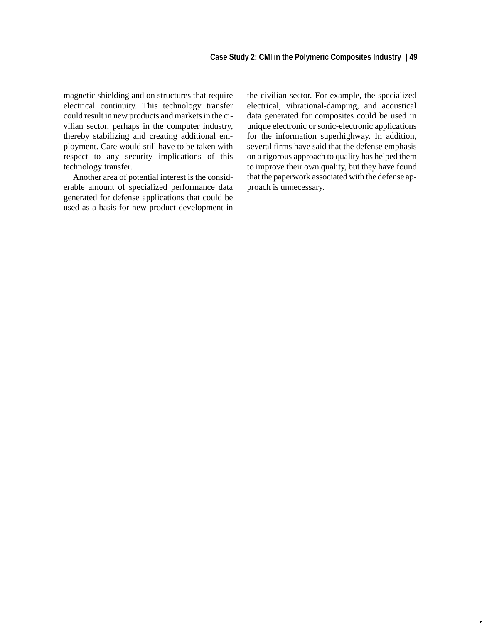magnetic shielding and on structures that require electrical continuity. This technology transfer could result in new products and markets in the civilian sector, perhaps in the computer industry, thereby stabilizing and creating additional employment. Care would still have to be taken with respect to any security implications of this technology transfer.

Another area of potential interest is the considerable amount of specialized performance data generated for defense applications that could be used as a basis for new-product development in the civilian sector. For example, the specialized electrical, vibrational-damping, and acoustical data generated for composites could be used in unique electronic or sonic-electronic applications for the information superhighway. In addition, several firms have said that the defense emphasis on a rigorous approach to quality has helped them to improve their own quality, but they have found that the paperwork associated with the defense approach is unnecessary.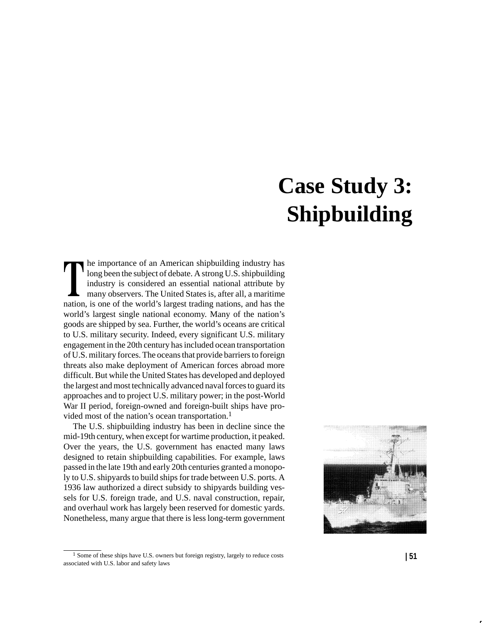# **Case Study 3: Shipbuilding**

he importance of an American shipbuilding industry has long been the subject of debate. A strong U.S. shipbuilding industry is considered an essential national attribute by many observers. The United States is, after all, a maritime nation, is one of the world's largest trading nations, and has the world's largest single national economy. Many of the nation's goods are shipped by sea. Further, the world's oceans are critical to U.S. military security. Indeed, every significant U.S. military engagement in the 20th century has included ocean transportation of U.S. military forces. The oceans that provide barriers to foreign threats also make deployment of American forces abroad more difficult. But while the United States has developed and deployed the largest and most technically advanced naval forces to guard its approaches and to project U.S. military power; in the post-World War II period, foreign-owned and foreign-built ships have provided most of the nation's ocean transportation.<sup>1</sup>

The U.S. shipbuilding industry has been in decline since the mid-19th century, when except for wartime production, it peaked. Over the years, the U.S. government has enacted many laws designed to retain shipbuilding capabilities. For example, laws passed in the late 19th and early 20th centuries granted a monopoly to U.S. shipyards to build ships for trade between U.S. ports. A 1936 law authorized a direct subsidy to shipyards building vessels for U.S. foreign trade, and U.S. naval construction, repair, and overhaul work has largely been reserved for domestic yards. Nonetheless, many argue that there is less long-term government



<sup>1</sup> Some of these ships have U.S. owners but foreign registry, largely to reduce costs associated with U.S. labor and safety laws **| 51**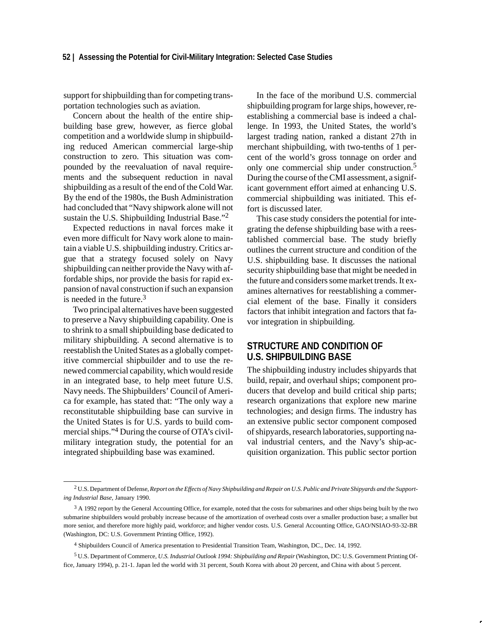support for shipbuilding than for competing transportation technologies such as aviation.

Concern about the health of the entire shipbuilding base grew, however, as fierce global competition and a worldwide slump in shipbuilding reduced American commercial large-ship construction to zero. This situation was compounded by the reevaluation of naval requirements and the subsequent reduction in naval shipbuilding as a result of the end of the Cold War. By the end of the 1980s, the Bush Administration had concluded that "Navy shipwork alone will not sustain the U.S. Shipbuilding Industrial Base."<sup>2</sup>

Expected reductions in naval forces make it even more difficult for Navy work alone to maintain a viable U.S. shipbuilding industry. Critics argue that a strategy focused solely on Navy shipbuilding can neither provide the Navy with affordable ships, nor provide the basis for rapid expansion of naval construction if such an expansion is needed in the future. $3$ 

Two principal alternatives have been suggested to preserve a Navy shipbuilding capability. One is to shrink to a small shipbuilding base dedicated to military shipbuilding. A second alternative is to reestablish the United States as a globally competitive commercial shipbuilder and to use the renewed commercial capability, which would reside in an integrated base, to help meet future U.S. Navy needs. The Shipbuilders' Council of America for example, has stated that: "The only way a reconstitutable shipbuilding base can survive in the United States is for U.S. yards to build commercial ships."4 During the course of OTA's civilmilitary integration study, the potential for an integrated shipbuilding base was examined.

In the face of the moribund U.S. commercial shipbuilding program for large ships, however, reestablishing a commercial base is indeed a challenge. In 1993, the United States, the world's largest trading nation, ranked a distant 27th in merchant shipbuilding, with two-tenths of 1 percent of the world's gross tonnage on order and only one commercial ship under construction.<sup>5</sup> During the course of the CMI assessment, a significant government effort aimed at enhancing U.S. commercial shipbuilding was initiated. This effort is discussed later.

This case study considers the potential for integrating the defense shipbuilding base with a reestablished commercial base. The study briefly outlines the current structure and condition of the U.S. shipbuilding base. It discusses the national security shipbuilding base that might be needed in the future and considers some market trends. It examines alternatives for reestablishing a commercial element of the base. Finally it considers factors that inhibit integration and factors that favor integration in shipbuilding.

# **STRUCTURE AND CONDITION OF U.S. SHIPBUILDING BASE**

The shipbuilding industry includes shipyards that build, repair, and overhaul ships; component producers that develop and build critical ship parts; research organizations that explore new marine technologies; and design firms. The industry has an extensive public sector component composed of shipyards, research laboratories, supporting naval industrial centers, and the Navy's ship-acquisition organization. This public sector portion

<sup>2</sup> U.S. Department of Defense, *Report on the Effects of Navy Shipbuilding and Repair on U.S. Public and Private Shipyards and the Supporting Industrial Base,* January 1990.

<sup>&</sup>lt;sup>3</sup> A 1992 report by the General Accounting Office, for example, noted that the costs for submarines and other ships being built by the two submarine shipbuilders would probably increase because of the amortization of overhead costs over a smaller production base; a smaller but more senior, and therefore more highly paid, workforce; and higher vendor costs. U.S. General Accounting Office, GAO/NSIAO-93-32-BR (Washington, DC: U.S. Government Printing Office, 1992).

<sup>4</sup> Shipbuilders Council of America presentation to Presidential Transition Team, Washington, DC., Dec. 14, 1992.

<sup>5</sup> U.S. Department of Commerce, *U.S. Industrial Outlook 1994: Shipbuilding and Repair* (Washington, DC: U.S. Government Printing Office, January 1994), p. 21-1. Japan led the world with 31 percent, South Korea with about 20 percent, and China with about 5 percent.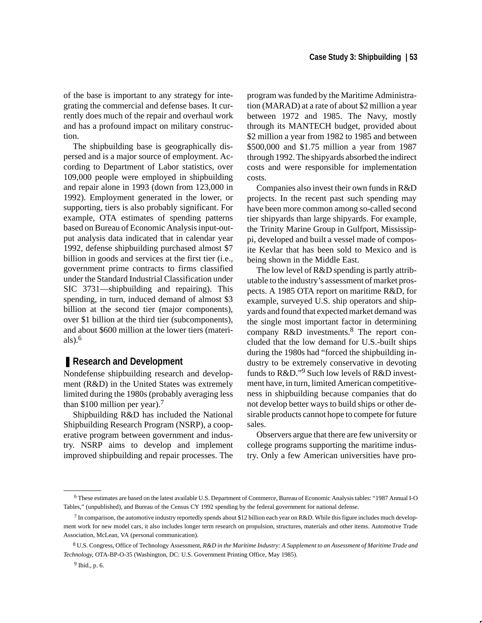of the base is important to any strategy for integrating the commercial and defense bases. It currently does much of the repair and overhaul work and has a profound impact on military construction.

The shipbuilding base is geographically dispersed and is a major source of employment. According to Department of Labor statistics, over 109,000 people were employed in shipbuilding and repair alone in 1993 (down from 123,000 in 1992). Employment generated in the lower, or supporting, tiers is also probably significant. For example, OTA estimates of spending patterns based on Bureau of Economic Analysis input-output analysis data indicated that in calendar year 1992, defense shipbuilding purchased almost \$7 billion in goods and services at the first tier (i.e., government prime contracts to firms classified under the Standard Industrial Classification under SIC 3731—shipbuilding and repairing). This spending, in turn, induced demand of almost \$3 billion at the second tier (major components), over \$1 billion at the third tier (subcomponents), and about \$600 million at the lower tiers (materials $)$ .<sup>6</sup>

# ■ **Research and Development**

Nondefense shipbuilding research and development (R&D) in the United States was extremely limited during the 1980s (probably averaging less than \$100 million per year).<sup>7</sup>

Shipbuilding R&D has included the National Shipbuilding Research Program (NSRP), a cooperative program between government and industry. NSRP aims to develop and implement improved shipbuilding and repair processes. The

program was funded by the Maritime Administration (MARAD) at a rate of about \$2 million a year between 1972 and 1985. The Navy, mostly through its MANTECH budget, provided about \$2 million a year from 1982 to 1985 and between \$500,000 and \$1.75 million a year from 1987 through 1992. The shipyards absorbed the indirect costs and were responsible for implementation costs.

Companies also invest their own funds in R&D projects. In the recent past such spending may have been more common among so-called second tier shipyards than large shipyards. For example, the Trinity Marine Group in Gulfport, Mississippi, developed and built a vessel made of composite Kevlar that has been sold to Mexico and is being shown in the Middle East.

The low level of R&D spending is partly attributable to the industry's assessment of market prospects. A 1985 OTA report on maritime R&D, for example, surveyed U.S. ship operators and shipyards and found that expected market demand was the single most important factor in determining company R&D investments.<sup>8</sup> The report concluded that the low demand for U.S.-built ships during the 1980s had "forced the shipbuilding industry to be extremely conservative in devoting funds to R&D."9 Such low levels of R&D investment have, in turn, limited American competitiveness in shipbuilding because companies that do not develop better ways to build ships or other desirable products cannot hope to compete for future sales.

Observers argue that there are few university or college programs supporting the maritime industry. Only a few American universities have pro-

<sup>6</sup> These estimates are based on the latest available U.S. Department of Commerce, Bureau of Economic Analysis tables: "1987 Annual I-O Tables," (unpublished), and Bureau of the Census CY 1992 spending by the federal government for national defense.

<sup>7</sup> In comparison, the automotive industry reportedly spends about \$12 billion each year on R&D. While this figure includes much development work for new model cars, it also includes longer term research on propulsion, structures, materials and other items. Automotive Trade Association, McLean, VA (personal communication).

<sup>8</sup> U.S. Congress, Office of Technology Assessment, *R&D in the Maritime Industry: A Supplement to an Assessment of Maritime Trade and Technology*, OTA-BP-O-35 (Washington, DC: U.S. Government Printing Office, May 1985).

<sup>9</sup> Ibid., p. 6.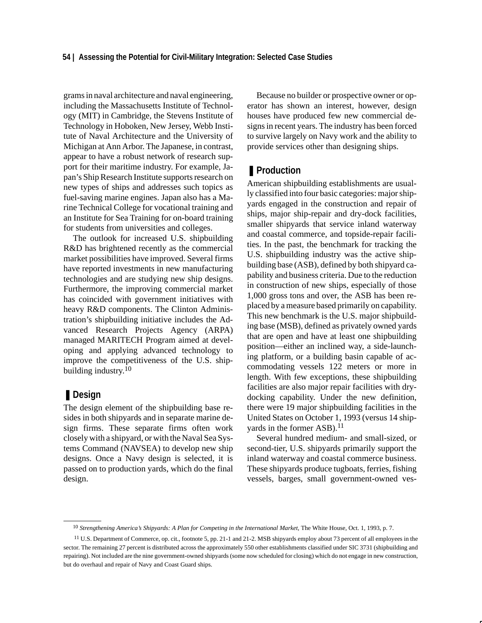grams in naval architecture and naval engineering, including the Massachusetts Institute of Technology (MIT) in Cambridge, the Stevens Institute of Technology in Hoboken, New Jersey, Webb Institute of Naval Architecture and the University of Michigan at Ann Arbor. The Japanese, in contrast, appear to have a robust network of research support for their maritime industry. For example, Japan's Ship Research Institute supports research on new types of ships and addresses such topics as fuel-saving marine engines. Japan also has a Marine Technical College for vocational training and an Institute for Sea Training for on-board training for students from universities and colleges.

The outlook for increased U.S. shipbuilding R&D has brightened recently as the commercial market possibilities have improved. Several firms have reported investments in new manufacturing technologies and are studying new ship designs. Furthermore, the improving commercial market has coincided with government initiatives with heavy R&D components. The Clinton Administration's shipbuilding initiative includes the Advanced Research Projects Agency (ARPA) managed MARITECH Program aimed at developing and applying advanced technology to improve the competitiveness of the U.S. shipbuilding industry.<sup>10</sup>

# ❚ **Design**

The design element of the shipbuilding base resides in both shipyards and in separate marine design firms. These separate firms often work closely with a shipyard, or with the Naval Sea Systems Command (NAVSEA) to develop new ship designs. Once a Navy design is selected, it is passed on to production yards, which do the final design.

Because no builder or prospective owner or operator has shown an interest, however, design houses have produced few new commercial designs in recent years. The industry has been forced to survive largely on Navy work and the ability to provide services other than designing ships.

# ■ **Production**

American shipbuilding establishments are usually classified into four basic categories: major shipyards engaged in the construction and repair of ships, major ship-repair and dry-dock facilities, smaller shipyards that service inland waterway and coastal commerce, and topside-repair facilities. In the past, the benchmark for tracking the U.S. shipbuilding industry was the active shipbuilding base (ASB), defined by both shipyard capability and business criteria. Due to the reduction in construction of new ships, especially of those 1,000 gross tons and over, the ASB has been replaced by a measure based primarily on capability. This new benchmark is the U.S. major shipbuilding base (MSB), defined as privately owned yards that are open and have at least one shipbuilding position—either an inclined way, a side-launching platform, or a building basin capable of accommodating vessels 122 meters or more in length. With few exceptions, these shipbuilding facilities are also major repair facilities with drydocking capability. Under the new definition, there were 19 major shipbuilding facilities in the United States on October 1, 1993 (versus 14 shipyards in the former ASB).<sup>11</sup>

Several hundred medium- and small-sized, or second-tier, U.S. shipyards primarily support the inland waterway and coastal commerce business. These shipyards produce tugboats, ferries, fishing vessels, barges, small government-owned ves-

<sup>10</sup> *Strengthening America's Shipyards: A Plan for Competing in the International Market*, The White House, Oct. 1, 1993, p. 7.

<sup>11</sup> U.S. Department of Commerce, op. cit., footnote 5, pp. 21-1 and 21-2. MSB shipyards employ about 73 percent of all employees in the sector. The remaining 27 percent is distributed across the approximately 550 other establishments classified under SIC 3731 (shipbuilding and repairing). Not included are the nine government-owned shipyards (some now scheduled for closing) which do not engage in new construction, but do overhaul and repair of Navy and Coast Guard ships.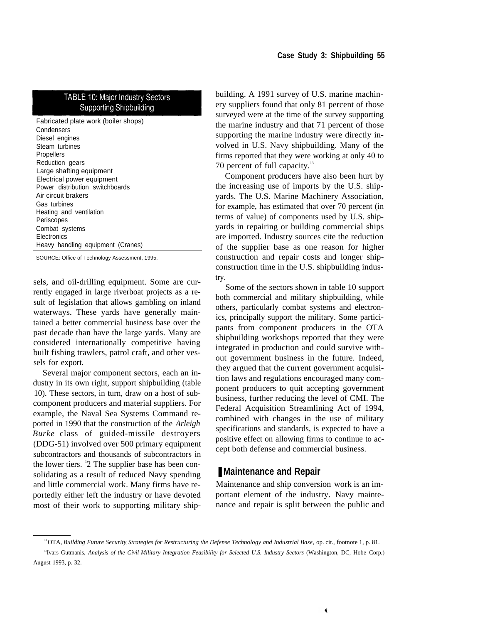# **TABLE 10: Major Industry Sectors Supporting Shipbuilding**

Fabricated plate work (boiler shops) **Condensers** Diesel engines Steam turbines Propellers Reduction gears Large shafting equipment Electrical power equipment Power distribution switchboards Air circuit brakers Gas turbines Heating and ventilation Periscopes Combat systems **Electronics** Heavy handling equipment (Cranes)

SOURCE: Office of Technology Assessment, 1995,

sels, and oil-drilling equipment. Some are currently engaged in large riverboat projects as a result of legislation that allows gambling on inland waterways. These yards have generally maintained a better commercial business base over the past decade than have the large yards. Many are considered internationally competitive having built fishing trawlers, patrol craft, and other vessels for export.

Several major component sectors, each an industry in its own right, support shipbuilding (table 10). These sectors, in turn, draw on a host of subcomponent producers and material suppliers. For example, the Naval Sea Systems Command reported in 1990 that the construction of the *Arleigh Burke* class of guided-missile destroyers (DDG-51) involved over 500 primary equipment subcontractors and thousands of subcontractors in the lower tiers. <sup>1</sup> 2 The supplier base has been consolidating as a result of reduced Navy spending and little commercial work. Many firms have reportedly either left the industry or have devoted most of their work to supporting military shipbuilding. A 1991 survey of U.S. marine machinery suppliers found that only 81 percent of those surveyed were at the time of the survey supporting the marine industry and that 71 percent of those supporting the marine industry were directly involved in U.S. Navy shipbuilding. Many of the firms reported that they were working at only 40 to 70 percent of full capacity.<sup>13</sup>

Component producers have also been hurt by the increasing use of imports by the U.S. shipyards. The U.S. Marine Machinery Association, for example, has estimated that over 70 percent (in terms of value) of components used by U.S. shipyards in repairing or building commercial ships are imported. Industry sources cite the reduction of the supplier base as one reason for higher construction and repair costs and longer shipconstruction time in the U.S. shipbuilding industry.

Some of the sectors shown in table 10 support both commercial and military shipbuilding, while others, particularly combat systems and electronics, principally support the military. Some participants from component producers in the OTA shipbuilding workshops reported that they were integrated in production and could survive without government business in the future. Indeed, they argued that the current government acquisition laws and regulations encouraged many component producers to quit accepting government business, further reducing the level of CMI. The Federal Acquisition Streamlining Act of 1994, combined with changes in the use of military specifications and standards, is expected to have a positive effect on allowing firms to continue to accept both defense and commercial business.

# ■ Maintenance and Repair

Maintenance and ship conversion work is an important element of the industry. Navy maintenance and repair is split between the public and

<sup>12</sup>OTA, *Building Future Security: Strategies for Restructuring the Defense Technology and Industrial Base,* op. cit., footnote 1, p. 81.

<sup>13</sup>Ivars Gutmanis, *Analysis of the Civil-Military Integration Feasibility for Selected U.S. Industry Sectors* (Washington, DC, Hobe Corp.) August 1993, p. 32.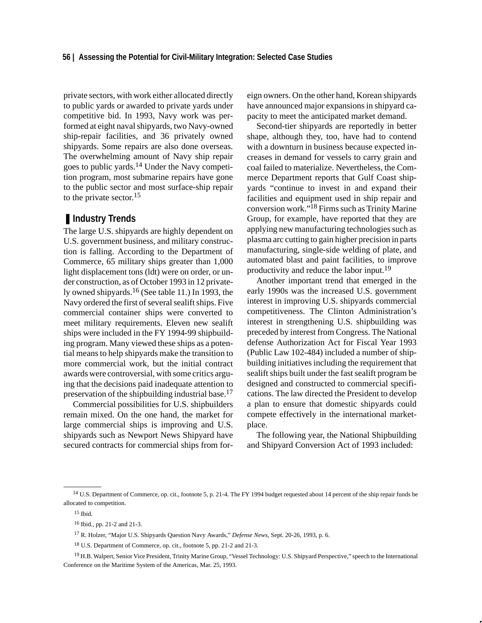private sectors, with work either allocated directly to public yards or awarded to private yards under competitive bid. In 1993, Navy work was performed at eight naval shipyards, two Navy-owned ship-repair facilities, and 36 privately owned shipyards. Some repairs are also done overseas. The overwhelming amount of Navy ship repair goes to public yards.14 Under the Navy competition program, most submarine repairs have gone to the public sector and most surface-ship repair to the private sector.<sup>15</sup>

# ■ **Industry Trends**

The large U.S. shipyards are highly dependent on U.S. government business, and military construction is falling. According to the Department of Commerce, 65 military ships greater than 1,000 light displacement tons (ldt) were on order, or under construction, as of October 1993 in 12 privately owned shipyards.16 (See table 11.) In 1993, the Navy ordered the first of several sealift ships. Five commercial container ships were converted to meet military requirements. Eleven new sealift ships were included in the FY 1994-99 shipbuilding program. Many viewed these ships as a potential means to help shipyards make the transition to more commercial work, but the initial contract awards were controversial, with some critics arguing that the decisions paid inadequate attention to preservation of the shipbuilding industrial base.<sup>17</sup>

Commercial possibilities for U.S. shipbuilders remain mixed. On the one hand, the market for large commercial ships is improving and U.S. shipyards such as Newport News Shipyard have secured contracts for commercial ships from foreign owners. On the other hand, Korean shipyards have announced major expansions in shipyard capacity to meet the anticipated market demand.

Second-tier shipyards are reportedly in better shape, although they, too, have had to contend with a downturn in business because expected increases in demand for vessels to carry grain and coal failed to materialize. Nevertheless, the Commerce Department reports that Gulf Coast shipyards "continue to invest in and expand their facilities and equipment used in ship repair and conversion work."18 Firms such as Trinity Marine Group, for example, have reported that they are applying new manufacturing technologies such as plasma arc cutting to gain higher precision in parts manufacturing, single-side welding of plate, and automated blast and paint facilities, to improve productivity and reduce the labor input.<sup>19</sup>

Another important trend that emerged in the early 1990s was the increased U.S. government interest in improving U.S. shipyards commercial competitiveness. The Clinton Administration's interest in strengthening U.S. shipbuilding was preceded by interest from Congress. The National defense Authorization Act for Fiscal Year 1993 (Public Law 102-484) included a number of shipbuilding initiatives including the requirement that sealift ships built under the fast sealift program be designed and constructed to commercial specifications. The law directed the President to develop a plan to ensure that domestic shipyards could compete effectively in the international marketplace.

The following year, the National Shipbuilding and Shipyard Conversion Act of 1993 included:

15 Ibid.

<sup>&</sup>lt;sup>14</sup> U.S. Department of Commerce, op. cit., footnote 5, p. 21-4. The FY 1994 budget requested about 14 percent of the ship repair funds be allocated to competition.

<sup>16</sup> Ibid., pp. 21-2 and 21-3.

<sup>17</sup> R. Holzer, "Major U.S. Shipyards Question Navy Awards," *Defense News*, Sept. 20-26, 1993, p. 6.

<sup>18</sup> U.S. Department of Commerce*,* op. cit., footnote 5, pp. 21-2 and 21-3.

<sup>&</sup>lt;sup>19</sup> H.B. Walpert, Senior Vice President, Trinity Marine Group, "Vessel Technology: U.S. Shipyard Perspective," speech to the International Conference on the Maritime System of the Americas, Mar. 25, 1993.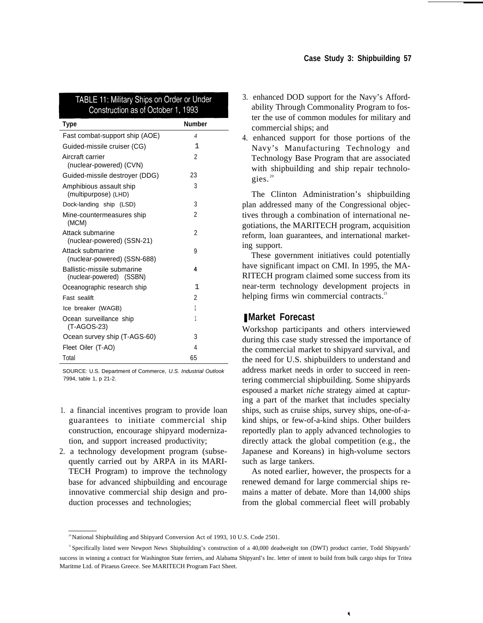| <b>Number</b><br>Type<br>Fast combat-support ship (AOE)<br>$\overline{\mathcal{A}}$<br>1<br>Guided-missile cruiser (CG)<br>Aircraft carrier<br>2<br>(nuclear-powered) (CVN)<br>Guided-missile destroyer (DDG)<br>23<br>3<br>Amphibious assault ship<br>(multipurpose) (LHD)<br>3<br>Dock-landing ship (LSD)<br>2<br>Mine-countermeasures ship<br>(MCM)<br>$\mathfrak{p}$<br>Attack submarine<br>(nuclear-powered) (SSN-21)<br>Attack submarine<br>9<br>(nuclear-powered) (SSN-688)<br>Ballistic-missile submarine<br>4<br>(nuclear-powered) (SSBN)<br>1<br>Oceanographic research ship<br>2<br>Fast sealift<br>1<br>Ice breaker (WAGB)<br>1<br>Ocean surveillance ship<br>(T-AGOS-23)<br>3<br>Ocean survey ship (T-AGS-60)<br>Fleet Oiler (T-AO)<br>4<br>Total<br>65 | <b>TABLE 11: Military Ships on Order or Under</b><br>Construction as of October 1, 1993 |  |
|----------------------------------------------------------------------------------------------------------------------------------------------------------------------------------------------------------------------------------------------------------------------------------------------------------------------------------------------------------------------------------------------------------------------------------------------------------------------------------------------------------------------------------------------------------------------------------------------------------------------------------------------------------------------------------------------------------------------------------------------------------------------|-----------------------------------------------------------------------------------------|--|
|                                                                                                                                                                                                                                                                                                                                                                                                                                                                                                                                                                                                                                                                                                                                                                      |                                                                                         |  |
|                                                                                                                                                                                                                                                                                                                                                                                                                                                                                                                                                                                                                                                                                                                                                                      |                                                                                         |  |
|                                                                                                                                                                                                                                                                                                                                                                                                                                                                                                                                                                                                                                                                                                                                                                      |                                                                                         |  |
|                                                                                                                                                                                                                                                                                                                                                                                                                                                                                                                                                                                                                                                                                                                                                                      |                                                                                         |  |
|                                                                                                                                                                                                                                                                                                                                                                                                                                                                                                                                                                                                                                                                                                                                                                      |                                                                                         |  |
|                                                                                                                                                                                                                                                                                                                                                                                                                                                                                                                                                                                                                                                                                                                                                                      |                                                                                         |  |
|                                                                                                                                                                                                                                                                                                                                                                                                                                                                                                                                                                                                                                                                                                                                                                      |                                                                                         |  |
|                                                                                                                                                                                                                                                                                                                                                                                                                                                                                                                                                                                                                                                                                                                                                                      |                                                                                         |  |
|                                                                                                                                                                                                                                                                                                                                                                                                                                                                                                                                                                                                                                                                                                                                                                      |                                                                                         |  |
|                                                                                                                                                                                                                                                                                                                                                                                                                                                                                                                                                                                                                                                                                                                                                                      |                                                                                         |  |
|                                                                                                                                                                                                                                                                                                                                                                                                                                                                                                                                                                                                                                                                                                                                                                      |                                                                                         |  |
|                                                                                                                                                                                                                                                                                                                                                                                                                                                                                                                                                                                                                                                                                                                                                                      |                                                                                         |  |
|                                                                                                                                                                                                                                                                                                                                                                                                                                                                                                                                                                                                                                                                                                                                                                      |                                                                                         |  |
|                                                                                                                                                                                                                                                                                                                                                                                                                                                                                                                                                                                                                                                                                                                                                                      |                                                                                         |  |
|                                                                                                                                                                                                                                                                                                                                                                                                                                                                                                                                                                                                                                                                                                                                                                      |                                                                                         |  |
|                                                                                                                                                                                                                                                                                                                                                                                                                                                                                                                                                                                                                                                                                                                                                                      |                                                                                         |  |
|                                                                                                                                                                                                                                                                                                                                                                                                                                                                                                                                                                                                                                                                                                                                                                      |                                                                                         |  |
|                                                                                                                                                                                                                                                                                                                                                                                                                                                                                                                                                                                                                                                                                                                                                                      |                                                                                         |  |

SOURCE: U.S. Department of Commerce, U.S. Industrial Outlook 7994, table 1, p 21-2.

- 1. a financial incentives program to provide loan guarantees to initiate commercial ship construction, encourage shipyard modernization, and support increased productivity;
- 2. a technology development program (subsequently carried out by ARPA in its MARI-TECH Program) to improve the technology base for advanced shipbuilding and encourage innovative commercial ship design and production processes and technologies;
- 3. enhanced DOD support for the Navy's Affordability Through Commonality Program to foster the use of common modules for military and commercial ships; and
- 4. enhanced support for those portions of the Navy's Manufacturing Technology and Technology Base Program that are associated with shipbuilding and ship repair technologies.<sup>20</sup>

The Clinton Administration's shipbuilding plan addressed many of the Congressional objectives through a combination of international negotiations, the MARITECH program, acquisition reform, loan guarantees, and international marketing support.

These government initiatives could potentially have significant impact on CMI. In 1995, the MA-RITECH program claimed some success from its near-term technology development projects in helping firms win commercial contracts.<sup>21</sup>

# ❚ **Market Forecast**

Workshop participants and others interviewed during this case study stressed the importance of the commercial market to shipyard survival, and the need for U.S. shipbuilders to understand and address market needs in order to succeed in reentering commercial shipbuilding. Some shipyards espoused a market *niche* strategy aimed at capturing a part of the market that includes specialty ships, such as cruise ships, survey ships, one-of-akind ships, or few-of-a-kind ships. Other builders reportedly plan to apply advanced technologies to directly attack the global competition (e.g., the Japanese and Koreans) in high-volume sectors such as large tankers.

As noted earlier, however, the prospects for a renewed demand for large commercial ships remains a matter of debate. More than 14,000 ships from the global commercial fleet will probably

 $\blacktriangleleft$ 

<sup>&</sup>lt;sup>20</sup> National Shipbuilding and Shipyard Conversion Act of 1993, 10 U.S. Code 2501.

<sup>&</sup>lt;sup>21</sup> Specifically listed were Newport News Shipbuilding's construction of a 40,000 deadweight ton (DWT) product carrier, Todd Shipyards' success in winning a contract for Washington State ferriers, and Alabama Shipyard's Inc. letter of intent to build from bulk cargo ships for Tritea Maritme Ltd. of Piraeus Greece. See MARITECH Program Fact Sheet.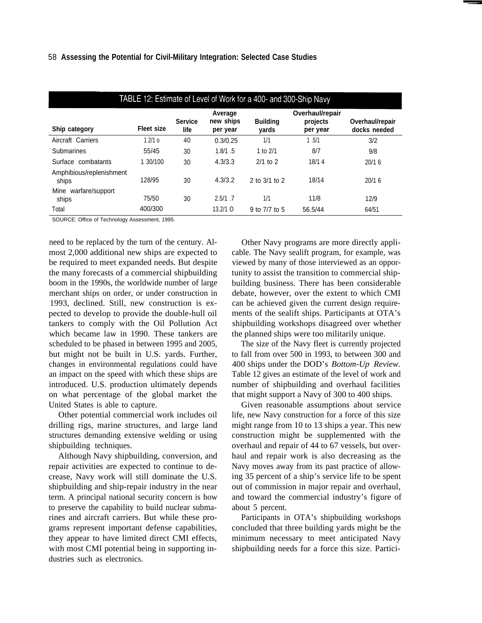| TABLE 12: Estimate of Level of Work for a 400- and 300-Ship Navy |                   |                        |                                  |                          |                                         |                                 |
|------------------------------------------------------------------|-------------------|------------------------|----------------------------------|--------------------------|-----------------------------------------|---------------------------------|
| Ship category                                                    | <b>Fleet size</b> | <b>Service</b><br>life | Average<br>new ships<br>per year | <b>Building</b><br>vards | Overhaul/repair<br>projects<br>per year | Overhaul/repair<br>docks needed |
| Aircraft Carriers                                                | 12/10             | 40                     | 0.3/0.25                         | 1/1                      | 1.5/1                                   | 3/2                             |
| Submarines                                                       | 55/45             | 30                     | 1.8/1.5                          | 1 to $2/1$               | 8/7                                     | 9/8                             |
| Surface combatants                                               | 1 30/100          | 30                     | 4.3/3.3                          | $2/1$ to 2               | 18/14                                   | 20/16                           |
| Amphibious/replenishment<br>ships                                | 128/95            | 30                     | 4.3/3.2                          | 2 to $3/1$ to 2          | 18/14                                   | 20/16                           |
| Mine<br>warfare/support<br>ships                                 | 75/50             | 30                     | $2.5/1$ .7                       | 1/1                      | 11/8                                    | 12/9                            |
| Total                                                            | 400/300           |                        | $13.2/1$ O                       | 9 to 7/7 to 5            | 56.5/44                                 | 64/51                           |

SOURCE: Office of Technology Assessment, 1995.

need to be replaced by the turn of the century. Almost 2,000 additional new ships are expected to be required to meet expanded needs. But despite the many forecasts of a commercial shipbuilding boom in the 1990s, the worldwide number of large merchant ships on order, or under construction in 1993, declined. Still, new construction is expected to develop to provide the double-hull oil tankers to comply with the Oil Pollution Act which became law in 1990. These tankers are scheduled to be phased in between 1995 and 2005, but might not be built in U.S. yards. Further, changes in environmental regulations could have an impact on the speed with which these ships are introduced. U.S. production ultimately depends on what percentage of the global market the United States is able to capture.

Other potential commercial work includes oil drilling rigs, marine structures, and large land structures demanding extensive welding or using shipbuilding techniques.

Although Navy shipbuilding, conversion, and repair activities are expected to continue to decrease, Navy work will still dominate the U.S. shipbuilding and ship-repair industry in the near term. A principal national security concern is how to preserve the capability to build nuclear submarines and aircraft carriers. But while these programs represent important defense capabilities, they appear to have limited direct CMI effects, with most CMI potential being in supporting industries such as electronics.

Other Navy programs are more directly applicable. The Navy sealift program, for example, was viewed by many of those interviewed as an opportunity to assist the transition to commercial shipbuilding business. There has been considerable debate, however, over the extent to which CMI can be achieved given the current design requirements of the sealift ships. Participants at OTA's shipbuilding workshops disagreed over whether the planned ships were too militarily unique.

The size of the Navy fleet is currently projected to fall from over 500 in 1993, to between 300 and 400 ships under the DOD's *Bottom-Up Review.* Table 12 gives an estimate of the level of work and number of shipbuilding and overhaul facilities that might support a Navy of 300 to 400 ships.

Given reasonable assumptions about service life, new Navy construction for a force of this size might range from 10 to 13 ships a year. This new construction might be supplemented with the overhaul and repair of 44 to 67 vessels, but overhaul and repair work is also decreasing as the Navy moves away from its past practice of allowing 35 percent of a ship's service life to be spent out of commission in major repair and overhaul, and toward the commercial industry's figure of about 5 percent.

Participants in OTA's shipbuilding workshops concluded that three building yards might be the minimum necessary to meet anticipated Navy shipbuilding needs for a force this size. Partici-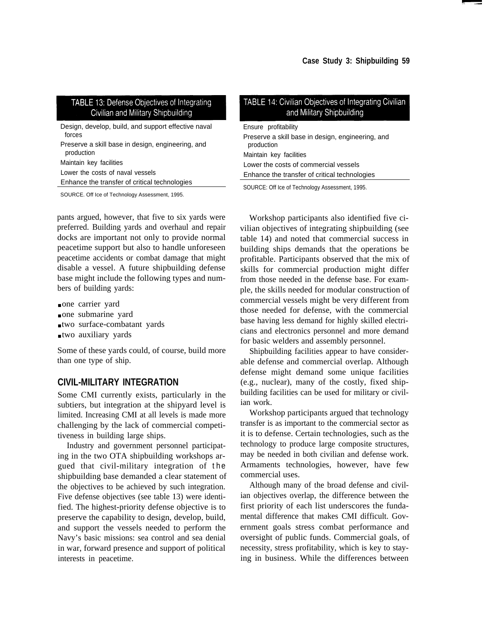# TABLE 13: Defense Objectives of Integrating Civilian and Military Shipbuilding

| Design, develop, build, and support effective naval<br>forces   |
|-----------------------------------------------------------------|
| Preserve a skill base in design, engineering, and<br>production |
| Maintain key facilities                                         |
| Lower the costs of naval vessels                                |
| Enhance the transfer of critical technologies                   |
|                                                                 |

SOURCE. Off Ice of Technology Assessment, 1995.

pants argued, however, that five to six yards were preferred. Building yards and overhaul and repair docks are important not only to provide normal peacetime support but also to handle unforeseen peacetime accidents or combat damage that might disable a vessel. A future shipbuilding defense base might include the following types and numbers of building yards:

- one carrier yard
- one submarine yard
- two surface-combatant yards
- two auxiliary yards

Some of these yards could, of course, build more than one type of ship.

# **CIVIL-MILITARY INTEGRATION**

Some CMI currently exists, particularly in the subtiers, but integration at the shipyard level is limited. Increasing CMI at all levels is made more challenging by the lack of commercial competitiveness in building large ships.

Industry and government personnel participating in the two OTA shipbuilding workshops argued that civil-military integration of the shipbuilding base demanded a clear statement of the objectives to be achieved by such integration. Five defense objectives (see table 13) were identified. The highest-priority defense objective is to preserve the capability to design, develop, build, and support the vessels needed to perform the Navy's basic missions: sea control and sea denial in war, forward presence and support of political interests in peacetime.

| TABLE 14: Civilian Objectives of Integrating Civilian<br>and Military Shipbuilding |
|------------------------------------------------------------------------------------|
| Ensure profitability                                                               |
| Preserve a skill base in design, engineering, and<br>production                    |
| Maintain key facilities                                                            |
| Lower the costs of commercial vessels                                              |
| Enhance the transfer of critical technologies                                      |
|                                                                                    |

SOURCE: Off Ice of Technology Assessment, 1995.

Workshop participants also identified five civilian objectives of integrating shipbuilding (see table 14) and noted that commercial success in building ships demands that the operations be profitable. Participants observed that the mix of skills for commercial production might differ from those needed in the defense base. For example, the skills needed for modular construction of commercial vessels might be very different from those needed for defense, with the commercial base having less demand for highly skilled electricians and electronics personnel and more demand for basic welders and assembly personnel.

Shipbuilding facilities appear to have considerable defense and commercial overlap. Although defense might demand some unique facilities (e.g., nuclear), many of the costly, fixed shipbuilding facilities can be used for military or civilian work.

Workshop participants argued that technology transfer is as important to the commercial sector as it is to defense. Certain technologies, such as the technology to produce large composite structures, may be needed in both civilian and defense work. Armaments technologies, however, have few commercial uses.

Although many of the broad defense and civilian objectives overlap, the difference between the first priority of each list underscores the fundamental difference that makes CMI difficult. Government goals stress combat performance and oversight of public funds. Commercial goals, of necessity, stress profitability, which is key to staying in business. While the differences between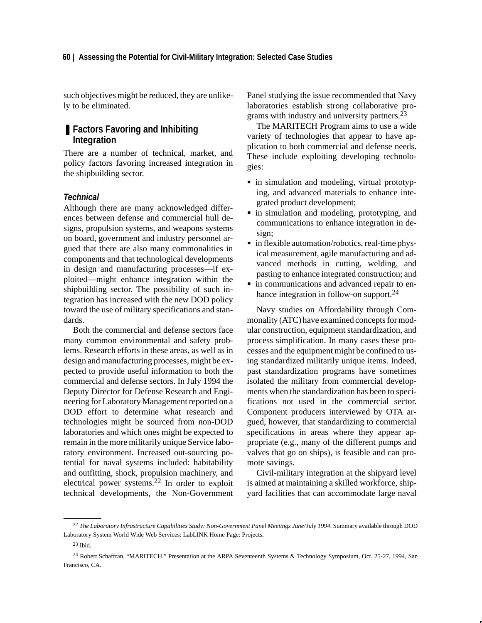#### **60 | Assessing the Potential for Civil-Military Integration: Selected Case Studies**

such objectives might be reduced, they are unlikely to be eliminated.

# ■ **Factors Favoring and Inhibiting Integration**

There are a number of technical, market, and policy factors favoring increased integration in the shipbuilding sector.

## *Technical*

Although there are many acknowledged differences between defense and commercial hull designs, propulsion systems, and weapons systems on board, government and industry personnel argued that there are also many commonalities in components and that technological developments in design and manufacturing processes—if exploited—might enhance integration within the shipbuilding sector. The possibility of such integration has increased with the new DOD policy toward the use of military specifications and standards.

Both the commercial and defense sectors face many common environmental and safety problems. Research efforts in these areas, as well as in design and manufacturing processes, might be expected to provide useful information to both the commercial and defense sectors. In July 1994 the Deputy Director for Defense Research and Engineering for Laboratory Management reported on a DOD effort to determine what research and technologies might be sourced from non-DOD laboratories and which ones might be expected to remain in the more militarily unique Service laboratory environment. Increased out-sourcing potential for naval systems included: habitability and outfitting, shock, propulsion machinery, and electrical power systems.22 In order to exploit technical developments, the Non-Government Panel studying the issue recommended that Navy laboratories establish strong collaborative programs with industry and university partners.<sup>23</sup>

The MARITECH Program aims to use a wide variety of technologies that appear to have application to both commercial and defense needs. These include exploiting developing technologies:

- $\overline{\phantom{a}}$  $\blacksquare$  in simulation and modeling, virtual prototyping, and advanced materials to enhance integrated product development;
- in simulation and modeling, prototyping, and communications to enhance integration in design;
- in flexible automation/robotics, real-time physical measurement, agile manufacturing and advanced methods in cutting, welding, and pasting to enhance integrated construction; and
- in communications and advanced repair to enhance integration in follow-on support.<sup>24</sup>

Navy studies on Affordability through Commonality (ATC) have examined concepts for modular construction, equipment standardization, and process simplification. In many cases these processes and the equipment might be confined to using standardized militarily unique items. Indeed, past standardization programs have sometimes isolated the military from commercial developments when the standardization has been to specifications not used in the commercial sector. Component producers interviewed by OTA argued, however, that standardizing to commercial specifications in areas where they appear appropriate (e.g., many of the different pumps and valves that go on ships), is feasible and can promote savings.

Civil-military integration at the shipyard level is aimed at maintaining a skilled workforce, shipyard facilities that can accommodate large naval

<sup>22</sup> *The Laboratory Infrastructure Capabilities Study: Non-Government Panel Meetings June/July 1994*. Summary available through DOD Laboratory System World Wide Web Services: LabLINK Home Page: Projects.

<sup>23</sup> Ibid.

<sup>24</sup> Robert Schaffran, "MARITECH," Presentation at the ARPA Seventeenth Systems & Technology Symposium, Oct. 25-27, 1994, San Francisco, CA.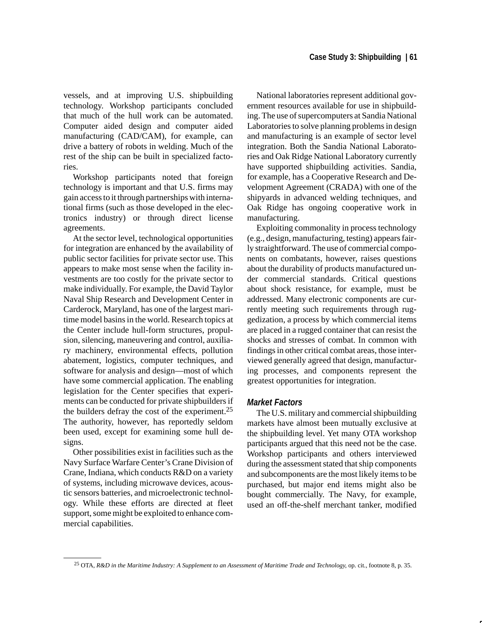vessels, and at improving U.S. shipbuilding technology. Workshop participants concluded that much of the hull work can be automated. Computer aided design and computer aided manufacturing (CAD/CAM), for example, can drive a battery of robots in welding. Much of the rest of the ship can be built in specialized factories.

Workshop participants noted that foreign technology is important and that U.S. firms may gain access to it through partnerships with international firms (such as those developed in the electronics industry) or through direct license agreements.

At the sector level, technological opportunities for integration are enhanced by the availability of public sector facilities for private sector use. This appears to make most sense when the facility investments are too costly for the private sector to make individually. For example, the David Taylor Naval Ship Research and Development Center in Carderock, Maryland, has one of the largest maritime model basins in the world. Research topics at the Center include hull-form structures, propulsion, silencing, maneuvering and control, auxiliary machinery, environmental effects, pollution abatement, logistics, computer techniques, and software for analysis and design—most of which have some commercial application. The enabling legislation for the Center specifies that experiments can be conducted for private shipbuilders if the builders defray the cost of the experiment.25 The authority, however, has reportedly seldom been used, except for examining some hull designs.

Other possibilities exist in facilities such as the Navy Surface Warfare Center's Crane Division of Crane, Indiana, which conducts R&D on a variety of systems, including microwave devices, acoustic sensors batteries, and microelectronic technology. While these efforts are directed at fleet support, some might be exploited to enhance commercial capabilities.

National laboratories represent additional government resources available for use in shipbuilding. The use of supercomputers at Sandia National Laboratories to solve planning problems in design and manufacturing is an example of sector level integration. Both the Sandia National Laboratories and Oak Ridge National Laboratory currently have supported shipbuilding activities. Sandia, for example, has a Cooperative Research and Development Agreement (CRADA) with one of the shipyards in advanced welding techniques, and Oak Ridge has ongoing cooperative work in manufacturing.

Exploiting commonality in process technology (e.g., design, manufacturing, testing) appears fairly straightforward. The use of commercial components on combatants, however, raises questions about the durability of products manufactured under commercial standards. Critical questions about shock resistance, for example, must be addressed. Many electronic components are currently meeting such requirements through ruggedization, a process by which commercial items are placed in a rugged container that can resist the shocks and stresses of combat. In common with findings in other critical combat areas, those interviewed generally agreed that design, manufacturing processes, and components represent the greatest opportunities for integration.

#### *Market Factors*

The U.S. military and commercial shipbuilding markets have almost been mutually exclusive at the shipbuilding level. Yet many OTA workshop participants argued that this need not be the case. Workshop participants and others interviewed during the assessment stated that ship components and subcomponents are the most likely items to be purchased, but major end items might also be bought commercially. The Navy, for example, used an off-the-shelf merchant tanker, modified

<sup>25</sup> OTA, *R&D in the Maritime Industry: A Supplement to an Assessment of Maritime Trade and Technology*, op. cit., footnote 8, p. 35.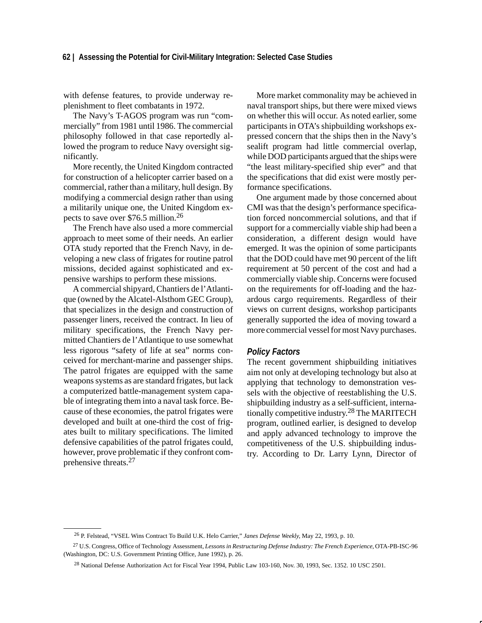#### **62 | Assessing the Potential for Civil-Military Integration: Selected Case Studies**

with defense features, to provide underway replenishment to fleet combatants in 1972.

The Navy's T-AGOS program was run "commercially" from 1981 until 1986. The commercial philosophy followed in that case reportedly allowed the program to reduce Navy oversight significantly.

More recently, the United Kingdom contracted for construction of a helicopter carrier based on a commercial, rather than a military, hull design. By modifying a commercial design rather than using a militarily unique one, the United Kingdom expects to save over \$76.5 million.26

The French have also used a more commercial approach to meet some of their needs. An earlier OTA study reported that the French Navy, in developing a new class of frigates for routine patrol missions, decided against sophisticated and expensive warships to perform these missions.

A commercial shipyard, Chantiers de l'Atlantique (owned by the Alcatel-Alsthom GEC Group), that specializes in the design and construction of passenger liners, received the contract. In lieu of military specifications, the French Navy permitted Chantiers de l'Atlantique to use somewhat less rigorous "safety of life at sea" norms conceived for merchant-marine and passenger ships. The patrol frigates are equipped with the same weapons systems as are standard frigates, but lack a computerized battle-management system capable of integrating them into a naval task force. Because of these economies, the patrol frigates were developed and built at one-third the cost of frigates built to military specifications. The limited defensive capabilities of the patrol frigates could, however, prove problematic if they confront comprehensive threats.<sup>27</sup>

More market commonality may be achieved in naval transport ships, but there were mixed views on whether this will occur. As noted earlier, some participants in OTA's shipbuilding workshops expressed concern that the ships then in the Navy's sealift program had little commercial overlap, while DOD participants argued that the ships were "the least military-specified ship ever" and that the specifications that did exist were mostly performance specifications.

One argument made by those concerned about CMI was that the design's performance specification forced noncommercial solutions, and that if support for a commercially viable ship had been a consideration, a different design would have emerged. It was the opinion of some participants that the DOD could have met 90 percent of the lift requirement at 50 percent of the cost and had a commercially viable ship. Concerns were focused on the requirements for off-loading and the hazardous cargo requirements. Regardless of their views on current designs, workshop participants generally supported the idea of moving toward a more commercial vessel for most Navy purchases.

#### *Policy Factors*

The recent government shipbuilding initiatives aim not only at developing technology but also at applying that technology to demonstration vessels with the objective of reestablishing the U.S. shipbuilding industry as a self-sufficient, internationally competitive industry.28 The MARITECH program, outlined earlier, is designed to develop and apply advanced technology to improve the competitiveness of the U.S. shipbuilding industry. According to Dr. Larry Lynn, Director of

<sup>26</sup> P. Felstead, "VSEL Wins Contract To Build U.K. Helo Carrier," *Janes Defense Weekly*, May 22, 1993, p. 10.

<sup>27</sup> U.S. Congress, Office of Technology Assessment, *Lessons in Restructuring Defense Industry: The French Experience*, OTA-PB-ISC-96 (Washington, DC: U.S. Government Printing Office, June 1992), p. 26.

<sup>28</sup> National Defense Authorization Act for Fiscal Year 1994, Public Law 103-160, Nov. 30, 1993, Sec. 1352. 10 USC 2501.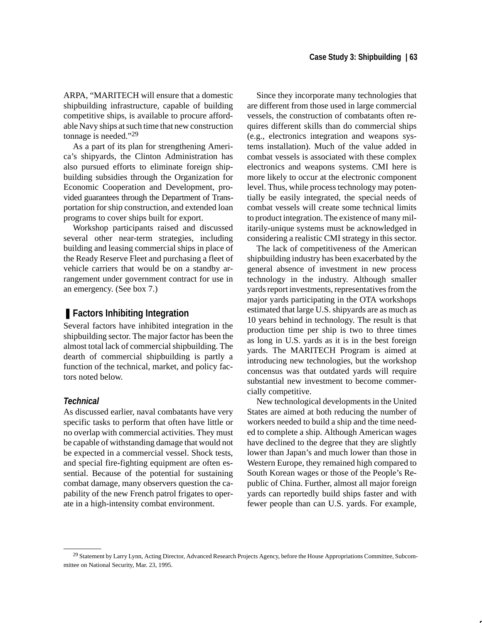ARPA, "MARITECH will ensure that a domestic shipbuilding infrastructure, capable of building competitive ships, is available to procure affordable Navy ships at such time that new construction tonnage is needed."29

As a part of its plan for strengthening America's shipyards, the Clinton Administration has also pursued efforts to eliminate foreign shipbuilding subsidies through the Organization for Economic Cooperation and Development, provided guarantees through the Department of Transportation for ship construction, and extended loan programs to cover ships built for export.

Workshop participants raised and discussed several other near-term strategies, including building and leasing commercial ships in place of the Ready Reserve Fleet and purchasing a fleet of vehicle carriers that would be on a standby arrangement under government contract for use in an emergency. (See box 7.)

# ■ Factors Inhibiting Integration

Several factors have inhibited integration in the shipbuilding sector. The major factor has been the almost total lack of commercial shipbuilding. The dearth of commercial shipbuilding is partly a function of the technical, market, and policy factors noted below.

## *Technical*

As discussed earlier, naval combatants have very specific tasks to perform that often have little or no overlap with commercial activities. They must be capable of withstanding damage that would not be expected in a commercial vessel. Shock tests, and special fire-fighting equipment are often essential. Because of the potential for sustaining combat damage, many observers question the capability of the new French patrol frigates to operate in a high-intensity combat environment.

Since they incorporate many technologies that are different from those used in large commercial vessels, the construction of combatants often requires different skills than do commercial ships (e.g., electronics integration and weapons systems installation). Much of the value added in combat vessels is associated with these complex electronics and weapons systems. CMI here is more likely to occur at the electronic component level. Thus, while process technology may potentially be easily integrated, the special needs of combat vessels will create some technical limits to product integration. The existence of many militarily-unique systems must be acknowledged in considering a realistic CMI strategy in this sector.

The lack of competitiveness of the American shipbuilding industry has been exacerbated by the general absence of investment in new process technology in the industry. Although smaller yards report investments, representatives from the major yards participating in the OTA workshops estimated that large U.S. shipyards are as much as 10 years behind in technology. The result is that production time per ship is two to three times as long in U.S. yards as it is in the best foreign yards. The MARITECH Program is aimed at introducing new technologies, but the workshop concensus was that outdated yards will require substantial new investment to become commercially competitive.

New technological developments in the United States are aimed at both reducing the number of workers needed to build a ship and the time needed to complete a ship. Although American wages have declined to the degree that they are slightly lower than Japan's and much lower than those in Western Europe, they remained high compared to South Korean wages or those of the People's Republic of China. Further, almost all major foreign yards can reportedly build ships faster and with fewer people than can U.S. yards. For example,

<sup>&</sup>lt;sup>29</sup> Statement by Larry Lynn, Acting Director, Advanced Research Projects Agency, before the House Appropriations Committee, Subcommittee on National Security, Mar. 23, 1995.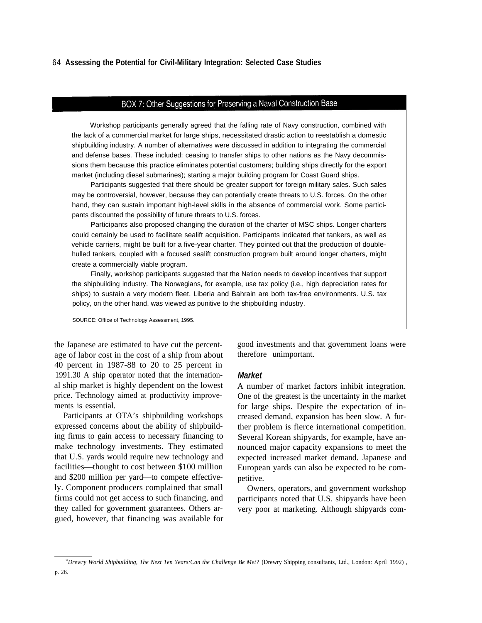#### 64 **Assessing the Potential for Civil-Military Integration: Selected Case Studies**

# BOX 7: Other Suggestions for Preserving a Naval Construction Base

Workshop participants generally agreed that the falling rate of Navy construction, combined with the lack of a commercial market for large ships, necessitated drastic action to reestablish a domestic shipbuilding industry. A number of alternatives were discussed in addition to integrating the commercial and defense bases. These included: ceasing to transfer ships to other nations as the Navy decommissions them because this practice eliminates potential customers; building ships directly for the export market (including diesel submarines); starting a major building program for Coast Guard ships.

Participants suggested that there should be greater support for foreign military sales. Such sales may be controversial, however, because they can potentially create threats to U.S. forces. On the other hand, they can sustain important high-level skills in the absence of commercial work. Some participants discounted the possibility of future threats to U.S. forces.

Participants also proposed changing the duration of the charter of MSC ships. Longer charters could certainly be used to facilitate sealift acquisition. Participants indicated that tankers, as well as vehicle carriers, might be built for a five-year charter. They pointed out that the production of doublehulled tankers, coupled with a focused sealift construction program built around longer charters, might create a commercially viable program.

Finally, workshop participants suggested that the Nation needs to develop incentives that support the shipbuilding industry. The Norwegians, for example, use tax policy (i.e., high depreciation rates for ships) to sustain a very modern fleet. Liberia and Bahrain are both tax-free environments. U.S. tax policy, on the other hand, was viewed as punitive to the shipbuilding industry.

SOURCE: Office of Technology Assessment, 1995.

age of labor cost in the cost of a ship from about 40 percent in 1987-88 to 20 to 25 percent in 1991.30 A ship operator noted that the international ship market is highly dependent on the lowest price. Technology aimed at productivity improvements is essential.

Participants at OTA's shipbuilding workshops expressed concerns about the ability of shipbuilding firms to gain access to necessary financing to make technology investments. They estimated that U.S. yards would require new technology and facilities—thought to cost between \$100 million and \$200 million per yard—to compete effectively. Component producers complained that small firms could not get access to such financing, and they called for government guarantees. Others argued, however, that financing was available for

the Japanese are estimated to have cut the percent- good investments and that government loans were therefore unimportant.

#### *Market*

A number of market factors inhibit integration. One of the greatest is the uncertainty in the market for large ships. Despite the expectation of increased demand, expansion has been slow. A further problem is fierce international competition. Several Korean shipyards, for example, have announced major capacity expansions to meet the expected increased market demand. Japanese and European yards can also be expected to be competitive.

Owners, operators, and government workshop participants noted that U.S. shipyards have been very poor at marketing. Although shipyards com-

*<sup>30</sup>Drewry World Shipbuilding, The Next Ten Years:Can the Challenge Be Met?* (Drewry Shipping consultants, Ltd., London: April 1992) , p. 26.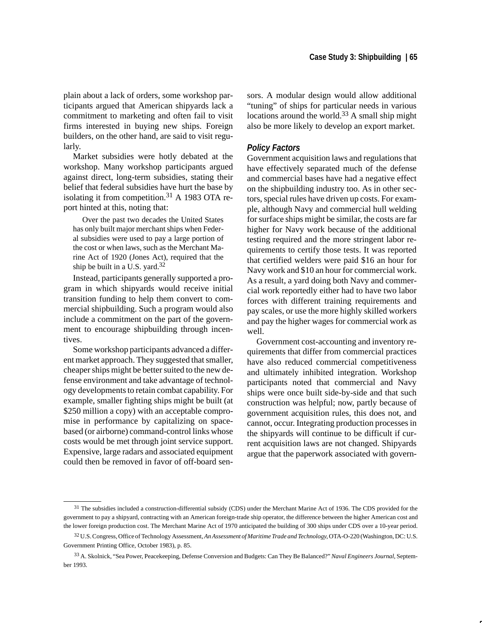plain about a lack of orders, some workshop participants argued that American shipyards lack a commitment to marketing and often fail to visit firms interested in buying new ships. Foreign builders, on the other hand, are said to visit regularly.

Market subsidies were hotly debated at the workshop. Many workshop participants argued against direct, long-term subsidies, stating their belief that federal subsidies have hurt the base by isolating it from competition.31 A 1983 OTA report hinted at this, noting that:

Over the past two decades the United States has only built major merchant ships when Federal subsidies were used to pay a large portion of the cost or when laws, such as the Merchant Marine Act of 1920 (Jones Act), required that the ship be built in a U.S. yard.32

Instead, participants generally supported a program in which shipyards would receive initial transition funding to help them convert to commercial shipbuilding. Such a program would also include a commitment on the part of the government to encourage shipbuilding through incentives.

Some workshop participants advanced a different market approach. They suggested that smaller, cheaper ships might be better suited to the new defense environment and take advantage of technology developments to retain combat capability. For example, smaller fighting ships might be built (at \$250 million a copy) with an acceptable compromise in performance by capitalizing on spacebased (or airborne) command-control links whose costs would be met through joint service support. Expensive, large radars and associated equipment could then be removed in favor of off-board sensors. A modular design would allow additional "tuning" of ships for particular needs in various locations around the world.<sup>33</sup> A small ship might also be more likely to develop an export market.

## *Policy Factors*

Government acquisition laws and regulations that have effectively separated much of the defense and commercial bases have had a negative effect on the shipbuilding industry too. As in other sectors, special rules have driven up costs. For example, although Navy and commercial hull welding for surface ships might be similar, the costs are far higher for Navy work because of the additional testing required and the more stringent labor requirements to certify those tests. It was reported that certified welders were paid \$16 an hour for Navy work and \$10 an hour for commercial work. As a result, a yard doing both Navy and commercial work reportedly either had to have two labor forces with different training requirements and pay scales, or use the more highly skilled workers and pay the higher wages for commercial work as well.

Government cost-accounting and inventory requirements that differ from commercial practices have also reduced commercial competitiveness and ultimately inhibited integration. Workshop participants noted that commercial and Navy ships were once built side-by-side and that such construction was helpful; now, partly because of government acquisition rules, this does not, and cannot, occur. Integrating production processes in the shipyards will continue to be difficult if current acquisition laws are not changed. Shipyards argue that the paperwork associated with govern-

<sup>&</sup>lt;sup>31</sup> The subsidies included a construction-differential subsidy (CDS) under the Merchant Marine Act of 1936. The CDS provided for the government to pay a shipyard, contracting with an American foreign-trade ship operator, the difference between the higher American cost and the lower foreign production cost. The Merchant Marine Act of 1970 anticipated the building of 300 ships under CDS over a 10-year period.

<sup>32</sup> U.S. Congress, Office of Technology Assessment, *An Assessment of Maritime Trade and Technology*, OTA-O-220 (Washington, DC: U.S. Government Printing Office, October 1983), p. 85.

<sup>33</sup> A. Skolnick, "Sea Power, Peacekeeping, Defense Conversion and Budgets: Can They Be Balanced?" *Naval Engineers Journal*, September 1993.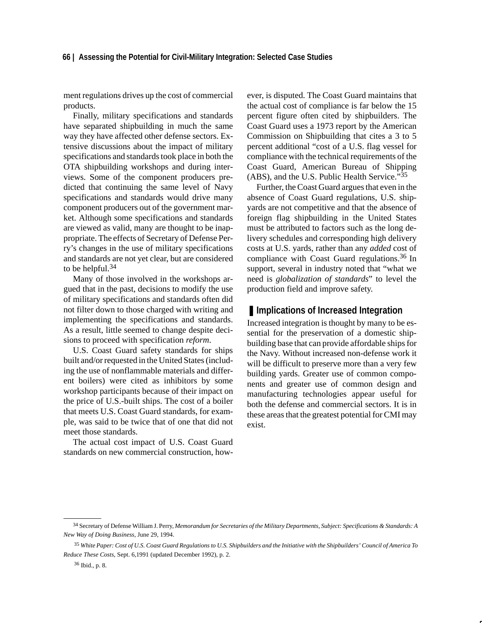ment regulations drives up the cost of commercial products.

Finally, military specifications and standards have separated shipbuilding in much the same way they have affected other defense sectors. Extensive discussions about the impact of military specifications and standards took place in both the OTA shipbuilding workshops and during interviews. Some of the component producers predicted that continuing the same level of Navy specifications and standards would drive many component producers out of the government market. Although some specifications and standards are viewed as valid, many are thought to be inappropriate. The effects of Secretary of Defense Perry's changes in the use of military specifications and standards are not yet clear, but are considered to be helpful.<sup>34</sup>

Many of those involved in the workshops argued that in the past, decisions to modify the use of military specifications and standards often did not filter down to those charged with writing and implementing the specifications and standards. As a result, little seemed to change despite decisions to proceed with specification *reform*.

U.S. Coast Guard safety standards for ships built and/or requested in the United States (including the use of nonflammable materials and different boilers) were cited as inhibitors by some workshop participants because of their impact on the price of U.S.-built ships. The cost of a boiler that meets U.S. Coast Guard standards, for example, was said to be twice that of one that did not meet those standards.

The actual cost impact of U.S. Coast Guard standards on new commercial construction, however, is disputed. The Coast Guard maintains that the actual cost of compliance is far below the 15 percent figure often cited by shipbuilders. The Coast Guard uses a 1973 report by the American Commission on Shipbuilding that cites a 3 to 5 percent additional "cost of a U.S. flag vessel for compliance with the technical requirements of the Coast Guard, American Bureau of Shipping (ABS), and the U.S. Public Health Service. $\cdot^{35}$ 

Further, the Coast Guard argues that even in the absence of Coast Guard regulations, U.S. shipyards are not competitive and that the absence of foreign flag shipbuilding in the United States must be attributed to factors such as the long delivery schedules and corresponding high delivery costs at U.S. yards, rather than any *added* cost of compliance with Coast Guard regulations.<sup>36</sup> In support, several in industry noted that "what we need is *globalization of standards*" to level the production field and improve safety.

## ■ **Implications of Increased Integration**

Increased integration is thought by many to be essential for the preservation of a domestic shipbuilding base that can provide affordable ships for the Navy. Without increased non-defense work it will be difficult to preserve more than a very few building yards. Greater use of common components and greater use of common design and manufacturing technologies appear useful for both the defense and commercial sectors. It is in these areas that the greatest potential for CMI may exist.

<sup>34</sup> Secretary of Defense William J. Perry, *Memorandum for Secretaries of the Military Departments, Subject: Specifications & Standards: A New Way of Doing Business*, June 29, 1994.

<sup>35</sup> *White Paper: Cost of U.S. Coast Guard Regulations to U.S. Shipbuilders and the Initiative with the Shipbuilders' Council of America To Reduce These Costs*, Sept. 6,1991 (updated December 1992), p. 2.

<sup>36</sup> Ibid.*,* p. 8.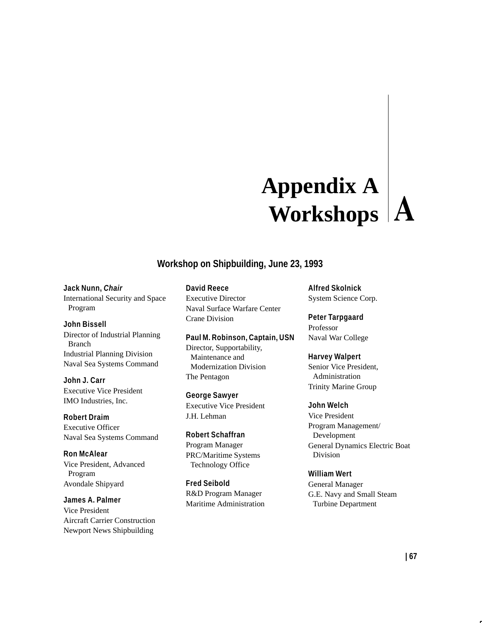# **Appendix A Workshops**

# **Workshop on Shipbuilding, June 23, 1993**

## **Jack Nunn,** *Chair*

International Security and Space Program

## **John Bissell**

Director of Industrial Planning Branch Industrial Planning Division Naval Sea Systems Command

**John J. Carr** Executive Vice President IMO Industries, Inc.

**Robert Draim** Executive Officer Naval Sea Systems Command

**Ron McAlear** Vice President, Advanced Program Avondale Shipyard

**James A. Palmer** Vice President Aircraft Carrier Construction Newport News Shipbuilding

**David Reece** Executive Director Naval Surface Warfare Center Crane Division

**Paul M. Robinson, Captain, USN** Director, Supportability, Maintenance and Modernization Division The Pentagon

**George Sawyer** Executive Vice President J.H. Lehman

**Robert Schaffran** Program Manager PRC/Maritime Systems Technology Office

**Fred Seibold** R&D Program Manager Maritime Administration **Alfred Skolnick** System Science Corp.

**Peter Tarpgaard** Professor Naval War College

# **Harvey Walpert**

Senior Vice President, Administration Trinity Marine Group

**John Welch**

Vice President Program Management/ Development General Dynamics Electric Boat Division

**William Wert** General Manager G.E. Navy and Small Steam Turbine Department